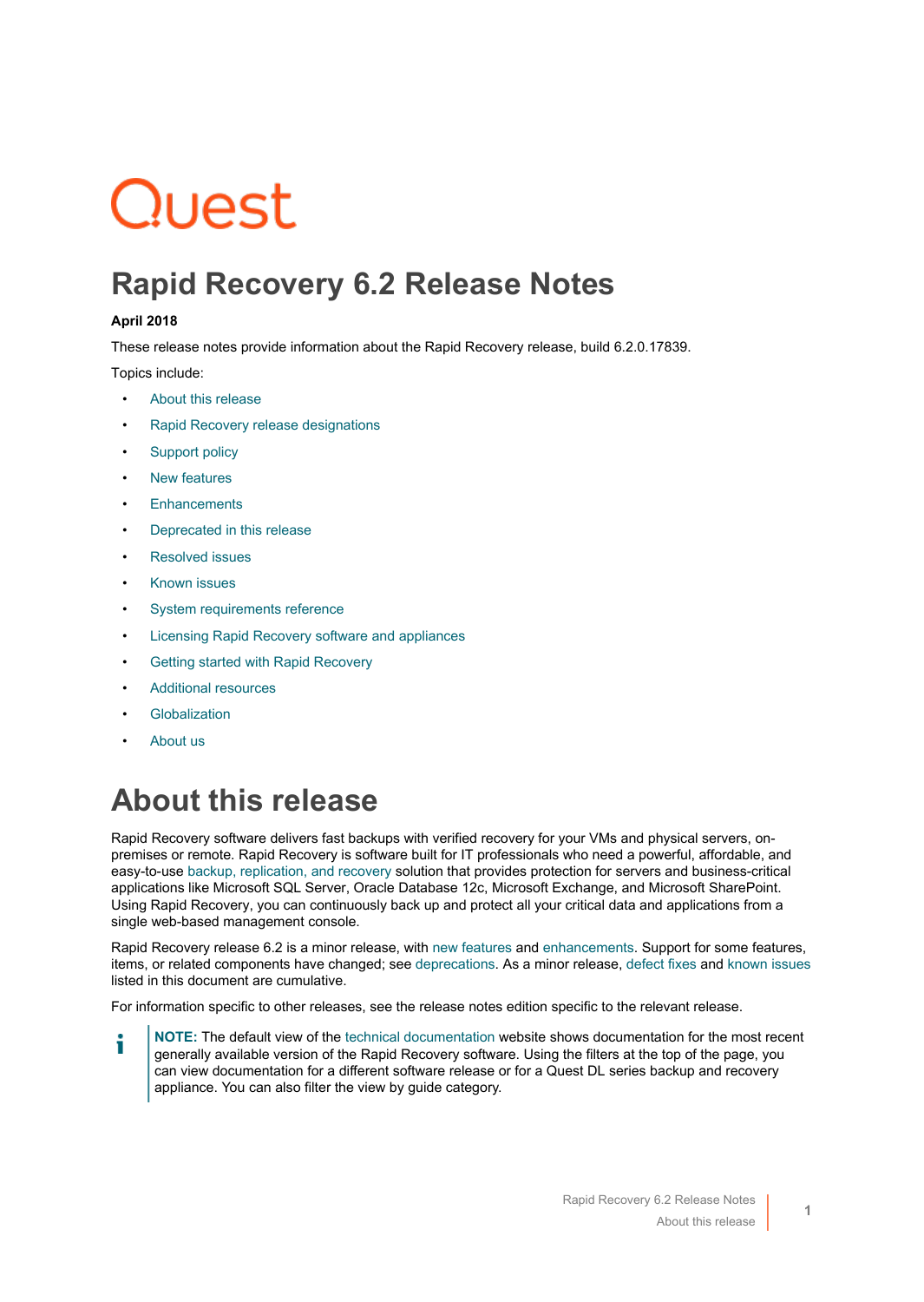# Quest

### **Rapid Recovery 6.2 Release Notes**

#### **April 2018**

These release notes provide information about the Rapid Recovery release, build 6.2.0.17839.

Topics include:

- [About this release](#page-0-0)
- [Rapid Recovery release designations](#page-2-0)
- [Support policy](#page-3-0)
- **[New features](#page-3-1)**
- **[Enhancements](#page-8-0)**
- [Deprecated in this release](#page-13-0)
- [Resolved issues](#page-17-0)
- [Known issues](#page-23-0)
- [System requirements reference](#page-28-0)
- [Licensing Rapid Recovery software and appliances](#page-28-1)
- [Getting started with Rapid Recovery](#page-29-0)
- [Additional resources](#page-32-0)
- **[Globalization](#page-32-1)**
- [About us](#page-33-0)

### <span id="page-0-0"></span>**About this release**

Rapid Recovery software delivers fast backups with verified recovery for your VMs and physical servers, onpremises or remote. Rapid Recovery is software built for IT professionals who need a powerful, affordable, and easy-to-use [backup, replication, and recovery](https://www.quest.com/products/rapid-recovery/) solution that provides protection for servers and business-critical applications like Microsoft SQL Server, Oracle Database 12c, Microsoft Exchange, and Microsoft SharePoint. Using Rapid Recovery, you can continuously back up and protect all your critical data and applications from a single web-based management console.

Rapid Recovery release 6.2 is a minor release, with [new features](#page-3-1) and [enhancements](#page-8-0). Support for some features, items, or related components have changed; see [deprecations.](#page-13-0) As a minor release, [defect fixes](#page-17-0) and [known issues](#page-23-0) listed in this document are cumulative.

For information specific to other releases, see the release notes edition specific to the relevant release.

**NOTE:** The default view of the [technical documentation](https://support.quest.com/rapid-recovery/technical-documents/) website shows documentation for the most recent i generally available version of the Rapid Recovery software. Using the filters at the top of the page, you can view documentation for a different software release or for a Quest DL series backup and recovery appliance. You can also filter the view by guide category.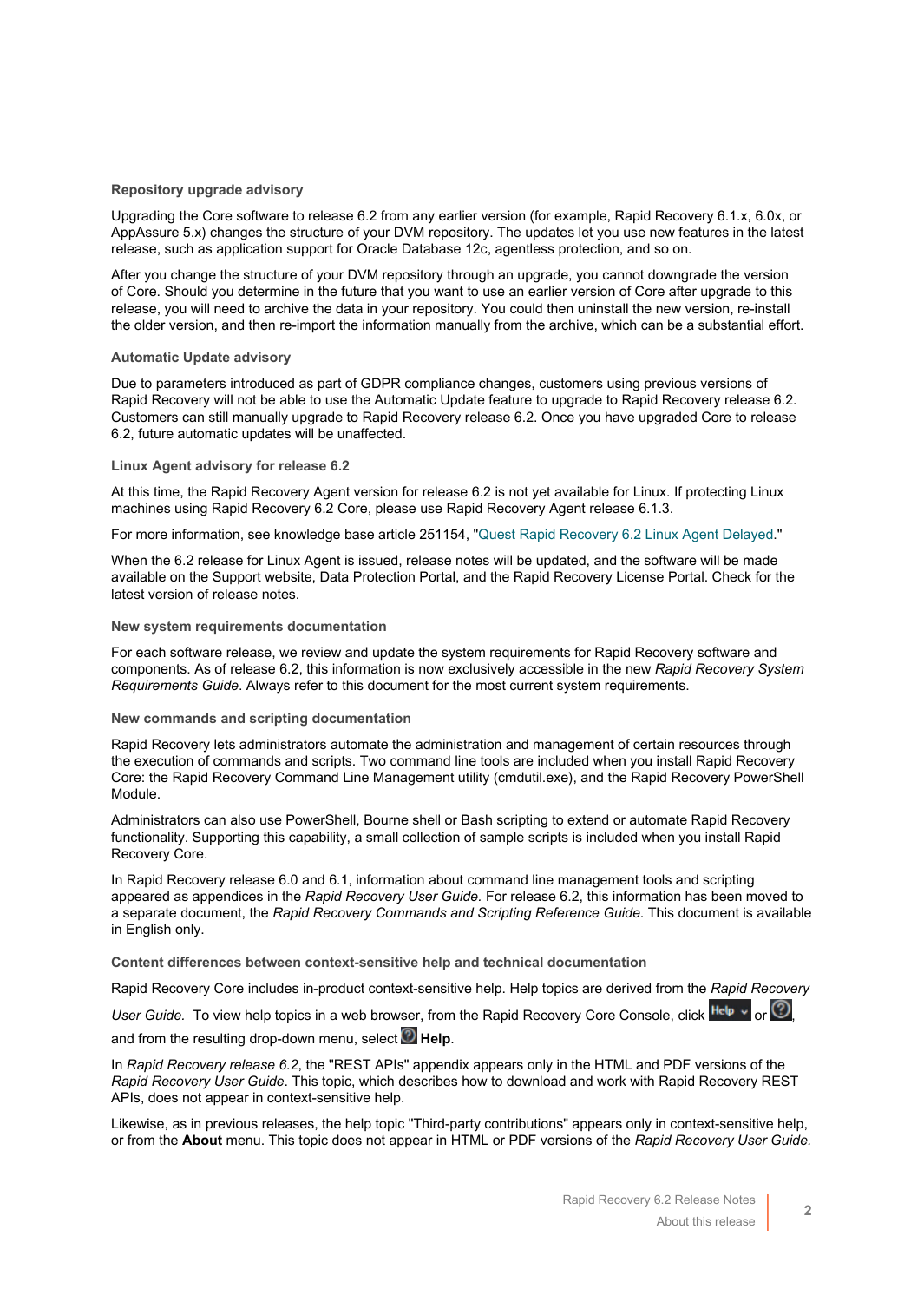#### **Repository upgrade advisory**

Upgrading the Core software to release 6.2 from any earlier version (for example, Rapid Recovery 6.1.x, 6.0x, or AppAssure 5.x) changes the structure of your DVM repository. The updates let you use new features in the latest release, such as application support for Oracle Database 12c, agentless protection, and so on.

After you change the structure of your DVM repository through an upgrade, you cannot downgrade the version of Core. Should you determine in the future that you want to use an earlier version of Core after upgrade to this release, you will need to archive the data in your repository. You could then uninstall the new version, re-install the older version, and then re-import the information manually from the archive, which can be a substantial effort.

#### **Automatic Update advisory**

Due to parameters introduced as part of GDPR compliance changes, customers using previous versions of Rapid Recovery will not be able to use the Automatic Update feature to upgrade to Rapid Recovery release 6.2. Customers can still manually upgrade to Rapid Recovery release 6.2. Once you have upgraded Core to release 6.2, future automatic updates will be unaffected.

#### <span id="page-1-0"></span>**Linux Agent advisory for release 6.2**

At this time, the Rapid Recovery Agent version for release 6.2 is not yet available for Linux. If protecting Linux machines using Rapid Recovery 6.2 Core, please use Rapid Recovery Agent release 6.1.3.

For more information, see knowledge base article 251154, "[Quest Rapid Recovery 6.2 Linux Agent Delayed.](https://support.quest.com/rapid-recovery/kb/251154)"

When the 6.2 release for Linux Agent is issued, release notes will be updated, and the software will be made available on the Support website, Data Protection Portal, and the Rapid Recovery License Portal. Check for the latest version of release notes.

#### **New system requirements documentation**

For each software release, we review and update the system requirements for Rapid Recovery software and components. As of release 6.2, this information is now exclusively accessible in the new *Rapid Recovery System Requirements Guide*. Always refer to this document for the most current system requirements.

#### **New commands and scripting documentation**

Rapid Recovery lets administrators automate the administration and management of certain resources through the execution of commands and scripts. Two command line tools are included when you install Rapid Recovery Core: the Rapid Recovery Command Line Management utility (cmdutil.exe), and the Rapid Recovery PowerShell Module.

Administrators can also use PowerShell, Bourne shell or Bash scripting to extend or automate Rapid Recovery functionality. Supporting this capability, a small collection of sample scripts is included when you install Rapid Recovery Core.

In Rapid Recovery release 6.0 and 6.1, information about command line management tools and scripting appeared as appendices in the *Rapid Recovery User Guide.* For release 6.2, this information has been moved to a separate document, the *Rapid Recovery Commands and Scripting Reference Guide.* This document is available in English only.

**Content differences between context-sensitive help and technical documentation**

Rapid Recovery Core includes in-product context-sensitive help. Help topics are derived from the *Rapid Recovery*

*User Guide.* To view help topics in a web browser, from the Rapid Recovery Core Console, click Help v or <sup>1</sup> and from the resulting drop-down menu, select **Help**.

In *Rapid Recovery release 6.2*, the "REST APIs" appendix appears only in the HTML and PDF versions of the *Rapid Recovery User Guide*. This topic, which describes how to download and work with Rapid Recovery REST APIs, does not appear in context-sensitive help.

Likewise, as in previous releases, the help topic "Third-party contributions" appears only in context-sensitive help, or from the **About** menu. This topic does not appear in HTML or PDF versions of the *Rapid Recovery User Guide.*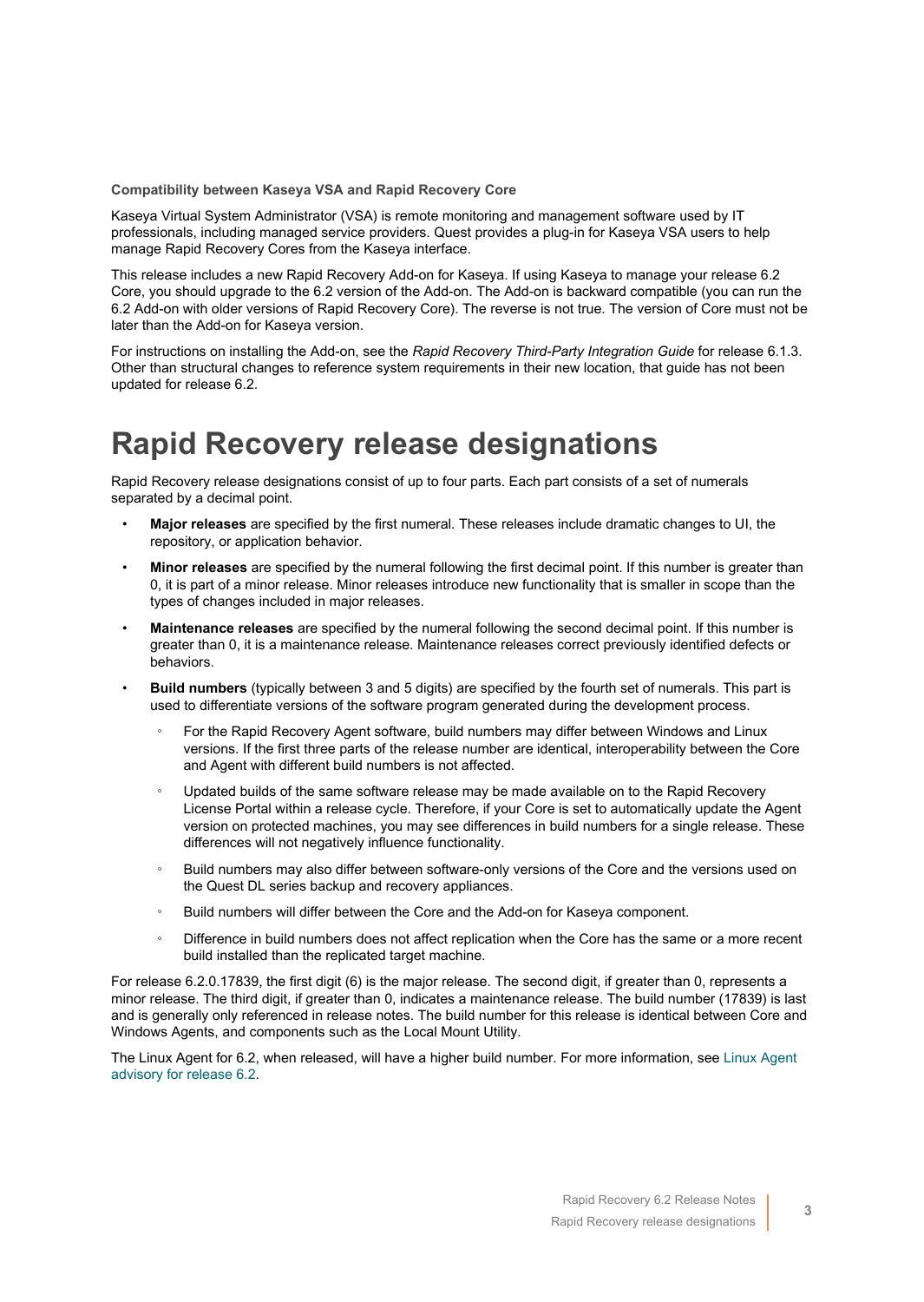**Compatibility between Kaseya VSA and Rapid Recovery Core**

Kaseya Virtual System Administrator (VSA) is remote monitoring and management software used by IT professionals, including managed service providers. Quest provides a plug-in for Kaseya VSA users to help manage Rapid Recovery Cores from the Kaseya interface.

This release includes a new Rapid Recovery Add-on for Kaseya. If using Kaseya to manage your release 6.2 Core, you should upgrade to the 6.2 version of the Add-on. The Add-on is backward compatible (you can run the 6.2 Add-on with older versions of Rapid Recovery Core). The reverse is not true. The version of Core must not be later than the Add-on for Kaseya version.

For instructions on installing the Add-on, see the *Rapid Recovery Third-Party Integration Guide* for release 6.1.3. Other than structural changes to reference system requirements in their new location, that guide has not been updated for release 6.2.

#### <span id="page-2-0"></span>**Rapid Recovery release designations**

Rapid Recovery release designations consist of up to four parts. Each part consists of a set of numerals separated by a decimal point.

- **Major releases** are specified by the first numeral. These releases include dramatic changes to UI, the repository, or application behavior.
- **Minor releases** are specified by the numeral following the first decimal point. If this number is greater than 0, it is part of a minor release. Minor releases introduce new functionality that is smaller in scope than the types of changes included in major releases.
- **Maintenance releases** are specified by the numeral following the second decimal point. If this number is greater than 0, it is a maintenance release. Maintenance releases correct previously identified defects or behaviors.
- **Build numbers** (typically between 3 and 5 digits) are specified by the fourth set of numerals. This part is used to differentiate versions of the software program generated during the development process.
	- For the Rapid Recovery Agent software, build numbers may differ between Windows and Linux versions. If the first three parts of the release number are identical, interoperability between the Core and Agent with different build numbers is not affected.
	- Updated builds of the same software release may be made available on to the Rapid Recovery License Portal within a release cycle. Therefore, if your Core is set to automatically update the Agent version on protected machines, you may see differences in build numbers for a single release. These differences will not negatively influence functionality.
	- Build numbers may also differ between software-only versions of the Core and the versions used on the Quest DL series backup and recovery appliances.
	- Build numbers will differ between the Core and the Add-on for Kaseya component.
	- Difference in build numbers does not affect replication when the Core has the same or a more recent build installed than the replicated target machine.

For release 6.2.0.17839, the first digit (6) is the major release. The second digit, if greater than 0, represents a minor release. The third digit, if greater than 0, indicates a maintenance release. The build number (17839) is last and is generally only referenced in release notes. The build number for this release is identical between Core and Windows Agents, and components such as the Local Mount Utility.

The Linux Agent for 6.2, when released, will have a higher build number. For more information, see [Linux Agent](#page-1-0) [advisory for release 6.2](#page-1-0).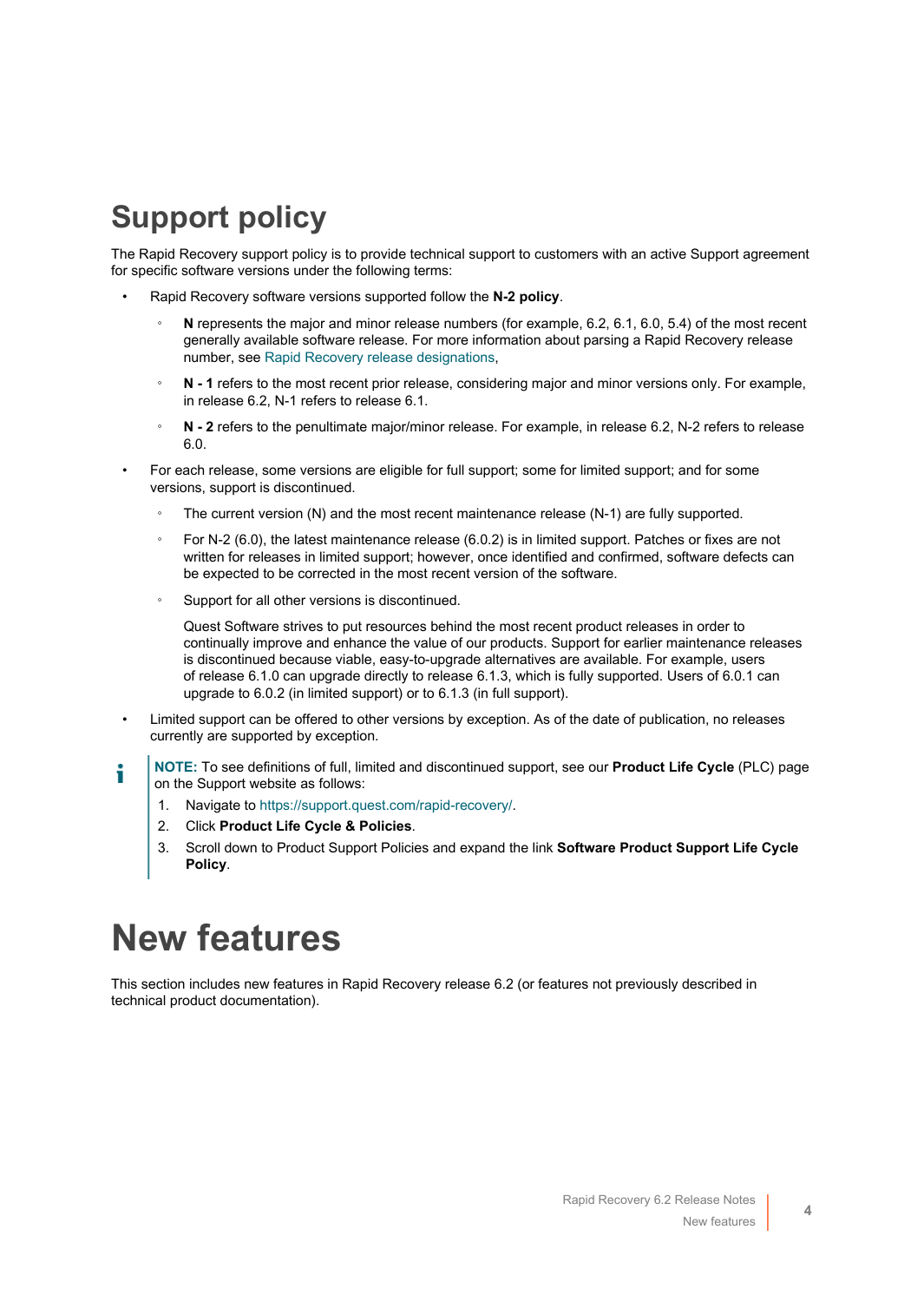# <span id="page-3-0"></span>**Support policy**

The Rapid Recovery support policy is to provide technical support to customers with an active Support agreement for specific software versions under the following terms:

- Rapid Recovery software versions supported follow the **N-2 policy**.
	- **N** represents the major and minor release numbers (for example, 6.2, 6.1, 6.0, 5.4) of the most recent generally available software release. For more information about parsing a Rapid Recovery release number, see [Rapid Recovery release designations](#page-2-0),
	- N 1 refers to the most recent prior release, considering major and minor versions only. For example, in release 6.2, N-1 refers to release 6.1.
	- **N 2** refers to the penultimate major/minor release. For example, in release 6.2, N-2 refers to release 6.0.
- For each release, some versions are eligible for full support; some for limited support; and for some versions, support is discontinued.
	- The current version (N) and the most recent maintenance release (N-1) are fully supported.
	- For N-2 (6.0), the latest maintenance release (6.0.2) is in limited support. Patches or fixes are not written for releases in limited support; however, once identified and confirmed, software defects can be expected to be corrected in the most recent version of the software.
	- Support for all other versions is discontinued.

Quest Software strives to put resources behind the most recent product releases in order to continually improve and enhance the value of our products. Support for earlier maintenance releases is discontinued because viable, easy-to-upgrade alternatives are available. For example, users of release 6.1.0 can upgrade directly to release 6.1.3, which is fully supported. Users of 6.0.1 can upgrade to 6.0.2 (in limited support) or to 6.1.3 (in full support).

- Limited support can be offered to other versions by exception. As of the date of publication, no releases currently are supported by exception.
- **NOTE:** To see definitions of full, limited and discontinued support, see our **Product Life Cycle** (PLC) page i on the Support website as follows:
	- 1. Navigate to [https://support.quest.com/rapid-recovery/.](https://support.quest.com/rapid-recovery/)
	- 2. Click **Product Life Cycle & Policies**.
	- 3. Scroll down to Product Support Policies and expand the link **Software Product Support Life Cycle Policy**.

# <span id="page-3-1"></span>**New features**

This section includes new features in Rapid Recovery release 6.2 (or features not previously described in technical product documentation).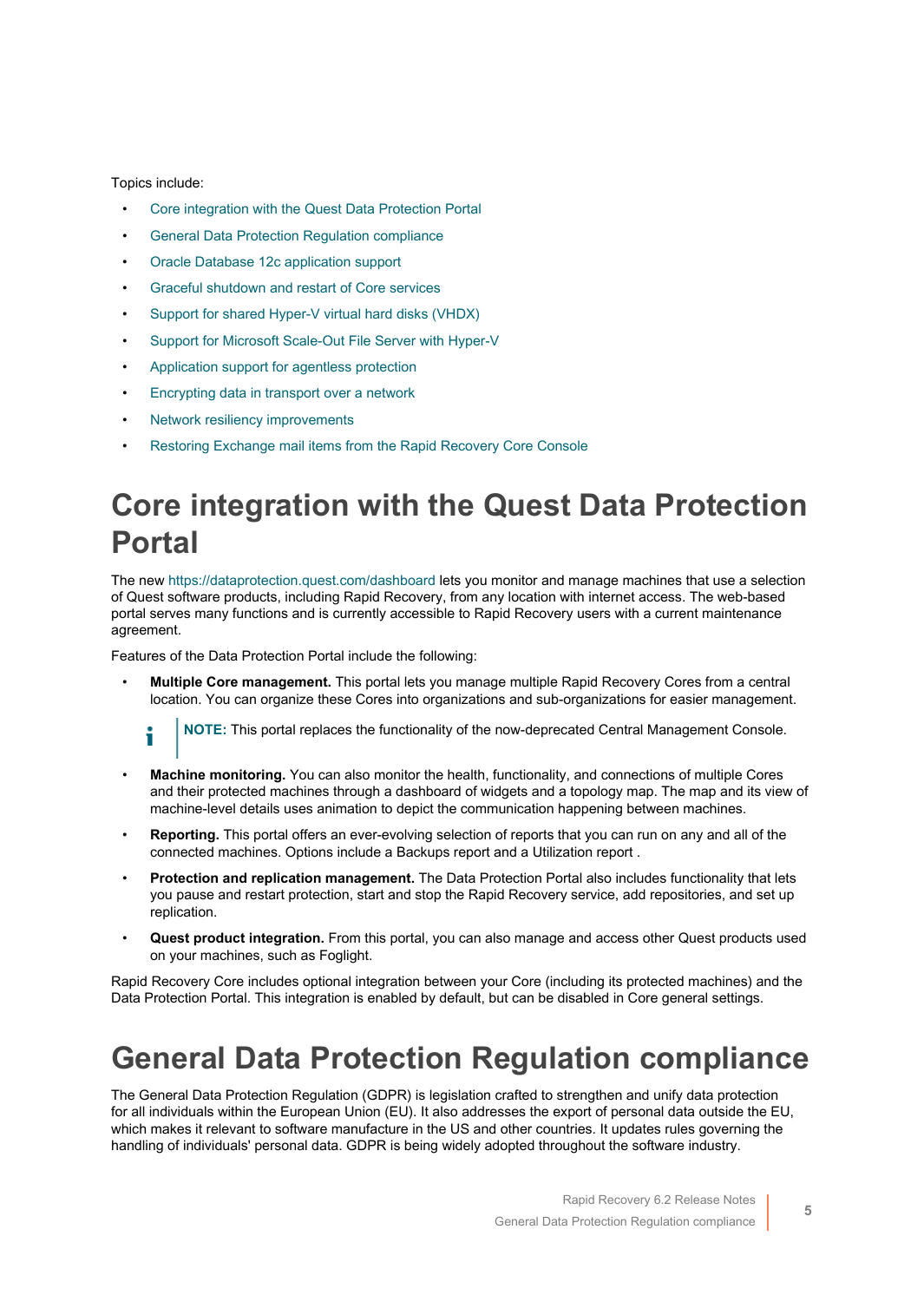#### Topics include:

- [Core integration with the Quest Data Protection Portal](#page-4-0)
- [General Data Protection Regulation compliance](#page-4-1)
- [Oracle Database 12c application support](#page-5-0)
- [Graceful shutdown and restart of Core services](#page-6-0)
- [Support for shared Hyper-V virtual hard disks \(VHDX\)](#page-7-0)
- [Support for Microsoft Scale-Out File Server with Hyper-V](#page-7-1)
- [Application support for agentless protection](#page-7-2)
- [Encrypting data in transport over a network](#page-7-3)
- [Network resiliency improvements](#page-8-1)
- [Restoring Exchange mail items from the Rapid Recovery Core Console](#page-8-2)

### <span id="page-4-0"></span>**Core integration with the Quest Data Protection Portal**

The new <https://dataprotection.quest.com/dashboard>lets you monitor and manage machines that use a selection of Quest software products, including Rapid Recovery, from any location with internet access. The web-based portal serves many functions and is currently accessible to Rapid Recovery users with a current maintenance agreement.

Features of the Data Protection Portal include the following:

• **Multiple Core management.** This portal lets you manage multiple Rapid Recovery Cores from a central location. You can organize these Cores into organizations and sub-organizations for easier management.



**NOTE:** This portal replaces the functionality of the now-deprecated Central Management Console.

- **Machine monitoring.** You can also monitor the health, functionality, and connections of multiple Cores and their protected machines through a dashboard of widgets and a topology map. The map and its view of machine-level details uses animation to depict the communication happening between machines.
- **Reporting.** This portal offers an ever-evolving selection of reports that you can run on any and all of the connected machines. Options include a Backups report and a Utilization report .
- **Protection and replication management.** The Data Protection Portal also includes functionality that lets you pause and restart protection, start and stop the Rapid Recovery service, add repositories, and set up replication.
- **Quest product integration.** From this portal, you can also manage and access other Quest products used on your machines, such as Foglight.

Rapid Recovery Core includes optional integration between your Core (including its protected machines) and the Data Protection Portal. This integration is enabled by default, but can be disabled in Core general settings.

#### <span id="page-4-1"></span>**General Data Protection Regulation compliance**

The General Data Protection Regulation (GDPR) is legislation crafted to strengthen and unify data protection for all individuals within the European Union (EU). It also addresses the export of personal data outside the EU, which makes it relevant to software manufacture in the US and other countries. It updates rules governing the handling of individuals' personal data. GDPR is being widely adopted throughout the software industry.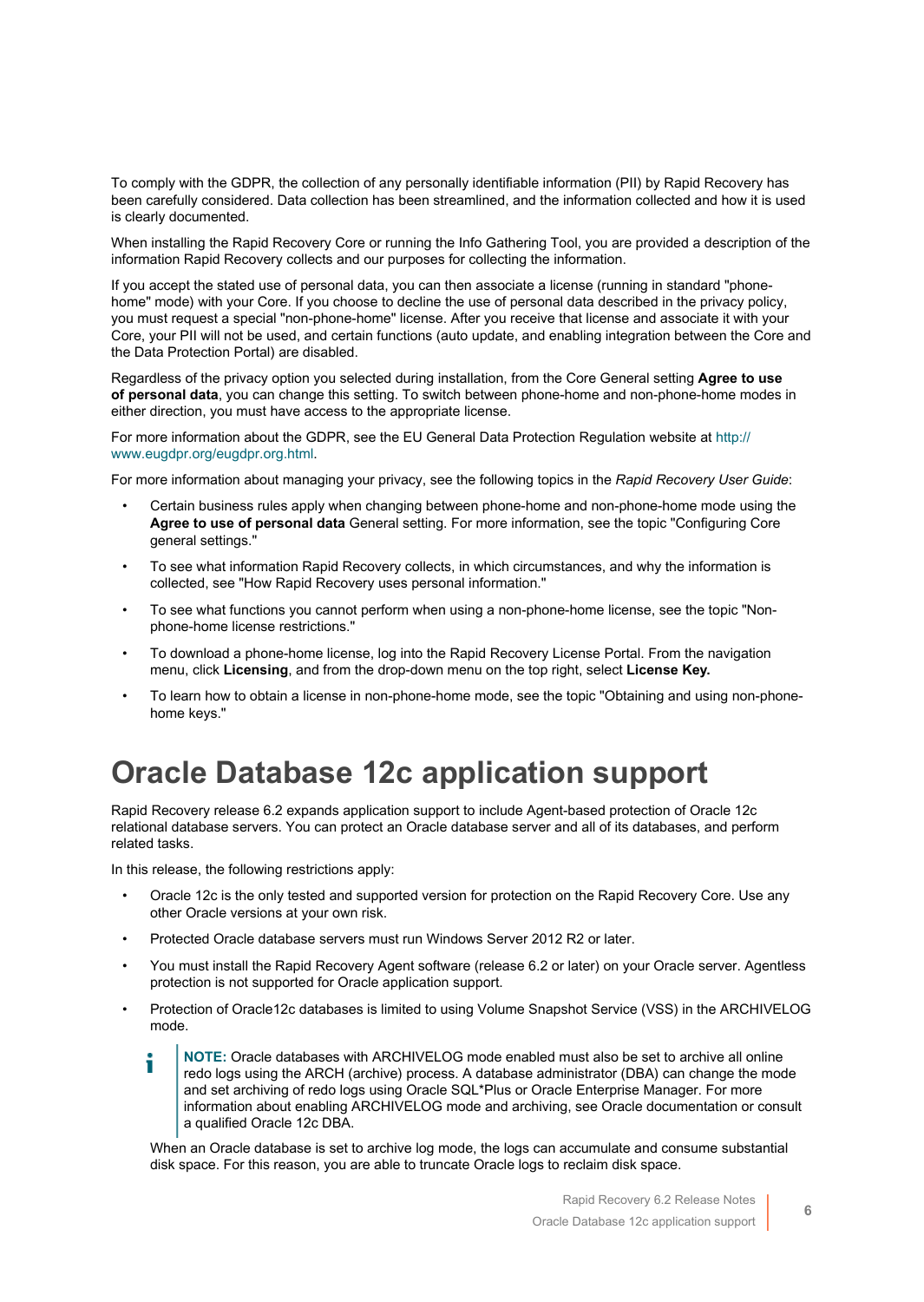To comply with the GDPR, the collection of any personally identifiable information (PII) by Rapid Recovery has been carefully considered. Data collection has been streamlined, and the information collected and how it is used is clearly documented.

When installing the Rapid Recovery Core or running the Info Gathering Tool, you are provided a description of the information Rapid Recovery collects and our purposes for collecting the information.

If you accept the stated use of personal data, you can then associate a license (running in standard "phonehome" mode) with your Core. If you choose to decline the use of personal data described in the privacy policy, you must request a special "non-phone-home" license. After you receive that license and associate it with your Core, your PII will not be used, and certain functions (auto update, and enabling integration between the Core and the Data Protection Portal) are disabled.

Regardless of the privacy option you selected during installation, from the Core General setting **Agree to use of personal data**, you can change this setting. To switch between phone-home and non-phone-home modes in either direction, you must have access to the appropriate license.

For more information about the GDPR, see the EU General Data Protection Regulation website at [http://](http://www.eugdpr.org/eugdpr.org.html) [www.eugdpr.org/eugdpr.org.html.](http://www.eugdpr.org/eugdpr.org.html)

For more information about managing your privacy, see the following topics in the *Rapid Recovery User Guide*:

- Certain business rules apply when changing between phone-home and non-phone-home mode using the **Agree to use of personal data** General setting. For more information, see the topic "Configuring Core general settings."
- To see what information Rapid Recovery collects, in which circumstances, and why the information is collected, see "How Rapid Recovery uses personal information."
- To see what functions you cannot perform when using a non-phone-home license, see the topic "Nonphone-home license restrictions."
- To download a phone-home license, log into the Rapid Recovery License Portal. From the navigation menu, click **Licensing**, and from the drop-down menu on the top right, select **License Key.**
- To learn how to obtain a license in non-phone-home mode, see the topic "Obtaining and using non-phonehome keys."

### <span id="page-5-0"></span>**Oracle Database 12c application support**

Rapid Recovery release 6.2 expands application support to include Agent-based protection of Oracle 12c relational database servers. You can protect an Oracle database server and all of its databases, and perform related tasks.

In this release, the following restrictions apply:

- Oracle 12c is the only tested and supported version for protection on the Rapid Recovery Core. Use any other Oracle versions at your own risk.
- Protected Oracle database servers must run Windows Server 2012 R2 or later.
- You must install the Rapid Recovery Agent software (release 6.2 or later) on your Oracle server. Agentless protection is not supported for Oracle application support.
- Protection of Oracle12c databases is limited to using Volume Snapshot Service (VSS) in the ARCHIVELOG mode.
	- **NOTE:** Oracle databases with ARCHIVELOG mode enabled must also be set to archive all online redo logs using the ARCH (archive) process. A database administrator (DBA) can change the mode and set archiving of redo logs using Oracle SQL\*Plus or Oracle Enterprise Manager. For more information about enabling ARCHIVELOG mode and archiving, see Oracle documentation or consult a qualified Oracle 12c DBA.

When an Oracle database is set to archive log mode, the logs can accumulate and consume substantial disk space. For this reason, you are able to truncate Oracle logs to reclaim disk space.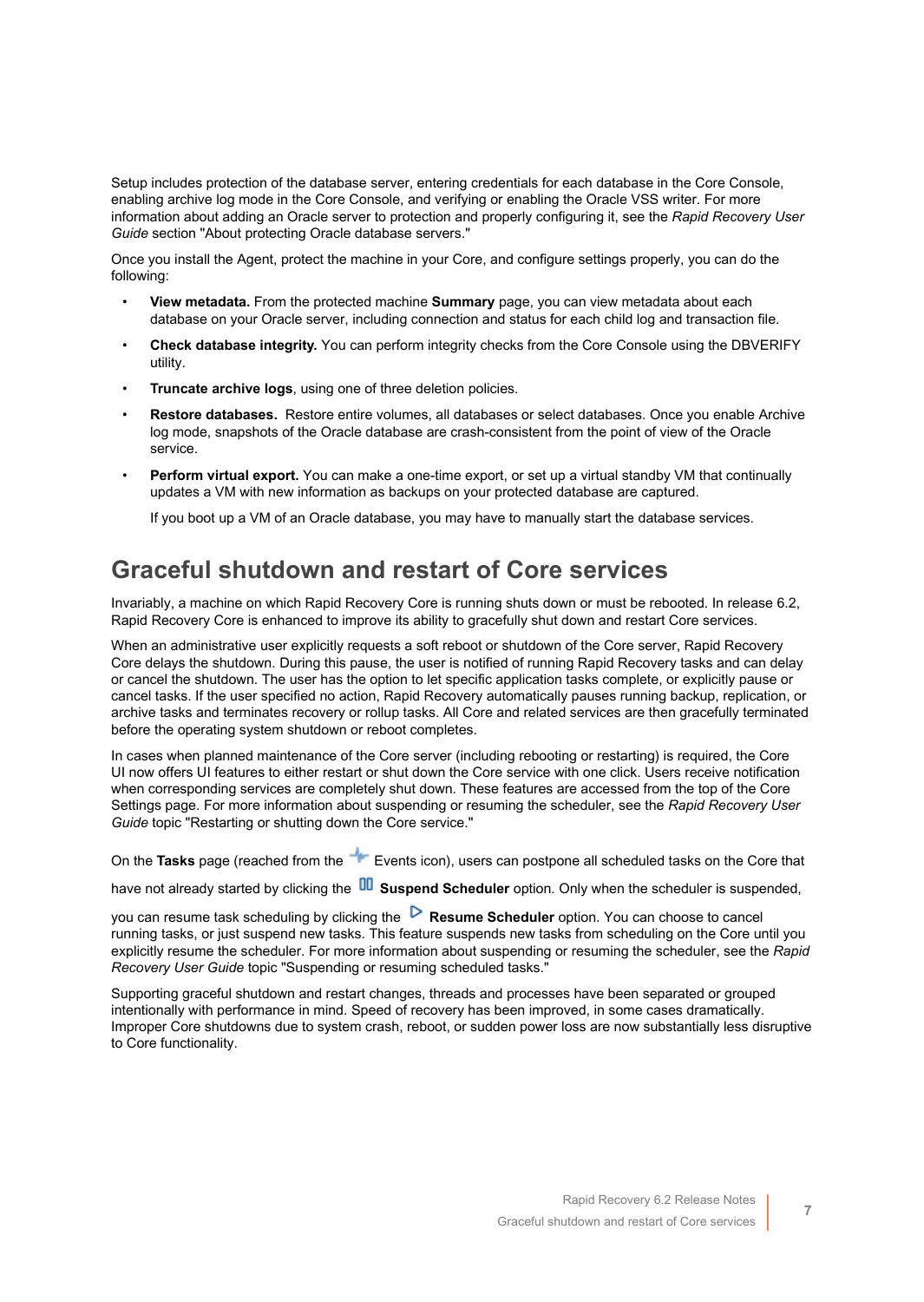Setup includes protection of the database server, entering credentials for each database in the Core Console, enabling archive log mode in the Core Console, and verifying or enabling the Oracle VSS writer. For more information about adding an Oracle server to protection and properly configuring it, see the *Rapid Recovery User Guide* section "About protecting Oracle database servers."

Once you install the Agent, protect the machine in your Core, and configure settings properly, you can do the following:

- **View metadata.** From the protected machine **Summary** page, you can view metadata about each database on your Oracle server, including connection and status for each child log and transaction file.
- **Check database integrity.** You can perform integrity checks from the Core Console using the DBVERIFY utility.
- **Truncate archive logs**, using one of three deletion policies.
- **Restore databases.** Restore entire volumes, all databases or select databases. Once you enable Archive log mode, snapshots of the Oracle database are crash-consistent from the point of view of the Oracle service.
- **Perform virtual export.** You can make a one-time export, or set up a virtual standby VM that continually updates a VM with new information as backups on your protected database are captured.

If you boot up a VM of an Oracle database, you may have to manually start the database services.

#### <span id="page-6-0"></span>**Graceful shutdown and restart of Core services**

Invariably, a machine on which Rapid Recovery Core is running shuts down or must be rebooted. In release 6.2, Rapid Recovery Core is enhanced to improve its ability to gracefully shut down and restart Core services.

When an administrative user explicitly requests a soft reboot or shutdown of the Core server, Rapid Recovery Core delays the shutdown. During this pause, the user is notified of running Rapid Recovery tasks and can delay or cancel the shutdown. The user has the option to let specific application tasks complete, or explicitly pause or cancel tasks. If the user specified no action, Rapid Recovery automatically pauses running backup, replication, or archive tasks and terminates recovery or rollup tasks. All Core and related services are then gracefully terminated before the operating system shutdown or reboot completes.

In cases when planned maintenance of the Core server (including rebooting or restarting) is required, the Core UI now offers UI features to either restart or shut down the Core service with one click. Users receive notification when corresponding services are completely shut down. These features are accessed from the top of the Core Settings page. For more information about suspending or resuming the scheduler, see the *Rapid Recovery User Guide* topic "Restarting or shutting down the Core service."

On the **Tasks** page (reached from the **EXECUTE:** Events icon), users can postpone all scheduled tasks on the Core that

have not already started by clicking the **DD** Suspend Scheduler option. Only when the scheduler is suspended,

you can resume task scheduling by clicking the **Resume Scheduler** option. You can choose to cancel running tasks, or just suspend new tasks. This feature suspends new tasks from scheduling on the Core until you explicitly resume the scheduler. For more information about suspending or resuming the scheduler, see the *Rapid Recovery User Guide* topic "Suspending or resuming scheduled tasks."

Supporting graceful shutdown and restart changes, threads and processes have been separated or grouped intentionally with performance in mind. Speed of recovery has been improved, in some cases dramatically. Improper Core shutdowns due to system crash, reboot, or sudden power loss are now substantially less disruptive to Core functionality.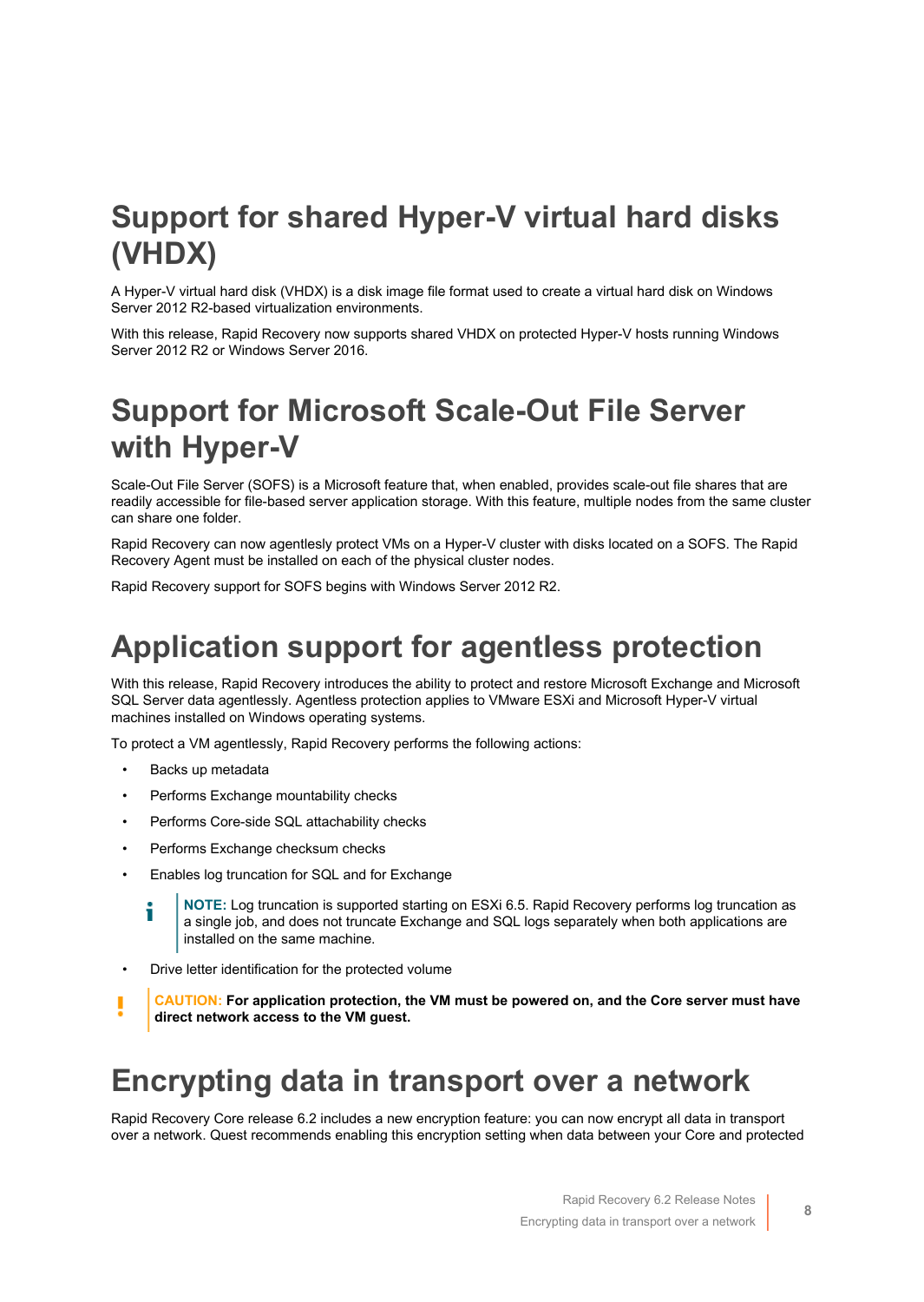### <span id="page-7-0"></span>**Support for shared Hyper-V virtual hard disks (VHDX)**

A Hyper-V virtual hard disk (VHDX) is a disk image file format used to create a virtual hard disk on Windows Server 2012 R2-based virtualization environments.

With this release, Rapid Recovery now supports shared VHDX on protected Hyper-V hosts running Windows Server 2012 R2 or Windows Server 2016.

### <span id="page-7-1"></span>**Support for Microsoft Scale-Out File Server with Hyper-V**

Scale-Out File Server (SOFS) is a Microsoft feature that, when enabled, provides scale-out file shares that are readily accessible for file-based server application storage. With this feature, multiple nodes from the same cluster can share one folder.

Rapid Recovery can now agentlesly protect VMs on a Hyper-V cluster with disks located on a SOFS. The Rapid Recovery Agent must be installed on each of the physical cluster nodes.

Rapid Recovery support for SOFS begins with Windows Server 2012 R2.

### <span id="page-7-2"></span>**Application support for agentless protection**

With this release, Rapid Recovery introduces the ability to protect and restore Microsoft Exchange and Microsoft SQL Server data agentlessly. Agentless protection applies to VMware ESXi and Microsoft Hyper-V virtual machines installed on Windows operating systems.

To protect a VM agentlessly, Rapid Recovery performs the following actions:

- Backs up metadata
- Performs Exchange mountability checks
- Performs Core-side SQL attachability checks
- Performs Exchange checksum checks
- Enables log truncation for SQL and for Exchange
	- **NOTE:** Log truncation is supported starting on ESXi 6.5. Rapid Recovery performs log truncation as a single job, and does not truncate Exchange and SQL logs separately when both applications are installed on the same machine.
- Drive letter identification for the protected volume
- **CAUTION: For application protection, the VM must be powered on, and the Core server must have direct network access to the VM guest.**

#### <span id="page-7-3"></span>**Encrypting data in transport over a network**

Rapid Recovery Core release 6.2 includes a new encryption feature: you can now encrypt all data in transport over a network. Quest recommends enabling this encryption setting when data between your Core and protected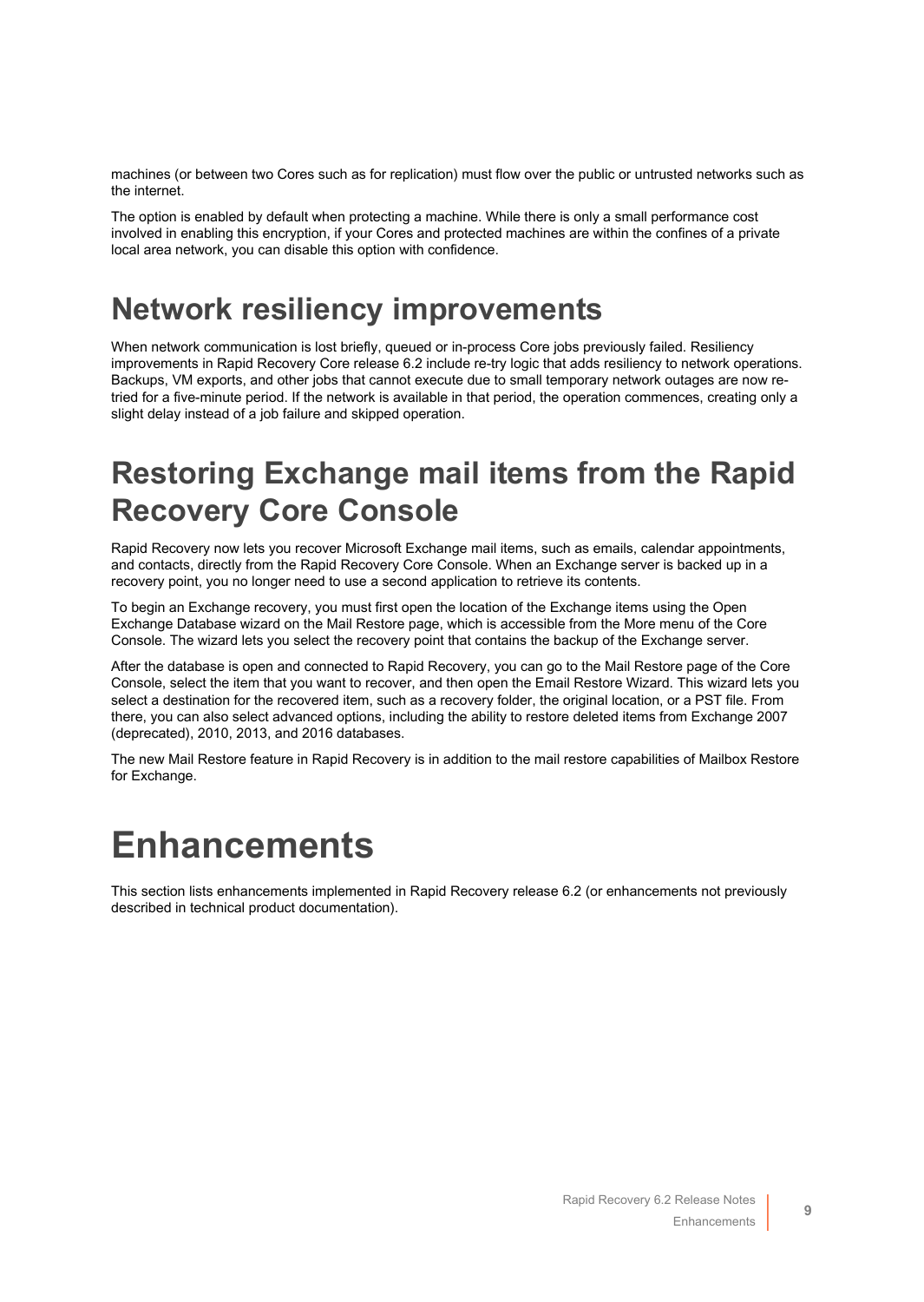machines (or between two Cores such as for replication) must flow over the public or untrusted networks such as the internet.

The option is enabled by default when protecting a machine. While there is only a small performance cost involved in enabling this encryption, if your Cores and protected machines are within the confines of a private local area network, you can disable this option with confidence.

#### <span id="page-8-1"></span>**Network resiliency improvements**

When network communication is lost briefly, queued or in-process Core jobs previously failed. Resiliency improvements in Rapid Recovery Core release 6.2 include re-try logic that adds resiliency to network operations. Backups, VM exports, and other jobs that cannot execute due to small temporary network outages are now retried for a five-minute period. If the network is available in that period, the operation commences, creating only a slight delay instead of a job failure and skipped operation.

### <span id="page-8-2"></span>**Restoring Exchange mail items from the Rapid Recovery Core Console**

Rapid Recovery now lets you recover Microsoft Exchange mail items, such as emails, calendar appointments, and contacts, directly from the Rapid Recovery Core Console. When an Exchange server is backed up in a recovery point, you no longer need to use a second application to retrieve its contents.

To begin an Exchange recovery, you must first open the location of the Exchange items using the Open Exchange Database wizard on the Mail Restore page, which is accessible from the More menu of the Core Console. The wizard lets you select the recovery point that contains the backup of the Exchange server.

After the database is open and connected to Rapid Recovery, you can go to the Mail Restore page of the Core Console, select the item that you want to recover, and then open the Email Restore Wizard. This wizard lets you select a destination for the recovered item, such as a recovery folder, the original location, or a PST file. From there, you can also select advanced options, including the ability to restore deleted items from Exchange 2007 (deprecated), 2010, 2013, and 2016 databases.

The new Mail Restore feature in Rapid Recovery is in addition to the mail restore capabilities of Mailbox Restore for Exchange.

# <span id="page-8-0"></span>**Enhancements**

This section lists enhancements implemented in Rapid Recovery release 6.2 (or enhancements not previously described in technical product documentation).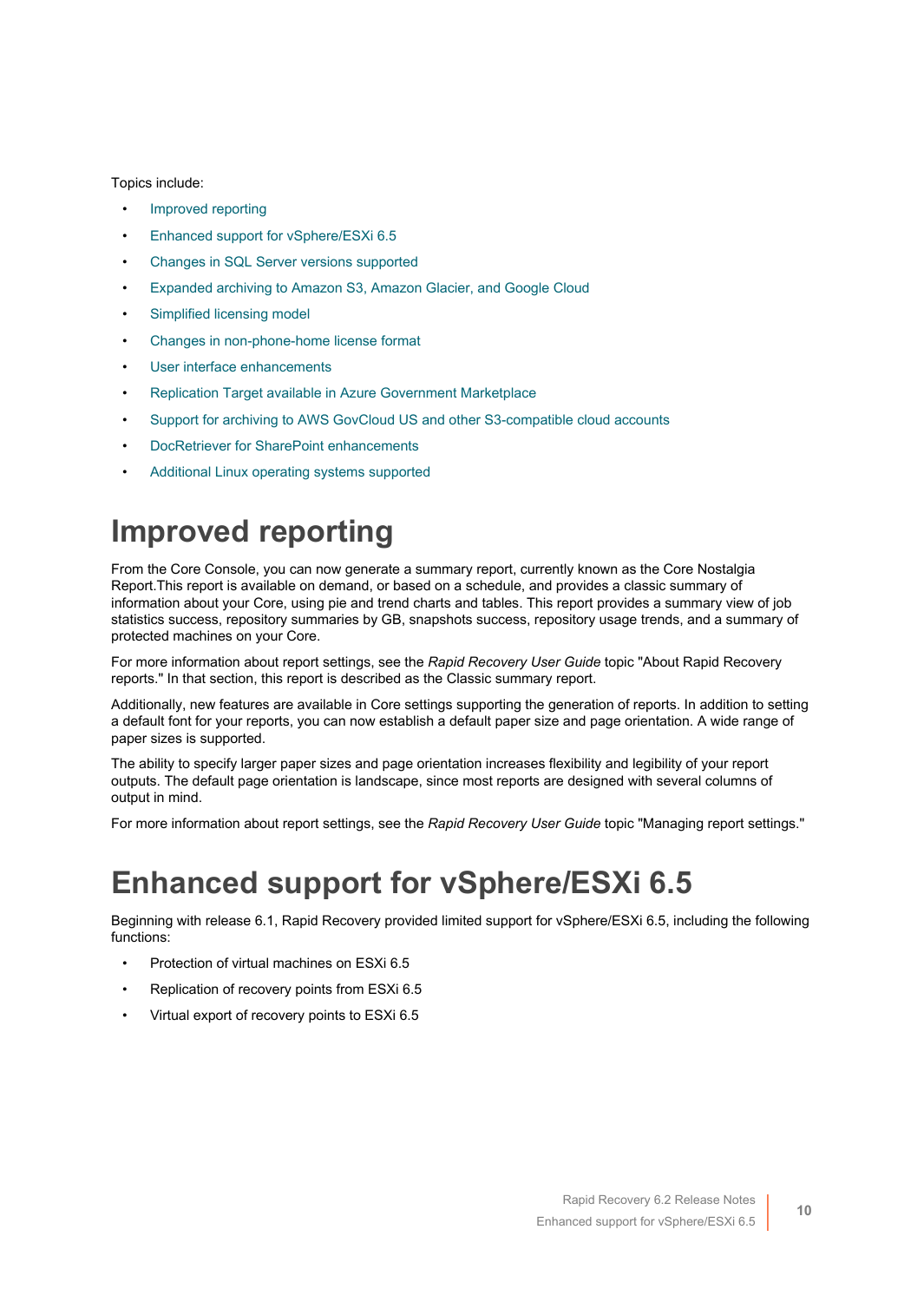#### Topics include:

- [Improved reporting](#page-9-0)
- [Enhanced support for vSphere/ESXi 6.5](#page-9-1)
- [Changes in SQL Server versions supported](#page-10-0)
- [Expanded archiving to Amazon S3, Amazon Glacier, and Google Cloud](#page-10-1)
- [Simplified licensing model](#page-11-0)
- [Changes in non-phone-home license format](#page-11-1)
- [User interface enhancements](#page-11-2)
- [Replication Target available in Azure Government Marketplace](#page-12-0)
- [Support for archiving to AWS GovCloud US and other S3-compatible cloud accounts](#page-12-1)
- [DocRetriever for SharePoint enhancements](#page-12-2)
- [Additional Linux operating systems supported](#page-13-1)

### <span id="page-9-0"></span>**Improved reporting**

From the Core Console, you can now generate a summary report, currently known as the Core Nostalgia Report.This report is available on demand, or based on a schedule, and provides a classic summary of information about your Core, using pie and trend charts and tables. This report provides a summary view of job statistics success, repository summaries by GB, snapshots success, repository usage trends, and a summary of protected machines on your Core.

For more information about report settings, see the *Rapid Recovery User Guide* topic "About Rapid Recovery reports." In that section, this report is described as the Classic summary report.

Additionally, new features are available in Core settings supporting the generation of reports. In addition to setting a default font for your reports, you can now establish a default paper size and page orientation. A wide range of paper sizes is supported.

The ability to specify larger paper sizes and page orientation increases flexibility and legibility of your report outputs. The default page orientation is landscape, since most reports are designed with several columns of output in mind.

For more information about report settings, see the *Rapid Recovery User Guide* topic "Managing report settings."

### <span id="page-9-1"></span>**Enhanced support for vSphere/ESXi 6.5**

Beginning with release 6.1, Rapid Recovery provided limited support for vSphere/ESXi 6.5, including the following functions:

- Protection of virtual machines on ESXi 6.5
- Replication of recovery points from ESXi 6.5
- Virtual export of recovery points to ESXi 6.5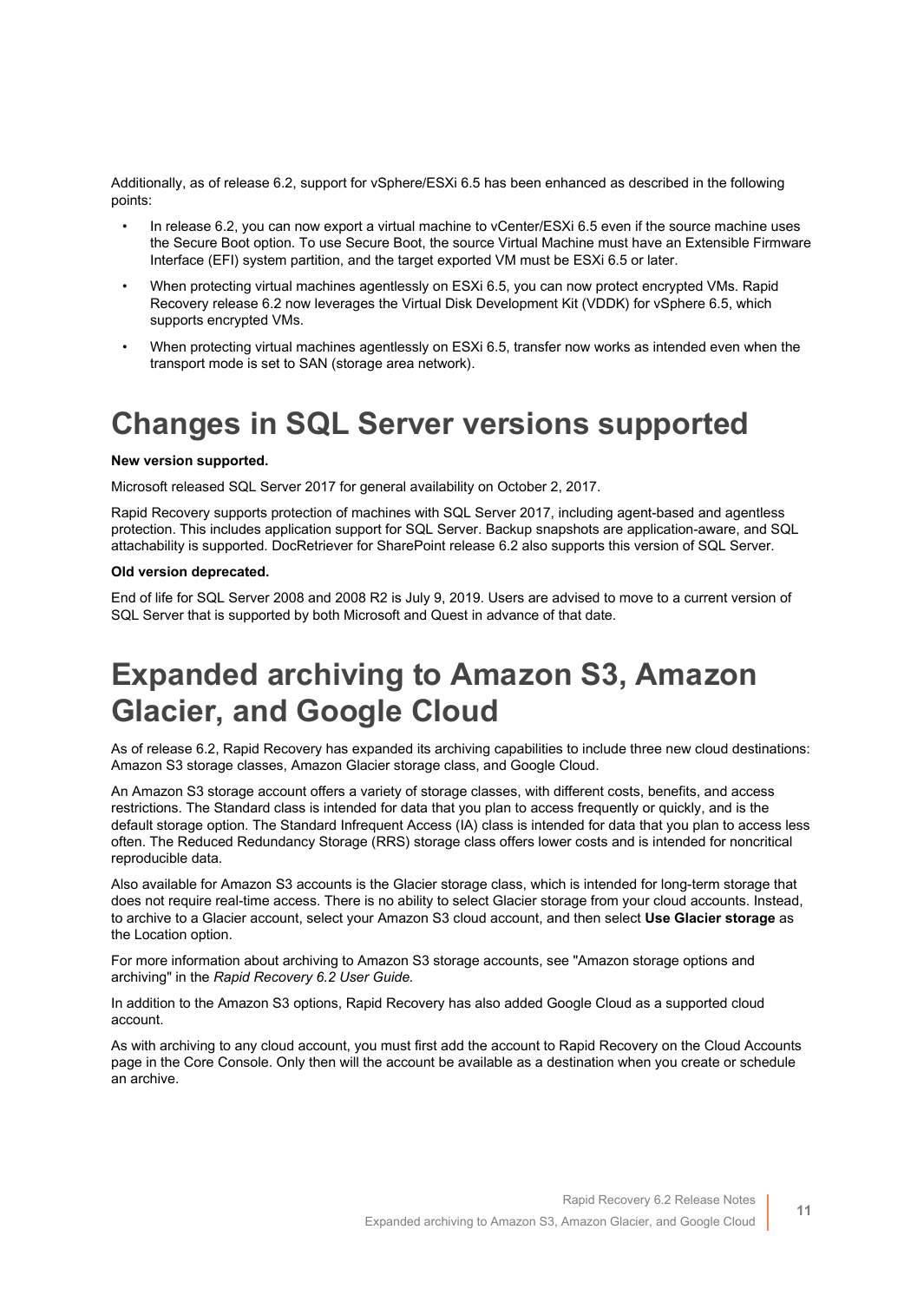Additionally, as of release 6.2, support for vSphere/ESXi 6.5 has been enhanced as described in the following points:

- In release 6.2, you can now export a virtual machine to vCenter/ESXi 6.5 even if the source machine uses the Secure Boot option. To use Secure Boot, the source Virtual Machine must have an Extensible Firmware Interface (EFI) system partition, and the target exported VM must be ESXi 6.5 or later.
- When protecting virtual machines agentlessly on ESXi 6.5, you can now protect encrypted VMs. Rapid Recovery release 6.2 now leverages the Virtual Disk Development Kit (VDDK) for vSphere 6.5, which supports encrypted VMs.
- When protecting virtual machines agentlessly on ESXi 6.5, transfer now works as intended even when the transport mode is set to SAN (storage area network).

#### <span id="page-10-0"></span>**Changes in SQL Server versions supported**

#### **New version supported.**

Microsoft released SQL Server 2017 for general availability on October 2, 2017.

Rapid Recovery supports protection of machines with SQL Server 2017, including agent-based and agentless protection. This includes application support for SQL Server. Backup snapshots are application-aware, and SQL attachability is supported. DocRetriever for SharePoint release 6.2 also supports this version of SQL Server.

#### **Old version deprecated.**

End of life for SQL Server 2008 and 2008 R2 is July 9, 2019. Users are advised to move to a current version of SQL Server that is supported by both Microsoft and Quest in advance of that date.

### <span id="page-10-1"></span>**Expanded archiving to Amazon S3, Amazon Glacier, and Google Cloud**

As of release 6.2, Rapid Recovery has expanded its archiving capabilities to include three new cloud destinations: Amazon S3 storage classes, Amazon Glacier storage class, and Google Cloud.

An Amazon S3 storage account offers a variety of storage classes, with different costs, benefits, and access restrictions. The Standard class is intended for data that you plan to access frequently or quickly, and is the default storage option. The Standard Infrequent Access (IA) class is intended for data that you plan to access less often. The Reduced Redundancy Storage (RRS) storage class offers lower costs and is intended for noncritical reproducible data.

Also available for Amazon S3 accounts is the Glacier storage class, which is intended for long-term storage that does not require real-time access. There is no ability to select Glacier storage from your cloud accounts. Instead, to archive to a Glacier account, select your Amazon S3 cloud account, and then select **Use Glacier storage** as the Location option.

For more information about archiving to Amazon S3 storage accounts, see "Amazon storage options and archiving" in the *Rapid Recovery 6.2 User Guide.*

In addition to the Amazon S3 options, Rapid Recovery has also added Google Cloud as a supported cloud account.

As with archiving to any cloud account, you must first add the account to Rapid Recovery on the Cloud Accounts page in the Core Console. Only then will the account be available as a destination when you create or schedule an archive.

**11**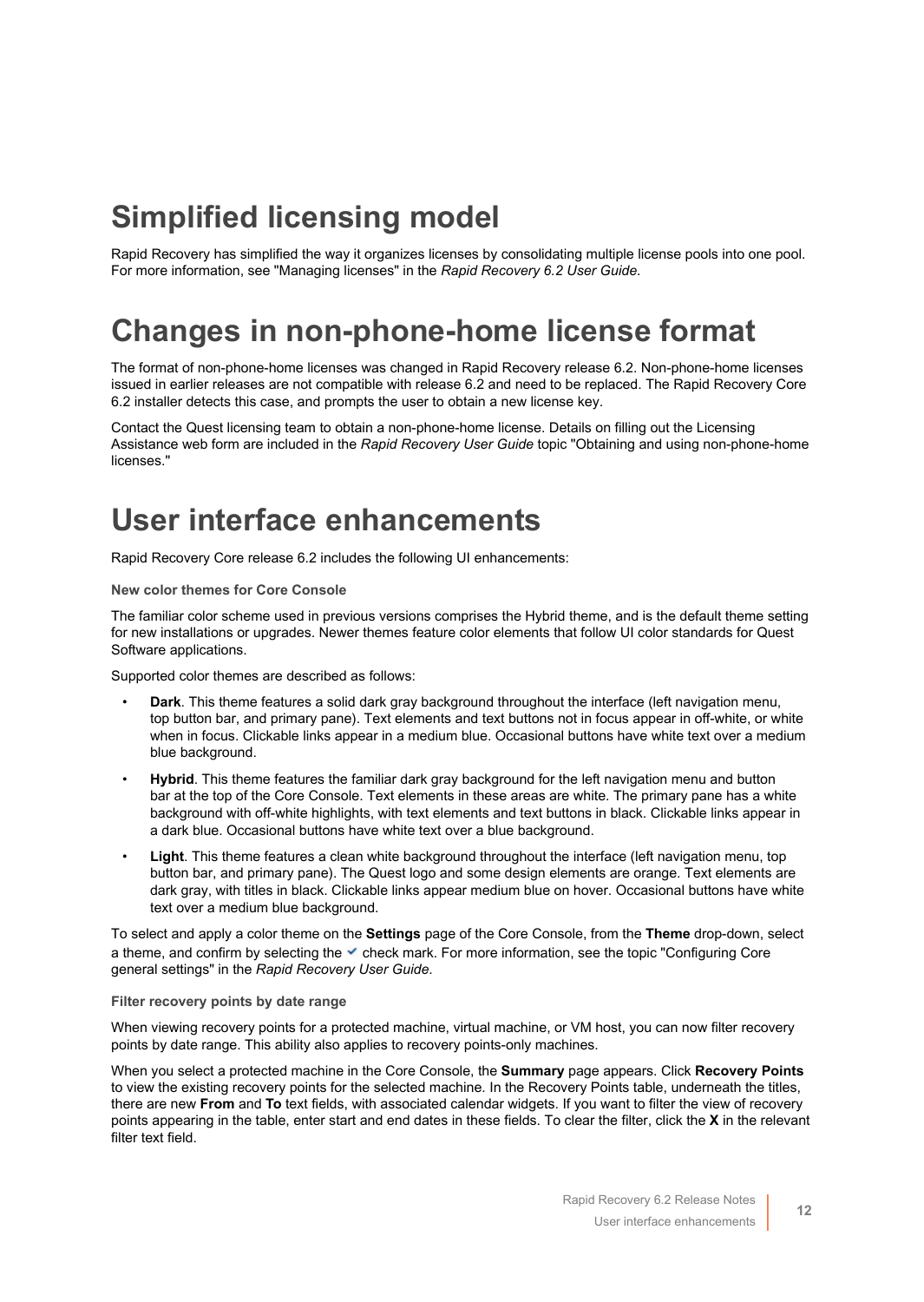### <span id="page-11-0"></span>**Simplified licensing model**

Rapid Recovery has simplified the way it organizes licenses by consolidating multiple license pools into one pool. For more information, see "Managing licenses" in the *Rapid Recovery 6.2 User Guide*.

### <span id="page-11-1"></span>**Changes in non-phone-home license format**

The format of non-phone-home licenses was changed in Rapid Recovery release 6.2. Non-phone-home licenses issued in earlier releases are not compatible with release 6.2 and need to be replaced. The Rapid Recovery Core 6.2 installer detects this case, and prompts the user to obtain a new license key.

Contact the Quest licensing team to obtain a non-phone-home license. Details on filling out the Licensing Assistance web form are included in the *Rapid Recovery User Guide* topic "Obtaining and using non-phone-home licenses."

#### <span id="page-11-2"></span>**User interface enhancements**

Rapid Recovery Core release 6.2 includes the following UI enhancements:

#### **New color themes for Core Console**

The familiar color scheme used in previous versions comprises the Hybrid theme, and is the default theme setting for new installations or upgrades. Newer themes feature color elements that follow UI color standards for Quest Software applications.

Supported color themes are described as follows:

- **Dark**. This theme features a solid dark gray background throughout the interface (left navigation menu, top button bar, and primary pane). Text elements and text buttons not in focus appear in off-white, or white when in focus. Clickable links appear in a medium blue. Occasional buttons have white text over a medium blue background.
- **Hybrid**. This theme features the familiar dark gray background for the left navigation menu and button bar at the top of the Core Console. Text elements in these areas are white. The primary pane has a white background with off-white highlights, with text elements and text buttons in black. Clickable links appear in a dark blue. Occasional buttons have white text over a blue background.
- **Light**. This theme features a clean white background throughout the interface (left navigation menu, top button bar, and primary pane). The Quest logo and some design elements are orange. Text elements are dark gray, with titles in black. Clickable links appear medium blue on hover. Occasional buttons have white text over a medium blue background.

To select and apply a color theme on the **Settings** page of the Core Console, from the **Theme** drop-down, select a theme, and confirm by selecting the  $\checkmark$  check mark. For more information, see the topic "Configuring Core general settings" in the *Rapid Recovery User Guide*.

#### **Filter recovery points by date range**

When viewing recovery points for a protected machine, virtual machine, or VM host, you can now filter recovery points by date range. This ability also applies to recovery points-only machines.

When you select a protected machine in the Core Console, the **Summary** page appears. Click **Recovery Points** to view the existing recovery points for the selected machine. In the Recovery Points table, underneath the titles, there are new **From** and **To** text fields, with associated calendar widgets. If you want to filter the view of recovery points appearing in the table, enter start and end dates in these fields. To clear the filter, click the **X** in the relevant filter text field.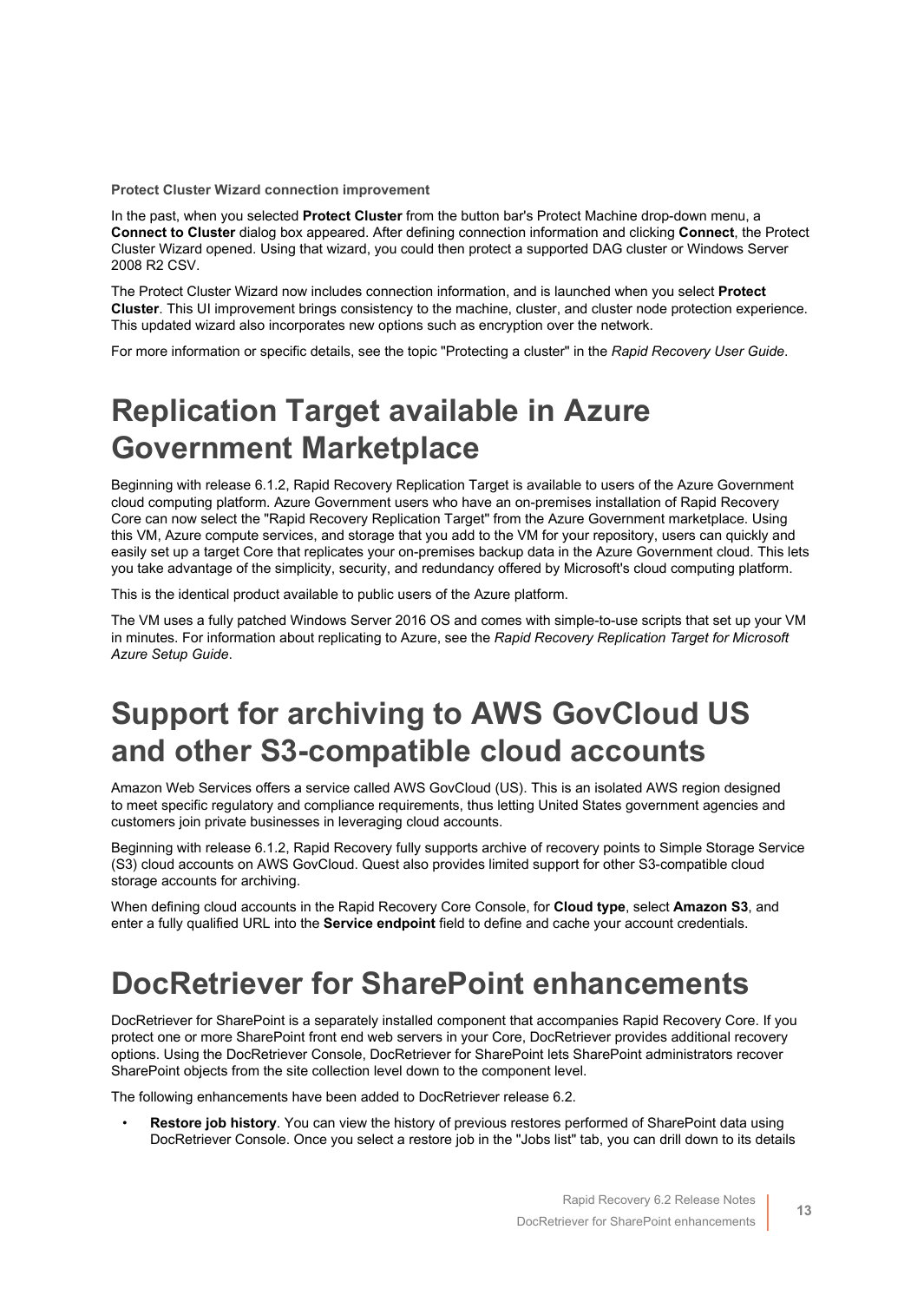**Protect Cluster Wizard connection improvement**

In the past, when you selected **Protect Cluster** from the button bar's Protect Machine drop-down menu, a **Connect to Cluster** dialog box appeared. After defining connection information and clicking **Connect**, the Protect Cluster Wizard opened. Using that wizard, you could then protect a supported DAG cluster or Windows Server 2008 R2 CSV.

The Protect Cluster Wizard now includes connection information, and is launched when you select **Protect Cluster**. This UI improvement brings consistency to the machine, cluster, and cluster node protection experience. This updated wizard also incorporates new options such as encryption over the network.

For more information or specific details, see the topic "Protecting a cluster" in the *Rapid Recovery User Guide*.

### <span id="page-12-0"></span>**Replication Target available in Azure Government Marketplace**

Beginning with release 6.1.2, Rapid Recovery Replication Target is available to users of the Azure Government cloud computing platform. Azure Government users who have an on-premises installation of Rapid Recovery Core can now select the "Rapid Recovery Replication Target" from the Azure Government marketplace. Using this VM, Azure compute services, and storage that you add to the VM for your repository, users can quickly and easily set up a target Core that replicates your on-premises backup data in the Azure Government cloud. This lets you take advantage of the simplicity, security, and redundancy offered by Microsoft's cloud computing platform.

This is the identical product available to public users of the Azure platform.

The VM uses a fully patched Windows Server 2016 OS and comes with simple-to-use scripts that set up your VM in minutes. For information about replicating to Azure, see the *Rapid Recovery Replication Target for Microsoft Azure Setup Guide*.

### <span id="page-12-1"></span>**Support for archiving to AWS GovCloud US and other S3-compatible cloud accounts**

Amazon Web Services offers a service called AWS GovCloud (US). This is an isolated AWS region designed to meet specific regulatory and compliance requirements, thus letting United States government agencies and customers join private businesses in leveraging cloud accounts.

Beginning with release 6.1.2, Rapid Recovery fully supports archive of recovery points to Simple Storage Service (S3) cloud accounts on AWS GovCloud. Quest also provides limited support for other S3-compatible cloud storage accounts for archiving.

When defining cloud accounts in the Rapid Recovery Core Console, for **Cloud type**, select **Amazon S3**, and enter a fully qualified URL into the **Service endpoint** field to define and cache your account credentials.

### <span id="page-12-2"></span>**DocRetriever for SharePoint enhancements**

DocRetriever for SharePoint is a separately installed component that accompanies Rapid Recovery Core. If you protect one or more SharePoint front end web servers in your Core, DocRetriever provides additional recovery options. Using the DocRetriever Console, DocRetriever for SharePoint lets SharePoint administrators recover SharePoint objects from the site collection level down to the component level.

The following enhancements have been added to DocRetriever release 6.2.

• **Restore job history**. You can view the history of previous restores performed of SharePoint data using DocRetriever Console. Once you select a restore job in the "Jobs list" tab, you can drill down to its details

**13**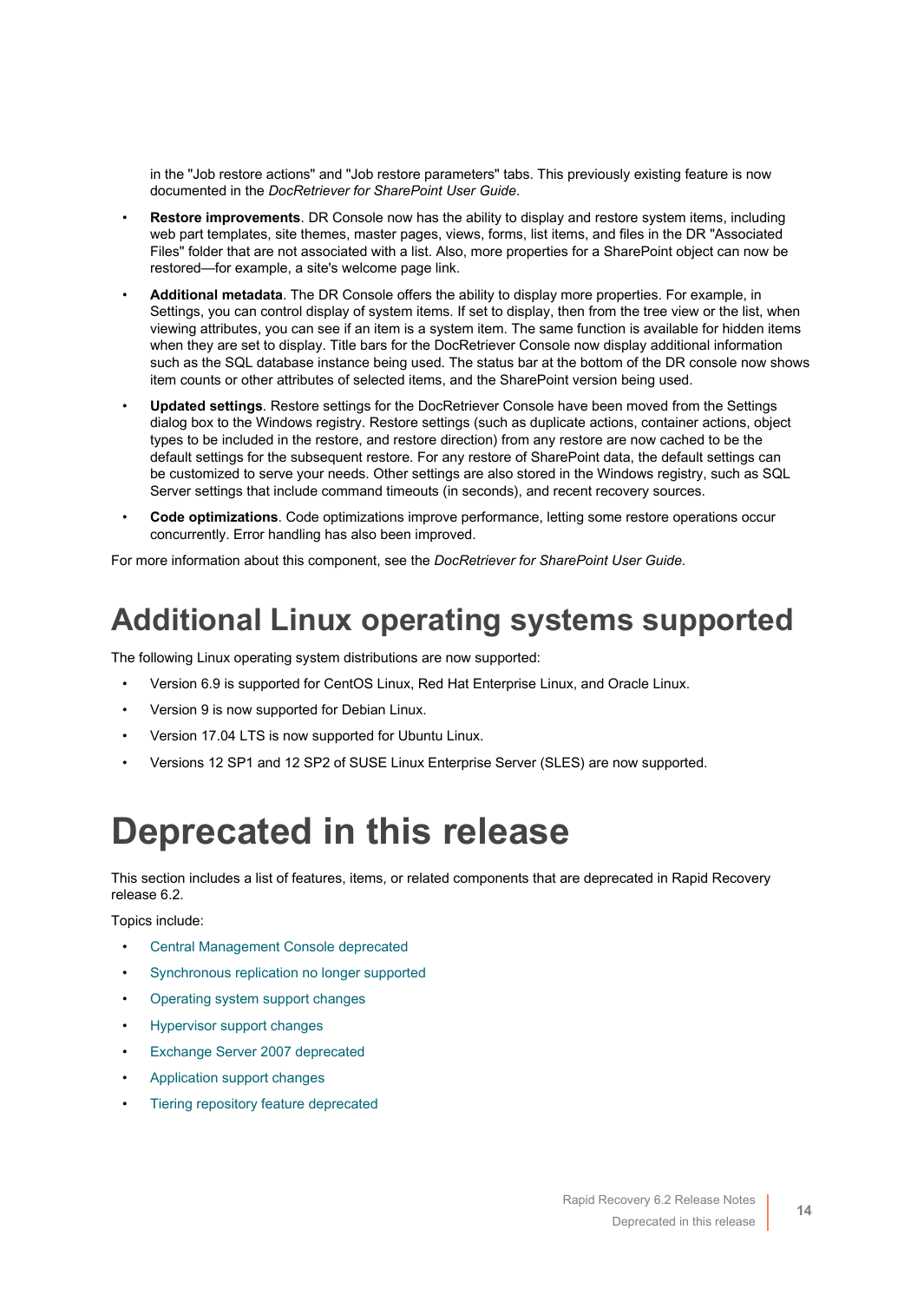in the "Job restore actions" and "Job restore parameters" tabs. This previously existing feature is now documented in the *DocRetriever for SharePoint User Guide*.

- **Restore improvements**. DR Console now has the ability to display and restore system items, including web part templates, site themes, master pages, views, forms, list items, and files in the DR "Associated Files" folder that are not associated with a list. Also, more properties for a SharePoint object can now be restored—for example, a site's welcome page link.
- **Additional metadata**. The DR Console offers the ability to display more properties. For example, in Settings, you can control display of system items. If set to display, then from the tree view or the list, when viewing attributes, you can see if an item is a system item. The same function is available for hidden items when they are set to display. Title bars for the DocRetriever Console now display additional information such as the SQL database instance being used. The status bar at the bottom of the DR console now shows item counts or other attributes of selected items, and the SharePoint version being used.
- **Updated settings**. Restore settings for the DocRetriever Console have been moved from the Settings dialog box to the Windows registry. Restore settings (such as duplicate actions, container actions, object types to be included in the restore, and restore direction) from any restore are now cached to be the default settings for the subsequent restore. For any restore of SharePoint data, the default settings can be customized to serve your needs. Other settings are also stored in the Windows registry, such as SQL Server settings that include command timeouts (in seconds), and recent recovery sources.
- **Code optimizations**. Code optimizations improve performance, letting some restore operations occur concurrently. Error handling has also been improved.

For more information about this component, see the *DocRetriever for SharePoint User Guide*.

### <span id="page-13-1"></span>**Additional Linux operating systems supported**

The following Linux operating system distributions are now supported:

- Version 6.9 is supported for CentOS Linux, Red Hat Enterprise Linux, and Oracle Linux.
- Version 9 is now supported for Debian Linux.
- Version 17.04 LTS is now supported for Ubuntu Linux.
- Versions 12 SP1 and 12 SP2 of SUSE Linux Enterprise Server (SLES) are now supported.

# <span id="page-13-0"></span>**Deprecated in this release**

This section includes a list of features, items, or related components that are deprecated in Rapid Recovery release 6.2.

Topics include:

- [Central Management Console deprecated](#page-14-0)
- [Synchronous replication no longer supported](#page-14-1)
- [Operating system support changes](#page-15-0)
- [Hypervisor support changes](#page-16-0)
- [Exchange Server 2007 deprecated](#page-17-1)
- [Application support changes](#page-17-2)
- [Tiering repository feature deprecated](#page-17-3)

**14**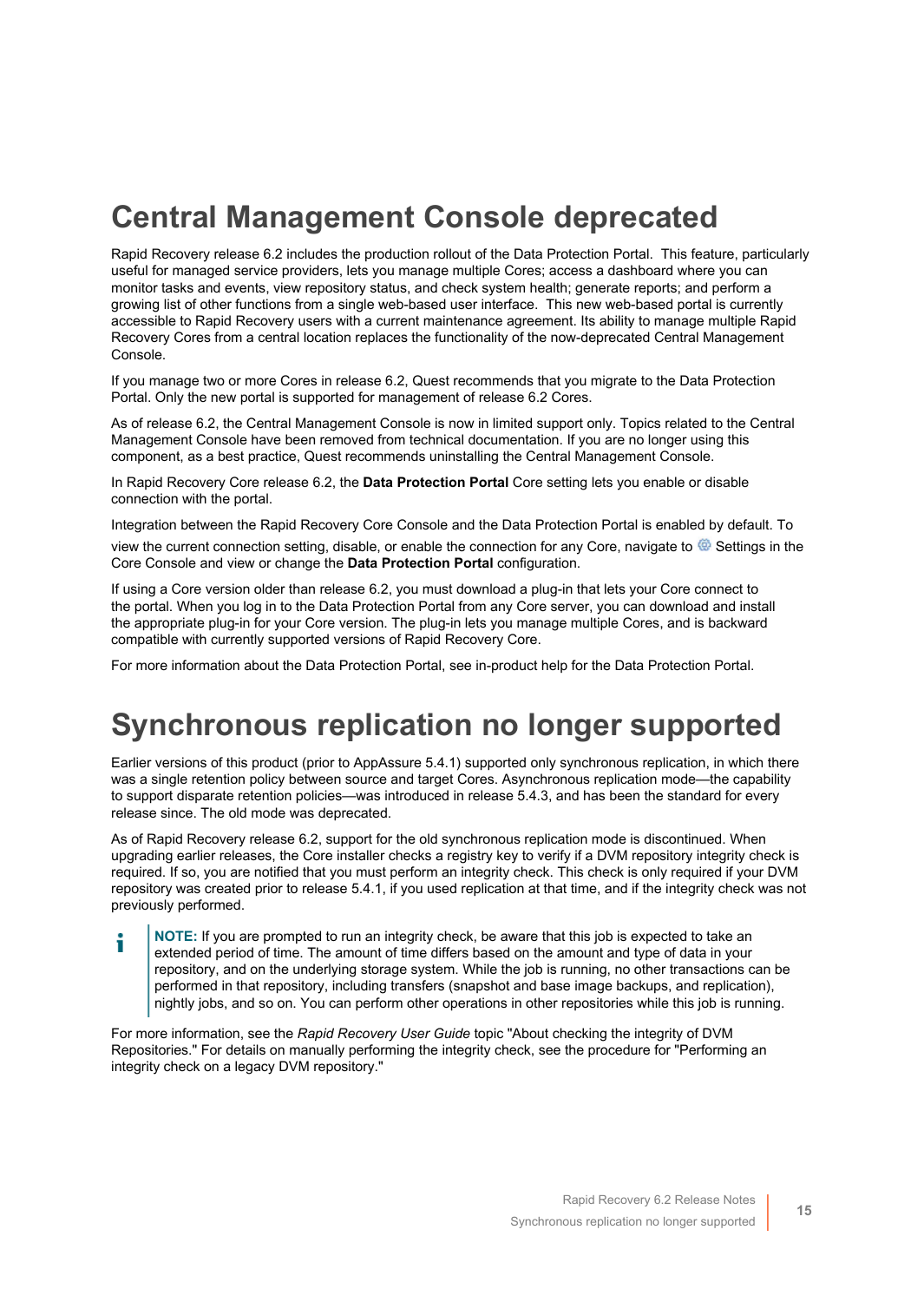### <span id="page-14-0"></span>**Central Management Console deprecated**

Rapid Recovery release 6.2 includes the production rollout of the Data Protection Portal. This feature, particularly useful for managed service providers, lets you manage multiple Cores; access a dashboard where you can monitor tasks and events, view repository status, and check system health; generate reports; and perform a growing list of other functions from a single web-based user interface. This new web-based portal is currently accessible to Rapid Recovery users with a current maintenance agreement. Its ability to manage multiple Rapid Recovery Cores from a central location replaces the functionality of the now-deprecated Central Management Console.

If you manage two or more Cores in release 6.2, Quest recommends that you migrate to the Data Protection Portal. Only the new portal is supported for management of release 6.2 Cores.

As of release 6.2, the Central Management Console is now in limited support only. Topics related to the Central Management Console have been removed from technical documentation. If you are no longer using this component, as a best practice, Quest recommends uninstalling the Central Management Console.

In Rapid Recovery Core release 6.2, the **Data Protection Portal** Core setting lets you enable or disable connection with the portal.

Integration between the Rapid Recovery Core Console and the Data Protection Portal is enabled by default. To view the current connection setting, disable, or enable the connection for any Core, navigate to  $\circledast$  Settings in the Core Console and view or change the **Data Protection Portal** configuration.

If using a Core version older than release 6.2, you must download a plug-in that lets your Core connect to the portal. When you log in to the Data Protection Portal from any Core server, you can download and install the appropriate plug-in for your Core version. The plug-in lets you manage multiple Cores, and is backward compatible with currently supported versions of Rapid Recovery Core.

For more information about the Data Protection Portal, see in-product help for the Data Protection Portal.

### <span id="page-14-1"></span>**Synchronous replication no longer supported**

Earlier versions of this product (prior to AppAssure 5.4.1) supported only synchronous replication, in which there was a single retention policy between source and target Cores. Asynchronous replication mode—the capability to support disparate retention policies—was introduced in release 5.4.3, and has been the standard for every release since. The old mode was deprecated.

As of Rapid Recovery release 6.2, support for the old synchronous replication mode is discontinued. When upgrading earlier releases, the Core installer checks a registry key to verify if a DVM repository integrity check is required. If so, you are notified that you must perform an integrity check. This check is only required if your DVM repository was created prior to release 5.4.1, if you used replication at that time, and if the integrity check was not previously performed.

**NOTE:** If you are prompted to run an integrity check, be aware that this job is expected to take an i extended period of time. The amount of time differs based on the amount and type of data in your repository, and on the underlying storage system. While the job is running, no other transactions can be performed in that repository, including transfers (snapshot and base image backups, and replication), nightly jobs, and so on. You can perform other operations in other repositories while this job is running.

For more information, see the *Rapid Recovery User Guide* topic "About checking the integrity of DVM Repositories." For details on manually performing the integrity check, see the procedure for "Performing an integrity check on a legacy DVM repository."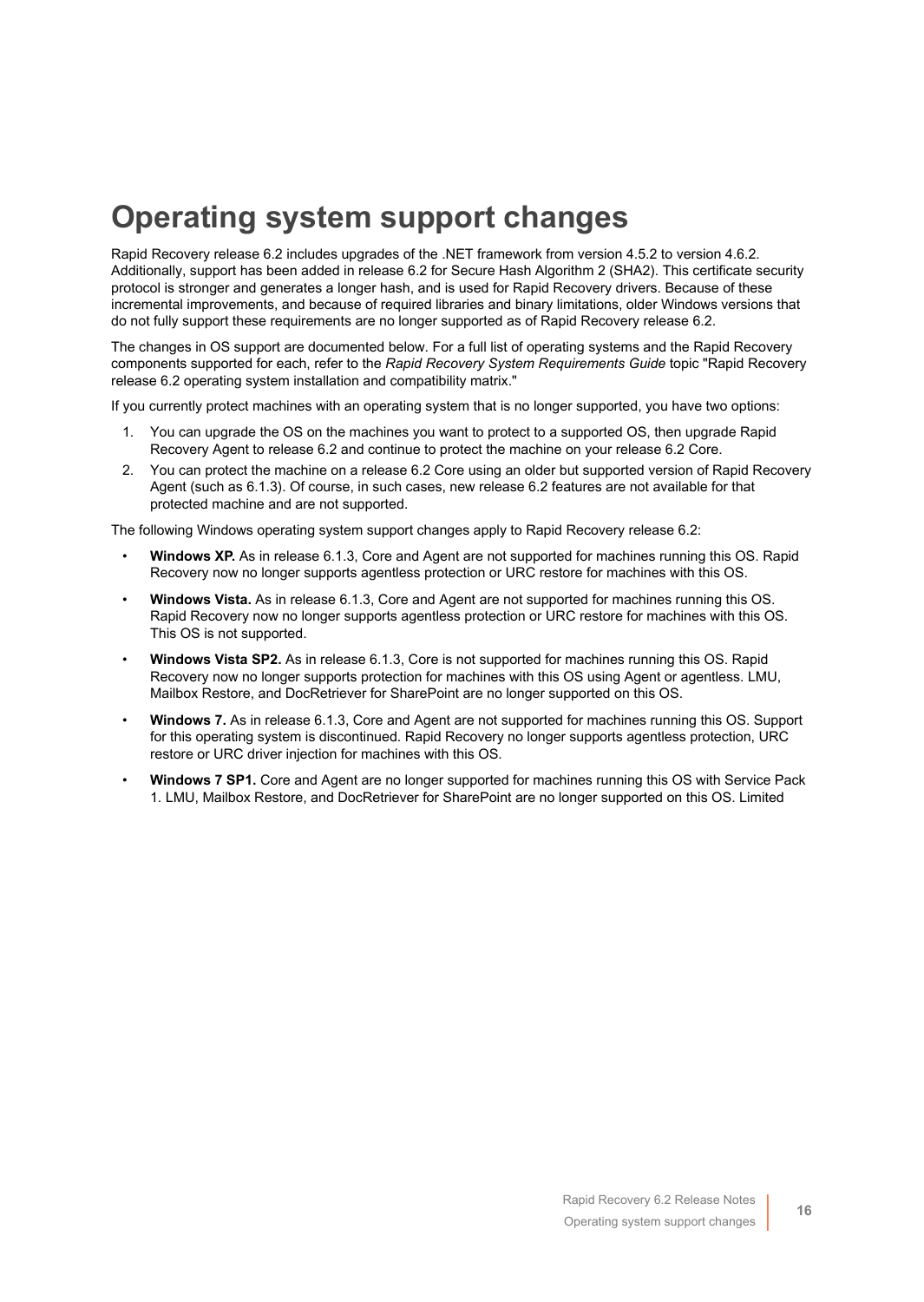### <span id="page-15-0"></span>**Operating system support changes**

Rapid Recovery release 6.2 includes upgrades of the .NET framework from version 4.5.2 to version 4.6.2. Additionally, support has been added in release 6.2 for Secure Hash Algorithm 2 (SHA2). This certificate security protocol is stronger and generates a longer hash, and is used for Rapid Recovery drivers. Because of these incremental improvements, and because of required libraries and binary limitations, older Windows versions that do not fully support these requirements are no longer supported as of Rapid Recovery release 6.2.

The changes in OS support are documented below. For a full list of operating systems and the Rapid Recovery components supported for each, refer to the *Rapid Recovery System Requirements Guide* topic "Rapid Recovery release 6.2 operating system installation and compatibility matrix."

If you currently protect machines with an operating system that is no longer supported, you have two options:

- 1. You can upgrade the OS on the machines you want to protect to a supported OS, then upgrade Rapid Recovery Agent to release 6.2 and continue to protect the machine on your release 6.2 Core.
- 2. You can protect the machine on a release 6.2 Core using an older but supported version of Rapid Recovery Agent (such as 6.1.3). Of course, in such cases, new release 6.2 features are not available for that protected machine and are not supported.

The following Windows operating system support changes apply to Rapid Recovery release 6.2:

- **Windows XP.** As in release 6.1.3, Core and Agent are not supported for machines running this OS. Rapid Recovery now no longer supports agentless protection or URC restore for machines with this OS.
- **Windows Vista.** As in release 6.1.3, Core and Agent are not supported for machines running this OS. Rapid Recovery now no longer supports agentless protection or URC restore for machines with this OS. This OS is not supported.
- **Windows Vista SP2.** As in release 6.1.3, Core is not supported for machines running this OS. Rapid Recovery now no longer supports protection for machines with this OS using Agent or agentless. LMU, Mailbox Restore, and DocRetriever for SharePoint are no longer supported on this OS.
- **Windows 7.** As in release 6.1.3, Core and Agent are not supported for machines running this OS. Support for this operating system is discontinued. Rapid Recovery no longer supports agentless protection, URC restore or URC driver injection for machines with this OS.
- **Windows 7 SP1.** Core and Agent are no longer supported for machines running this OS with Service Pack 1. LMU, Mailbox Restore, and DocRetriever for SharePoint are no longer supported on this OS. Limited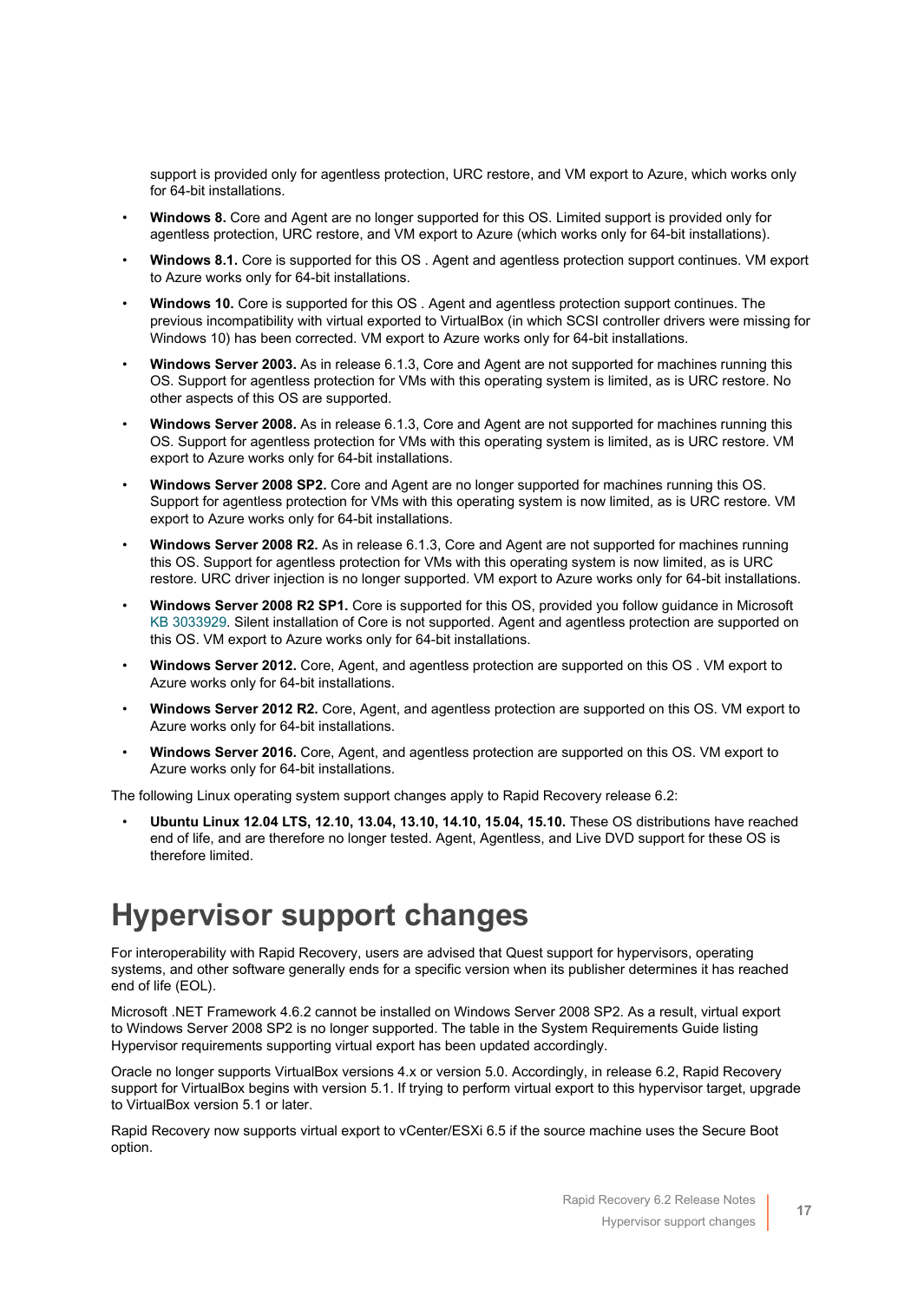support is provided only for agentless protection, URC restore, and VM export to Azure, which works only for 64-bit installations.

- **Windows 8.** Core and Agent are no longer supported for this OS. Limited support is provided only for agentless protection, URC restore, and VM export to Azure (which works only for 64-bit installations).
- **Windows 8.1.** Core is supported for this OS . Agent and agentless protection support continues. VM export to Azure works only for 64-bit installations.
- **Windows 10.** Core is supported for this OS . Agent and agentless protection support continues. The previous incompatibility with virtual exported to VirtualBox (in which SCSI controller drivers were missing for Windows 10) has been corrected. VM export to Azure works only for 64-bit installations.
- **Windows Server 2003.** As in release 6.1.3, Core and Agent are not supported for machines running this OS. Support for agentless protection for VMs with this operating system is limited, as is URC restore. No other aspects of this OS are supported.
- **Windows Server 2008.** As in release 6.1.3, Core and Agent are not supported for machines running this OS. Support for agentless protection for VMs with this operating system is limited, as is URC restore. VM export to Azure works only for 64-bit installations.
- **Windows Server 2008 SP2.** Core and Agent are no longer supported for machines running this OS. Support for agentless protection for VMs with this operating system is now limited, as is URC restore. VM export to Azure works only for 64-bit installations.
- **Windows Server 2008 R2.** As in release 6.1.3, Core and Agent are not supported for machines running this OS. Support for agentless protection for VMs with this operating system is now limited, as is URC restore. URC driver injection is no longer supported. VM export to Azure works only for 64-bit installations.
- **Windows Server 2008 R2 SP1.** Core is supported for this OS, provided you follow guidance in Microsoft [KB 3033929.](https://support.microsoft.com/en-us/help/3033929/microsoft-security-advisory-availability-of-sha-2-code-signing-support) Silent installation of Core is not supported. Agent and agentless protection are supported on this OS. VM export to Azure works only for 64-bit installations.
- **Windows Server 2012.** Core, Agent, and agentless protection are supported on this OS . VM export to Azure works only for 64-bit installations.
- **Windows Server 2012 R2.** Core, Agent, and agentless protection are supported on this OS. VM export to Azure works only for 64-bit installations.
- **Windows Server 2016.** Core, Agent, and agentless protection are supported on this OS. VM export to Azure works only for 64-bit installations.

The following Linux operating system support changes apply to Rapid Recovery release 6.2:

• **Ubuntu Linux 12.04 LTS, 12.10, 13.04, 13.10, 14.10, 15.04, 15.10.** These OS distributions have reached end of life, and are therefore no longer tested. Agent, Agentless, and Live DVD support for these OS is therefore limited.

### <span id="page-16-0"></span>**Hypervisor support changes**

For interoperability with Rapid Recovery, users are advised that Quest support for hypervisors, operating systems, and other software generally ends for a specific version when its publisher determines it has reached end of life (EOL).

Microsoft .NET Framework 4.6.2 cannot be installed on Windows Server 2008 SP2. As a result, virtual export to Windows Server 2008 SP2 is no longer supported. The table in the System Requirements Guide listing Hypervisor requirements supporting virtual export has been updated accordingly.

Oracle no longer supports VirtualBox versions 4.x or version 5.0. Accordingly, in release 6.2, Rapid Recovery support for VirtualBox begins with version 5.1. If trying to perform virtual export to this hypervisor target, upgrade to VirtualBox version 5.1 or later.

Rapid Recovery now supports virtual export to vCenter/ESXi 6.5 if the source machine uses the Secure Boot option.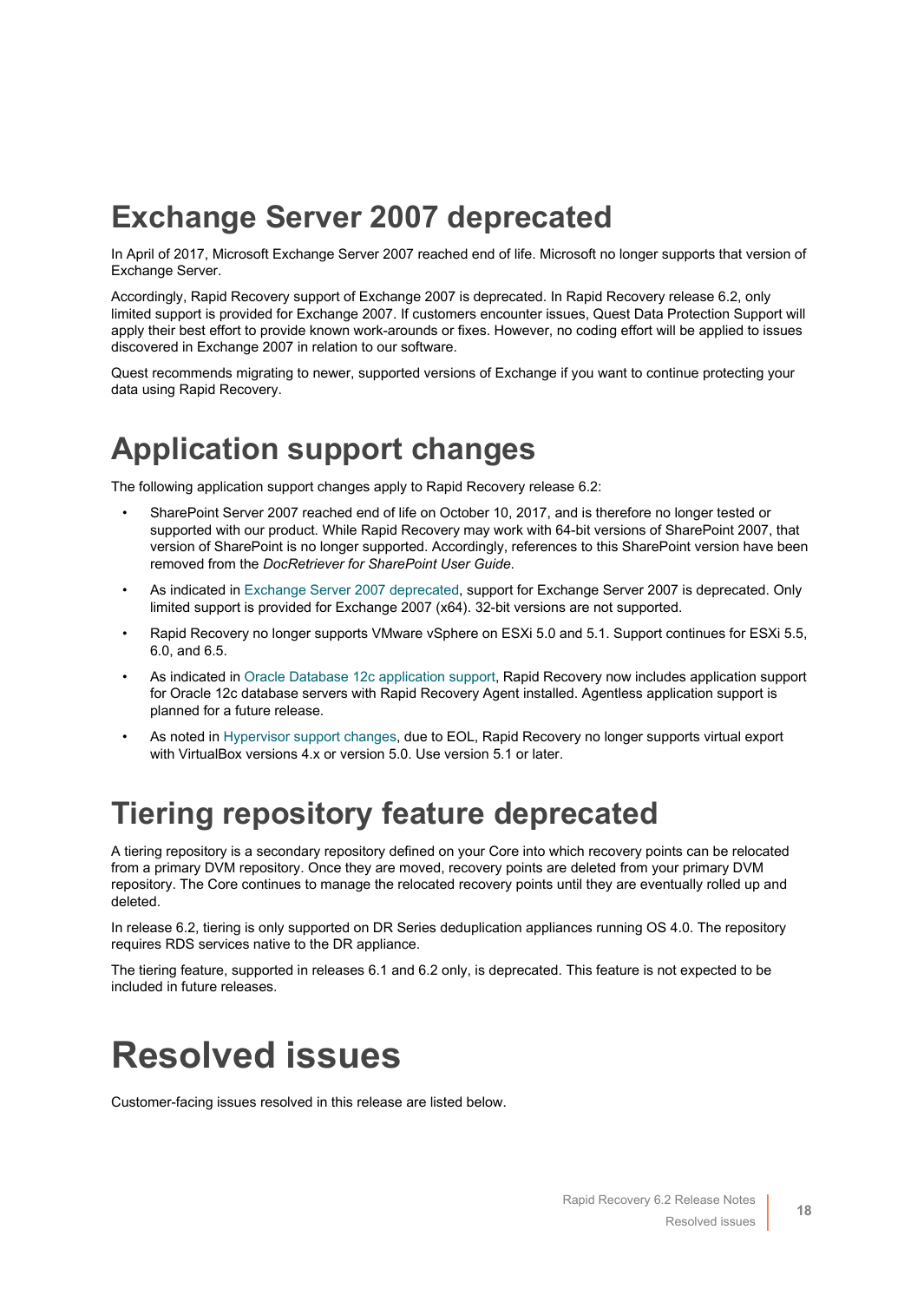### <span id="page-17-1"></span>**Exchange Server 2007 deprecated**

In April of 2017, Microsoft Exchange Server 2007 reached end of life. Microsoft no longer supports that version of Exchange Server.

Accordingly, Rapid Recovery support of Exchange 2007 is deprecated. In Rapid Recovery release 6.2, only limited support is provided for Exchange 2007. If customers encounter issues, Quest Data Protection Support will apply their best effort to provide known work-arounds or fixes. However, no coding effort will be applied to issues discovered in Exchange 2007 in relation to our software.

Quest recommends migrating to newer, supported versions of Exchange if you want to continue protecting your data using Rapid Recovery.

### <span id="page-17-2"></span>**Application support changes**

The following application support changes apply to Rapid Recovery release 6.2:

- SharePoint Server 2007 reached end of life on October 10, 2017, and is therefore no longer tested or supported with our product. While Rapid Recovery may work with 64-bit versions of SharePoint 2007, that version of SharePoint is no longer supported. Accordingly, references to this SharePoint version have been removed from the *DocRetriever for SharePoint User Guide*.
- As indicated in [Exchange Server 2007 deprecated](#page-17-1), support for Exchange Server 2007 is deprecated. Only limited support is provided for Exchange 2007 (x64). 32-bit versions are not supported.
- Rapid Recovery no longer supports VMware vSphere on ESXi 5.0 and 5.1. Support continues for ESXi 5.5, 6.0, and 6.5.
- As indicated in [Oracle Database 12c application support,](#page-5-0) Rapid Recovery now includes application support for Oracle 12c database servers with Rapid Recovery Agent installed. Agentless application support is planned for a future release.
- As noted in [Hypervisor support changes,](#page-16-0) due to EOL, Rapid Recovery no longer supports virtual export with VirtualBox versions 4.x or version 5.0. Use version 5.1 or later.

### <span id="page-17-3"></span>**Tiering repository feature deprecated**

A tiering repository is a secondary repository defined on your Core into which recovery points can be relocated from a primary DVM repository. Once they are moved, recovery points are deleted from your primary DVM repository. The Core continues to manage the relocated recovery points until they are eventually rolled up and deleted.

In release 6.2, tiering is only supported on DR Series deduplication appliances running OS 4.0. The repository requires RDS services native to the DR appliance.

The tiering feature, supported in releases 6.1 and 6.2 only, is deprecated. This feature is not expected to be included in future releases.

# <span id="page-17-0"></span>**Resolved issues**

Customer-facing issues resolved in this release are listed below.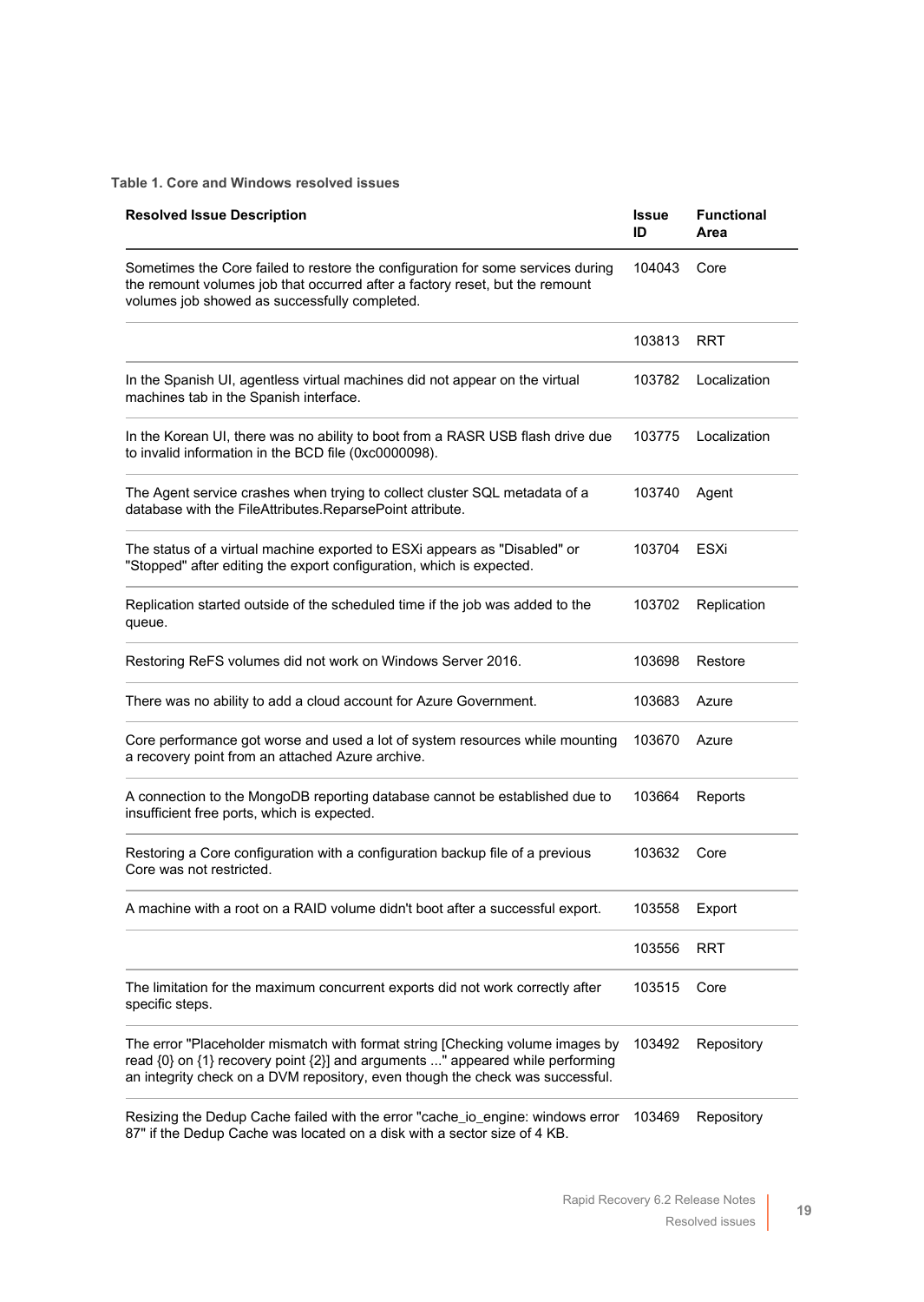#### **Table 1. Core and Windows resolved issues**

| <b>Resolved Issue Description</b>                                                                                                                                                                                                               | <b>Issue</b><br>ID | <b>Functional</b><br>Area |
|-------------------------------------------------------------------------------------------------------------------------------------------------------------------------------------------------------------------------------------------------|--------------------|---------------------------|
| Sometimes the Core failed to restore the configuration for some services during<br>the remount volumes job that occurred after a factory reset, but the remount<br>volumes job showed as successfully completed.                                | 104043             | Core                      |
|                                                                                                                                                                                                                                                 | 103813             | <b>RRT</b>                |
| In the Spanish UI, agentless virtual machines did not appear on the virtual<br>machines tab in the Spanish interface.                                                                                                                           | 103782             | Localization              |
| In the Korean UI, there was no ability to boot from a RASR USB flash drive due<br>to invalid information in the BCD file (0xc0000098).                                                                                                          | 103775             | Localization              |
| The Agent service crashes when trying to collect cluster SQL metadata of a<br>database with the FileAttributes.ReparsePoint attribute.                                                                                                          | 103740             | Agent                     |
| The status of a virtual machine exported to ESXi appears as "Disabled" or<br>"Stopped" after editing the export configuration, which is expected.                                                                                               | 103704             | ESXi                      |
| Replication started outside of the scheduled time if the job was added to the<br>queue.                                                                                                                                                         | 103702             | Replication               |
| Restoring ReFS volumes did not work on Windows Server 2016.                                                                                                                                                                                     | 103698             | Restore                   |
| There was no ability to add a cloud account for Azure Government.                                                                                                                                                                               | 103683             | Azure                     |
| Core performance got worse and used a lot of system resources while mounting<br>a recovery point from an attached Azure archive.                                                                                                                | 103670             | Azure                     |
| A connection to the MongoDB reporting database cannot be established due to<br>insufficient free ports, which is expected.                                                                                                                      | 103664             | Reports                   |
| Restoring a Core configuration with a configuration backup file of a previous<br>Core was not restricted.                                                                                                                                       | 103632             | Core                      |
| A machine with a root on a RAID volume didn't boot after a successful export.                                                                                                                                                                   | 103558             | Export                    |
|                                                                                                                                                                                                                                                 | 103556             | <b>RRT</b>                |
| The limitation for the maximum concurrent exports did not work correctly after<br>specific steps.                                                                                                                                               | 103515             | Core                      |
| The error "Placeholder mismatch with format string [Checking volume images by<br>read {0} on {1} recovery point {2}] and arguments " appeared while performing<br>an integrity check on a DVM repository, even though the check was successful. | 103492             | Repository                |

Resizing the Dedup Cache failed with the error "cache\_io\_engine: windows error 103469 Repository87" if the Dedup Cache was located on a disk with a sector size of 4 KB.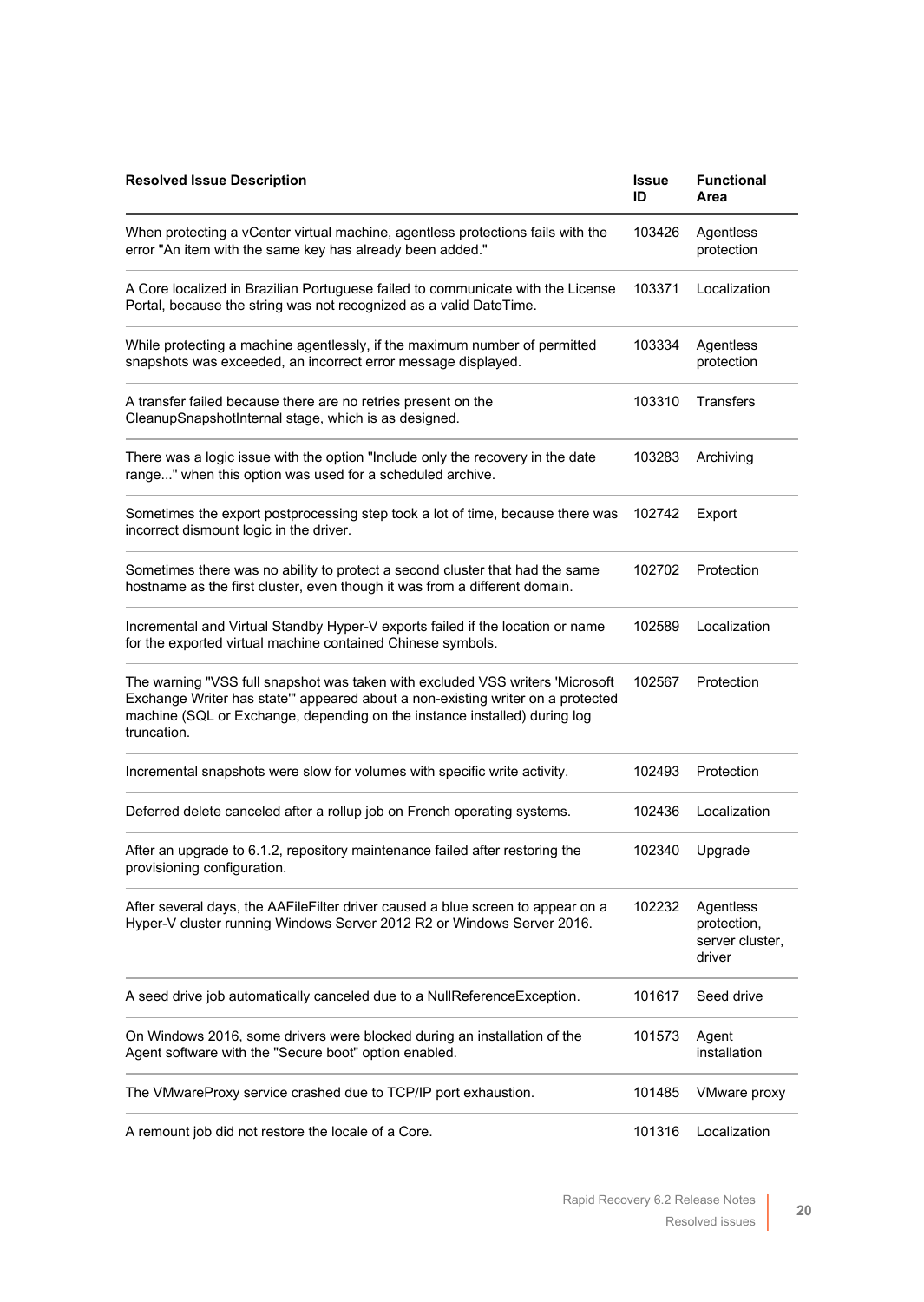| <b>Resolved Issue Description</b>                                                                                                                                                                                                                           | <b>Issue</b><br>ID | <b>Functional</b><br>Area                             |
|-------------------------------------------------------------------------------------------------------------------------------------------------------------------------------------------------------------------------------------------------------------|--------------------|-------------------------------------------------------|
| When protecting a vCenter virtual machine, agentless protections fails with the<br>error "An item with the same key has already been added."                                                                                                                | 103426             | Agentless<br>protection                               |
| A Core localized in Brazilian Portuguese failed to communicate with the License<br>Portal, because the string was not recognized as a valid DateTime.                                                                                                       | 103371             | Localization                                          |
| While protecting a machine agentlessly, if the maximum number of permitted<br>snapshots was exceeded, an incorrect error message displayed.                                                                                                                 | 103334             | Agentless<br>protection                               |
| A transfer failed because there are no retries present on the<br>CleanupSnapshotInternal stage, which is as designed.                                                                                                                                       | 103310             | <b>Transfers</b>                                      |
| There was a logic issue with the option "Include only the recovery in the date<br>range" when this option was used for a scheduled archive.                                                                                                                 | 103283             | Archiving                                             |
| Sometimes the export postprocessing step took a lot of time, because there was<br>incorrect dismount logic in the driver.                                                                                                                                   | 102742             | Export                                                |
| Sometimes there was no ability to protect a second cluster that had the same<br>hostname as the first cluster, even though it was from a different domain.                                                                                                  | 102702             | Protection                                            |
| Incremental and Virtual Standby Hyper-V exports failed if the location or name<br>for the exported virtual machine contained Chinese symbols.                                                                                                               | 102589             | Localization                                          |
| The warning "VSS full snapshot was taken with excluded VSS writers 'Microsoft<br>Exchange Writer has state" appeared about a non-existing writer on a protected<br>machine (SQL or Exchange, depending on the instance installed) during log<br>truncation. | 102567             | Protection                                            |
| Incremental snapshots were slow for volumes with specific write activity.                                                                                                                                                                                   | 102493             | Protection                                            |
| Deferred delete canceled after a rollup job on French operating systems.                                                                                                                                                                                    | 102436             | Localization                                          |
| After an upgrade to 6.1.2, repository maintenance failed after restoring the<br>provisioning configuration.                                                                                                                                                 | 102340             | Upgrade                                               |
| After several days, the AAFileFilter driver caused a blue screen to appear on a<br>Hyper-V cluster running Windows Server 2012 R2 or Windows Server 2016.                                                                                                   | 102232             | Agentless<br>protection,<br>server cluster,<br>driver |
| A seed drive job automatically canceled due to a NullReferenceException.                                                                                                                                                                                    | 101617             | Seed drive                                            |
| On Windows 2016, some drivers were blocked during an installation of the<br>Agent software with the "Secure boot" option enabled.                                                                                                                           | 101573             | Agent<br>installation                                 |
| The VMwareProxy service crashed due to TCP/IP port exhaustion.                                                                                                                                                                                              | 101485             | VMware proxy                                          |
| A remount job did not restore the locale of a Core.                                                                                                                                                                                                         | 101316             | Localization                                          |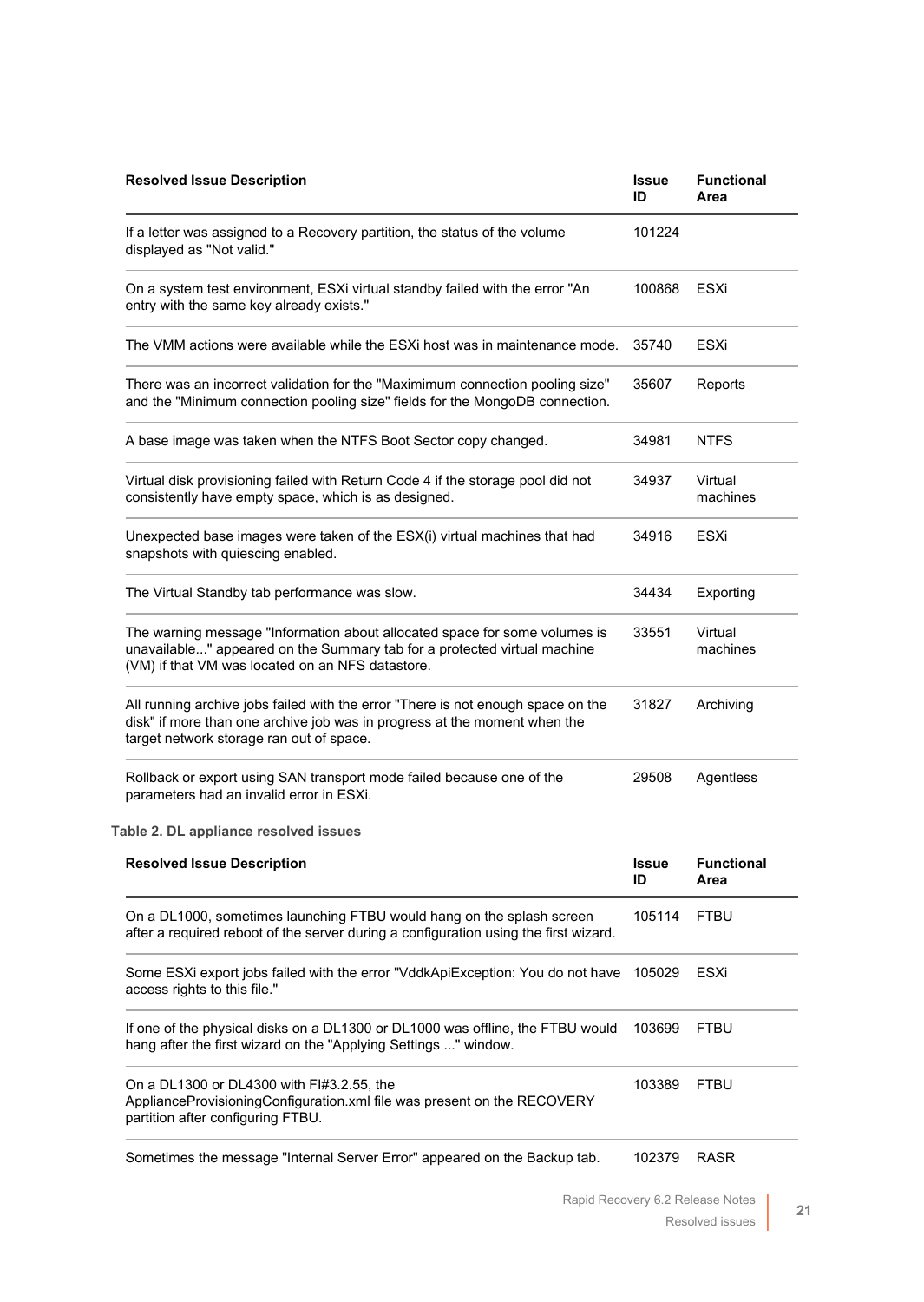| <b>Resolved Issue Description</b>                                                                                                                                                                          | <b>Issue</b><br>ID | <b>Functional</b><br>Area |
|------------------------------------------------------------------------------------------------------------------------------------------------------------------------------------------------------------|--------------------|---------------------------|
| If a letter was assigned to a Recovery partition, the status of the volume<br>displayed as "Not valid."                                                                                                    | 101224             |                           |
| On a system test environment, ESXi virtual standby failed with the error "An<br>entry with the same key already exists."                                                                                   | 100868             | ESXi                      |
| The VMM actions were available while the ESXi host was in maintenance mode.                                                                                                                                | 35740              | ESXi                      |
| There was an incorrect validation for the "Maximimum connection pooling size"<br>and the "Minimum connection pooling size" fields for the MongoDB connection.                                              | 35607              | Reports                   |
| A base image was taken when the NTFS Boot Sector copy changed.                                                                                                                                             | 34981              | <b>NTFS</b>               |
| Virtual disk provisioning failed with Return Code 4 if the storage pool did not<br>consistently have empty space, which is as designed.                                                                    | 34937              | Virtual<br>machines       |
| Unexpected base images were taken of the ESX(i) virtual machines that had<br>snapshots with quiescing enabled.                                                                                             | 34916              | ESXi                      |
| The Virtual Standby tab performance was slow.                                                                                                                                                              | 34434              | Exporting                 |
| The warning message "Information about allocated space for some volumes is<br>unavailable" appeared on the Summary tab for a protected virtual machine<br>(VM) if that VM was located on an NFS datastore. | 33551              | Virtual<br>machines       |
| All running archive jobs failed with the error "There is not enough space on the<br>disk" if more than one archive job was in progress at the moment when the<br>target network storage ran out of space.  | 31827              | Archiving                 |
| Rollback or export using SAN transport mode failed because one of the<br>parameters had an invalid error in ESXi.                                                                                          | 29508              | Agentless                 |
| Table 2. DL appliance resolved issues                                                                                                                                                                      |                    |                           |
| <b>Resolved Issue Description</b>                                                                                                                                                                          | <b>Issue</b><br>ID | <b>Functional</b><br>Area |
| On a DL1000, sometimes launching FTBU would hang on the splash screen<br>after a required reboot of the server during a configuration using the first wizard.                                              | 105114             | <b>FTBU</b>               |
| Some ESXi export jobs failed with the error "VddkApiException: You do not have<br>access rights to this file."                                                                                             | 105029             | ESXi                      |
| If one of the physical disks on a DL1300 or DL1000 was offline, the FTBU would<br>hang after the first wizard on the "Applying Settings " window.                                                          | 103699             | <b>FTBU</b>               |
| On a DL1300 or DL4300 with FI#3.2.55, the<br>ApplianceProvisioningConfiguration.xml file was present on the RECOVERY<br>partition after configuring FTBU.                                                  | 103389             | <b>FTBU</b>               |
| Sometimes the message "Internal Server Error" appeared on the Backup tab.                                                                                                                                  | 102379             | <b>RASR</b>               |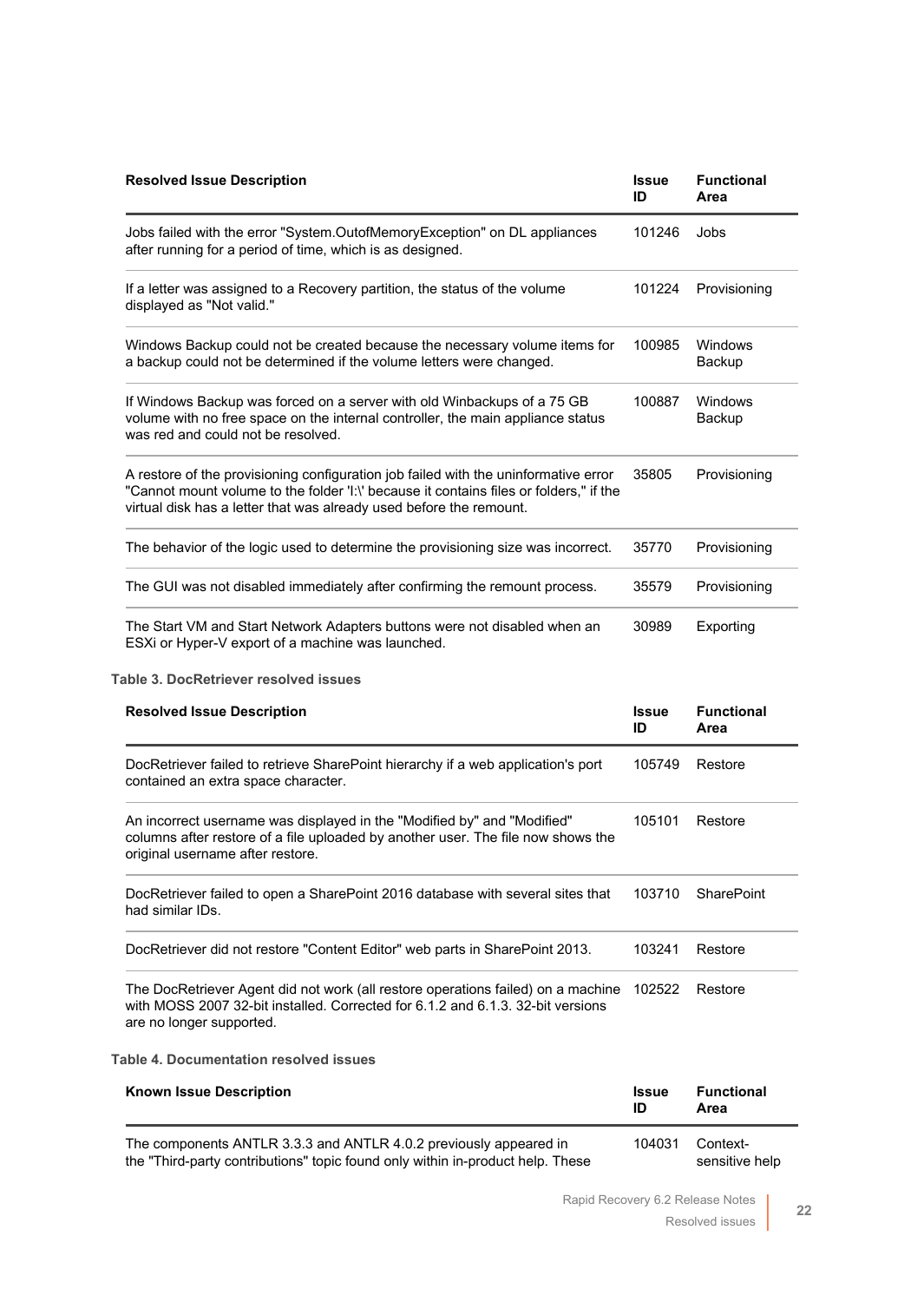| <b>Resolved Issue Description</b>                                                                                                                                                                                                                    | <b>Issue</b><br>ID | <b>Functional</b><br>Area |
|------------------------------------------------------------------------------------------------------------------------------------------------------------------------------------------------------------------------------------------------------|--------------------|---------------------------|
| Jobs failed with the error "System.OutofMemoryException" on DL appliances<br>after running for a period of time, which is as designed.                                                                                                               | 101246             | Jobs                      |
| If a letter was assigned to a Recovery partition, the status of the volume<br>displayed as "Not valid."                                                                                                                                              | 101224             | Provisioning              |
| Windows Backup could not be created because the necessary volume items for<br>a backup could not be determined if the volume letters were changed.                                                                                                   | 100985             | Windows<br>Backup         |
| If Windows Backup was forced on a server with old Winbackups of a 75 GB<br>volume with no free space on the internal controller, the main appliance status<br>was red and could not be resolved.                                                     | 100887             | Windows<br>Backup         |
| A restore of the provisioning configuration job failed with the uninformative error<br>"Cannot mount volume to the folder 'I:\' because it contains files or folders." if the<br>virtual disk has a letter that was already used before the remount. | 35805              | Provisioning              |
| The behavior of the logic used to determine the provisioning size was incorrect.                                                                                                                                                                     | 35770              | Provisioning              |
| The GUI was not disabled immediately after confirming the remount process.                                                                                                                                                                           | 35579              | Provisioning              |
| The Start VM and Start Network Adapters buttons were not disabled when an<br>ESXi or Hyper-V export of a machine was launched.                                                                                                                       | 30989              | Exporting                 |

#### **Table 3. DocRetriever resolved issues**

| <b>Resolved Issue Description</b>                                                                                                                                                               | <b>Issue</b><br>ID | <b>Functional</b><br>Area |
|-------------------------------------------------------------------------------------------------------------------------------------------------------------------------------------------------|--------------------|---------------------------|
| DocRetriever failed to retrieve SharePoint hierarchy if a web application's port<br>contained an extra space character.                                                                         | 105749             | Restore                   |
| An incorrect username was displayed in the "Modified by" and "Modified"<br>columns after restore of a file uploaded by another user. The file now shows the<br>original username after restore. | 105101             | Restore                   |
| DocRetriever failed to open a SharePoint 2016 database with several sites that<br>had similar IDs.                                                                                              | 103710             | <b>SharePoint</b>         |
| DocRetriever did not restore "Content Editor" web parts in SharePoint 2013.                                                                                                                     | 103241             | Restore                   |
| The DocRetriever Agent did not work (all restore operations failed) on a machine<br>with MOSS 2007 32-bit installed. Corrected for 6.1.2 and 6.1.3, 32-bit versions<br>are no longer supported. | 102522             | Restore                   |
| <b>Table 4. Documentation resolved issues</b>                                                                                                                                                   |                    |                           |
| <b>Known Issue Description</b>                                                                                                                                                                  | <b>Issue</b><br>ID | <b>Functional</b><br>Area |
| The companion ANTLD 2.2. and ANTLD 4.0.2 providually appeared in                                                                                                                                | 101021             | $O_{\alpha}$ $\sim$ $+$   |

The components ANTLR 3.3.3 and ANTLR 4.0.2 previously appeared in the "Third-party contributions" topic found only within in-product help. These 104031 Contextsensitive help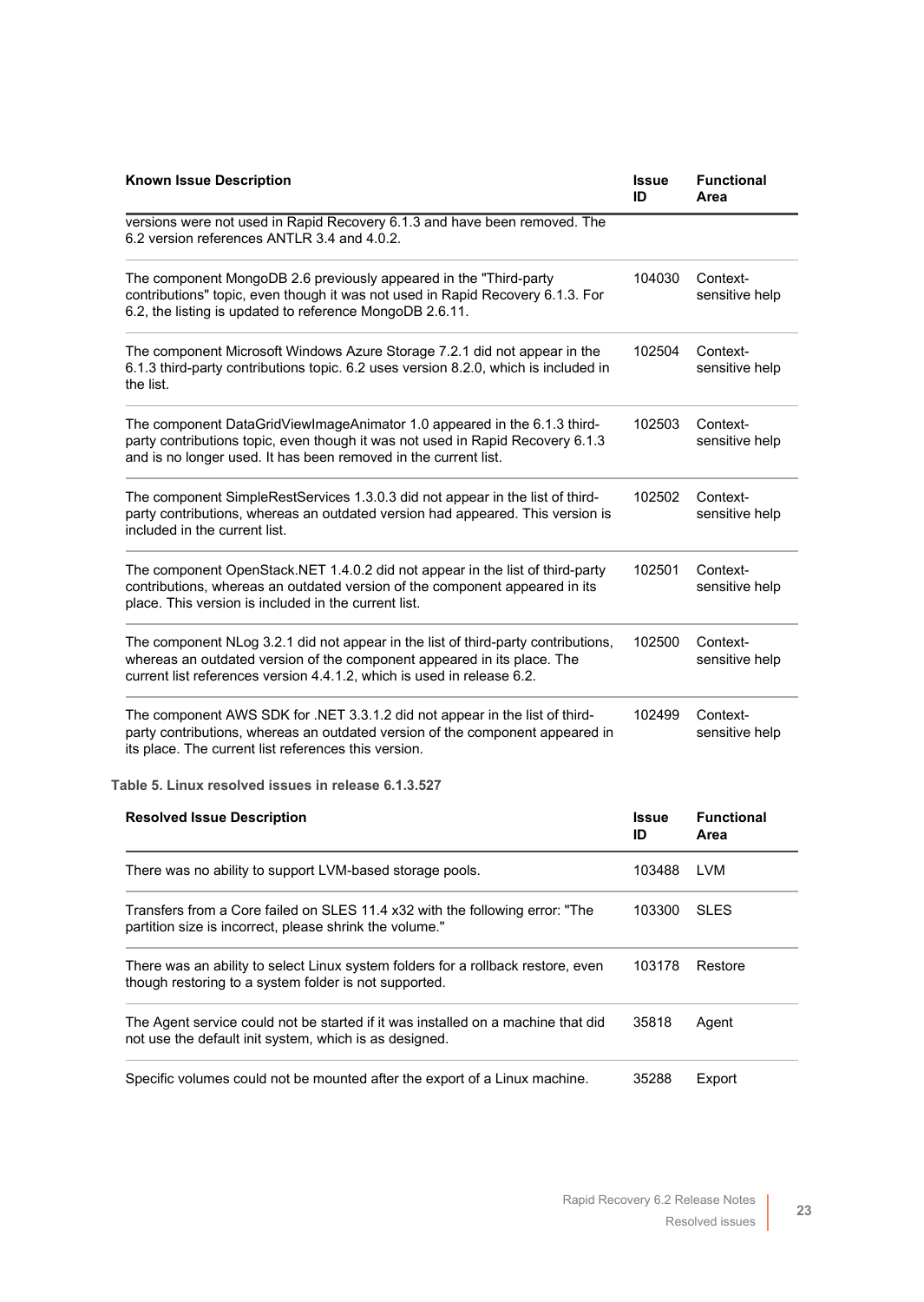| <b>Known Issue Description</b>                                                                                                                                                                                                         | <b>Issue</b><br>ID | <b>Functional</b><br>Area  |
|----------------------------------------------------------------------------------------------------------------------------------------------------------------------------------------------------------------------------------------|--------------------|----------------------------|
| versions were not used in Rapid Recovery 6.1.3 and have been removed. The<br>6.2 version references ANTLR 3.4 and 4.0.2.                                                                                                               |                    |                            |
| The component MongoDB 2.6 previously appeared in the "Third-party<br>contributions" topic, even though it was not used in Rapid Recovery 6.1.3. For<br>6.2, the listing is updated to reference MongoDB 2.6.11.                        | 104030             | Context-<br>sensitive help |
| The component Microsoft Windows Azure Storage 7.2.1 did not appear in the<br>6.1.3 third-party contributions topic. 6.2 uses version 8.2.0, which is included in<br>the list.                                                          | 102504             | Context-<br>sensitive help |
| The component DataGridViewImageAnimator 1.0 appeared in the 6.1.3 third-<br>party contributions topic, even though it was not used in Rapid Recovery 6.1.3<br>and is no longer used. It has been removed in the current list.          | 102503             | Context-<br>sensitive help |
| The component SimpleRestServices 1.3.0.3 did not appear in the list of third-<br>party contributions, whereas an outdated version had appeared. This version is<br>included in the current list.                                       | 102502             | Context-<br>sensitive help |
| The component OpenStack.NET 1.4.0.2 did not appear in the list of third-party<br>contributions, whereas an outdated version of the component appeared in its<br>place. This version is included in the current list.                   | 102501             | Context-<br>sensitive help |
| The component NLog 3.2.1 did not appear in the list of third-party contributions,<br>whereas an outdated version of the component appeared in its place. The<br>current list references version 4.4.1.2, which is used in release 6.2. | 102500             | Context-<br>sensitive help |
| The component AWS SDK for .NET 3.3.1.2 did not appear in the list of third-<br>party contributions, whereas an outdated version of the component appeared in<br>its place. The current list references this version.                   | 102499             | Context-<br>sensitive help |
| Table 5. Linux resolved issues in release 6.1.3.527                                                                                                                                                                                    |                    |                            |
| <b>Resolved Issue Description</b>                                                                                                                                                                                                      | <b>Issue</b><br>ID | <b>Functional</b><br>Area  |
| There was no ability to support LVM-based storage pools.                                                                                                                                                                               | 103488             | <b>LVM</b>                 |
| Transfers from a Core failed on SLES 11.4 x32 with the following error: "The<br>partition size is incorrect, please shrink the volume."                                                                                                | 103300             | <b>SLES</b>                |
| There was an ability to select Linux system folders for a rollback restore, even<br>though restoring to a system folder is not supported.                                                                                              | 103178             | Restore                    |
| The Agent service could not be started if it was installed on a machine that did<br>not use the default init system, which is as designed.                                                                                             | 35818              | Agent                      |
| Specific volumes could not be mounted after the export of a Linux machine.                                                                                                                                                             | 35288              | Export                     |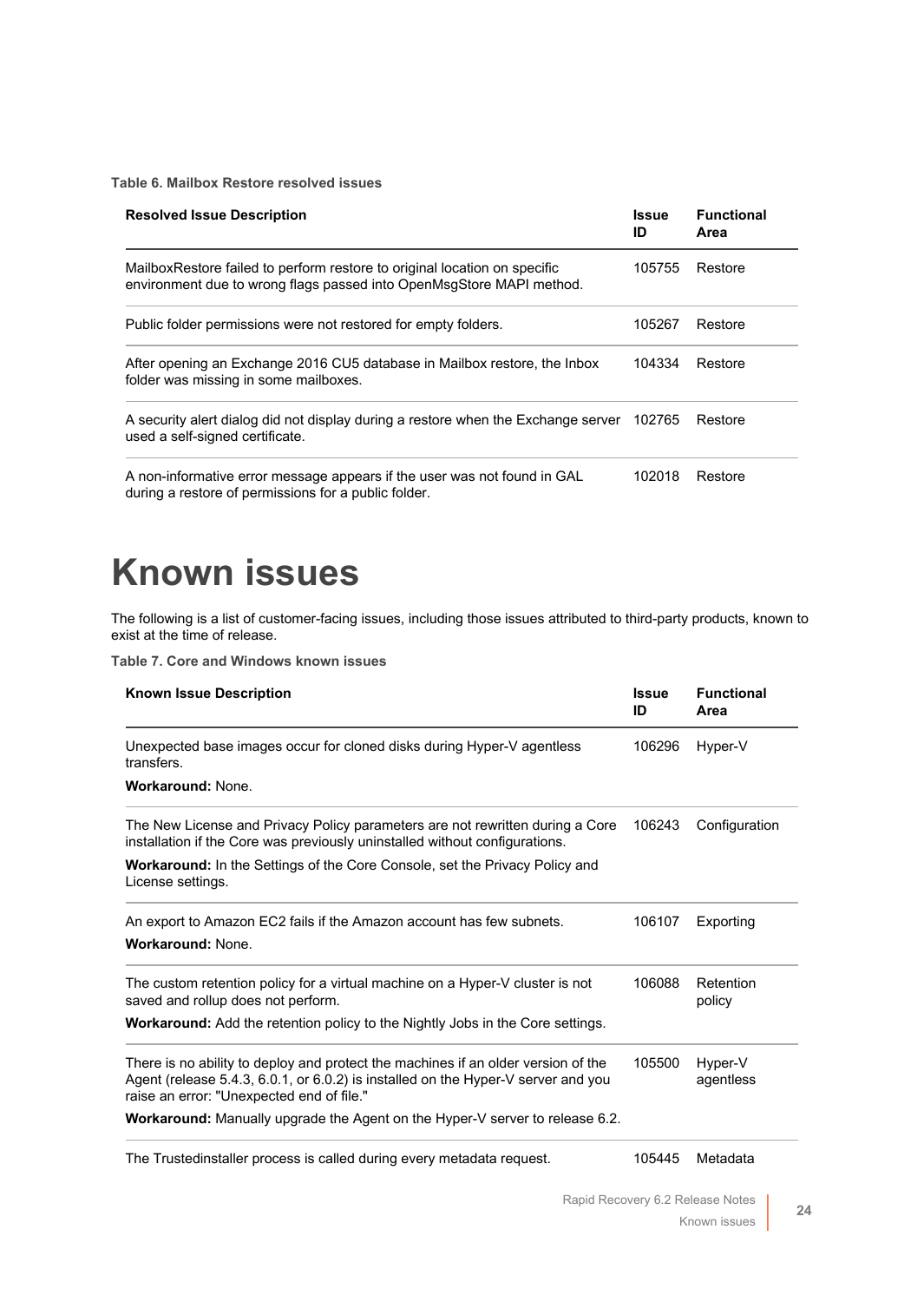**Table 6. Mailbox Restore resolved issues**

| <b>Resolved Issue Description</b>                                                                                                                 | Issue<br>ID | <b>Functional</b><br>Area |
|---------------------------------------------------------------------------------------------------------------------------------------------------|-------------|---------------------------|
| MailboxRestore failed to perform restore to original location on specific<br>environment due to wrong flags passed into OpenMsgStore MAPI method. | 105755      | Restore                   |
| Public folder permissions were not restored for empty folders.                                                                                    | 105267      | Restore                   |
| After opening an Exchange 2016 CU5 database in Mailbox restore, the Inbox<br>folder was missing in some mailboxes.                                | 104334      | Restore                   |
| A security alert dialog did not display during a restore when the Exchange server 102765<br>used a self-signed certificate.                       |             | Restore                   |
| A non-informative error message appears if the user was not found in GAL<br>during a restore of permissions for a public folder.                  | 102018      | Restore                   |

# <span id="page-23-0"></span>**Known issues**

The following is a list of customer-facing issues, including those issues attributed to third-party products, known to exist at the time of release.

**Table 7. Core and Windows known issues**

| <b>Known Issue Description</b>                                                                                                                                                                                      | <b>Issue</b><br>ID | <b>Functional</b><br>Area |
|---------------------------------------------------------------------------------------------------------------------------------------------------------------------------------------------------------------------|--------------------|---------------------------|
| Unexpected base images occur for cloned disks during Hyper-V agentless<br>transfers.                                                                                                                                | 106296             | Hyper-V                   |
| <b>Workaround: None.</b>                                                                                                                                                                                            |                    |                           |
| The New License and Privacy Policy parameters are not rewritten during a Core<br>installation if the Core was previously uninstalled without configurations.                                                        | 106243             | Configuration             |
| <b>Workaround:</b> In the Settings of the Core Console, set the Privacy Policy and<br>License settings.                                                                                                             |                    |                           |
| An export to Amazon EC2 fails if the Amazon account has few subnets.                                                                                                                                                | 106107             | Exporting                 |
| <b>Workaround: None.</b>                                                                                                                                                                                            |                    |                           |
| The custom retention policy for a virtual machine on a Hyper-V cluster is not<br>saved and rollup does not perform.                                                                                                 | 106088             | Retention<br>policy       |
| <b>Workaround:</b> Add the retention policy to the Nightly Jobs in the Core settings.                                                                                                                               |                    |                           |
| There is no ability to deploy and protect the machines if an older version of the<br>Agent (release 5.4.3, 6.0.1, or 6.0.2) is installed on the Hyper-V server and you<br>raise an error: "Unexpected end of file." | 105500             | Hyper-V<br>agentless      |
| <b>Workaround:</b> Manually upgrade the Agent on the Hyper-V server to release 6.2.                                                                                                                                 |                    |                           |
| The Trustedinstaller process is called during every metadata request.                                                                                                                                               | 105445             | Metadata                  |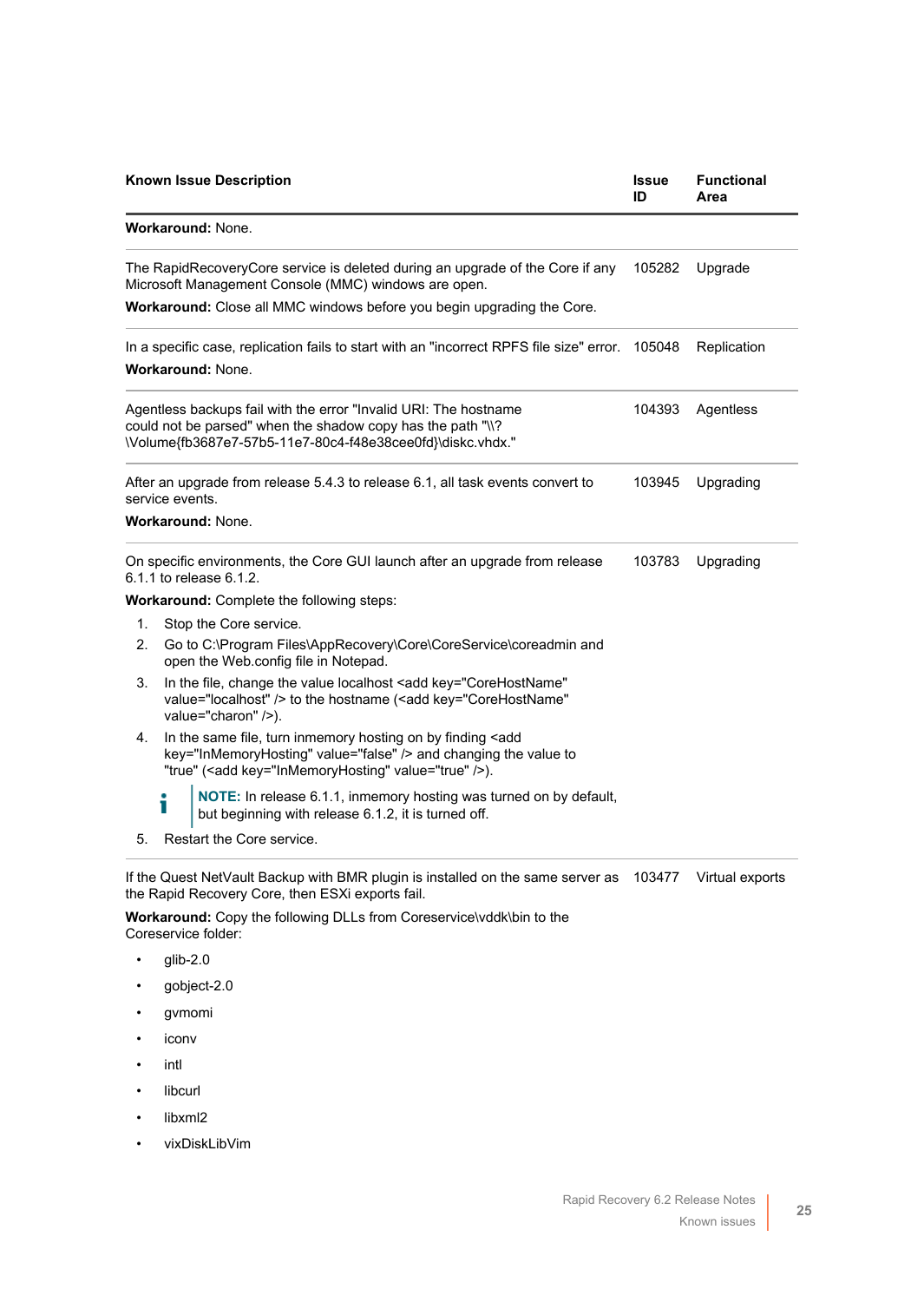|    |                 | <b>Known Issue Description</b>                                                                                                                                                                          | <b>Issue</b><br>ID | <b>Functional</b><br>Area |
|----|-----------------|---------------------------------------------------------------------------------------------------------------------------------------------------------------------------------------------------------|--------------------|---------------------------|
|    |                 | Workaround: None.                                                                                                                                                                                       |                    |                           |
|    |                 | The RapidRecoveryCore service is deleted during an upgrade of the Core if any<br>Microsoft Management Console (MMC) windows are open.                                                                   | 105282             | Upgrade                   |
|    |                 | <b>Workaround:</b> Close all MMC windows before you begin upgrading the Core.                                                                                                                           |                    |                           |
|    |                 | In a specific case, replication fails to start with an "incorrect RPFS file size" error. 105048                                                                                                         |                    | Replication               |
|    |                 | <b>Workaround: None.</b>                                                                                                                                                                                |                    |                           |
|    |                 | Agentless backups fail with the error "Invalid URI: The hostname<br>could not be parsed" when the shadow copy has the path "\\?<br>\Volume{fb3687e7-57b5-11e7-80c4-f48e38cee0fd}\diskc.vhdx."           | 104393             | Agentless                 |
|    | service events. | After an upgrade from release 5.4.3 to release 6.1, all task events convert to                                                                                                                          | 103945             | Upgrading                 |
|    |                 | <b>Workaround: None.</b>                                                                                                                                                                                |                    |                           |
|    |                 | On specific environments, the Core GUI launch after an upgrade from release<br>6.1.1 to release 6.1.2.                                                                                                  | 103783             | Upgrading                 |
|    |                 | <b>Workaround:</b> Complete the following steps:                                                                                                                                                        |                    |                           |
| 1. |                 | Stop the Core service.                                                                                                                                                                                  |                    |                           |
| 2. |                 | Go to C:\Program Files\AppRecovery\Core\CoreService\coreadmin and<br>open the Web.config file in Notepad.                                                                                               |                    |                           |
| 3. |                 | In the file, change the value localhost <add <br="" key="CoreHostName">value="localhost" /&gt; to the hostname (<add <br="" key="CoreHostName">value="charon" /&gt;).</add></add>                       |                    |                           |
| 4. |                 | In the same file, turn inmemory hosting on by finding <add<br>key="InMemoryHosting" value="false" /&gt; and changing the value to<br/>"true" (<add key="InMemoryHosting" value="true"></add>).</add<br> |                    |                           |
|    |                 | NOTE: In release 6.1.1, inmemory hosting was turned on by default,<br>but beginning with release 6.1.2, it is turned off.                                                                               |                    |                           |
| 5. |                 | Restart the Core service.                                                                                                                                                                               |                    |                           |
|    |                 |                                                                                                                                                                                                         |                    |                           |

If the Quest NetVault Backup with BMR plugin is installed on the same server as 103477 Virtual exportsthe Rapid Recovery Core, then ESXi exports fail.

**Workaround:** Copy the following DLLs from Coreservice\vddk\bin to the Coreservice folder:

- glib-2.0
- gobject-2.0
- gvmomi
- iconv
- intl
- libcurl
- libxml2
- vixDiskLibVim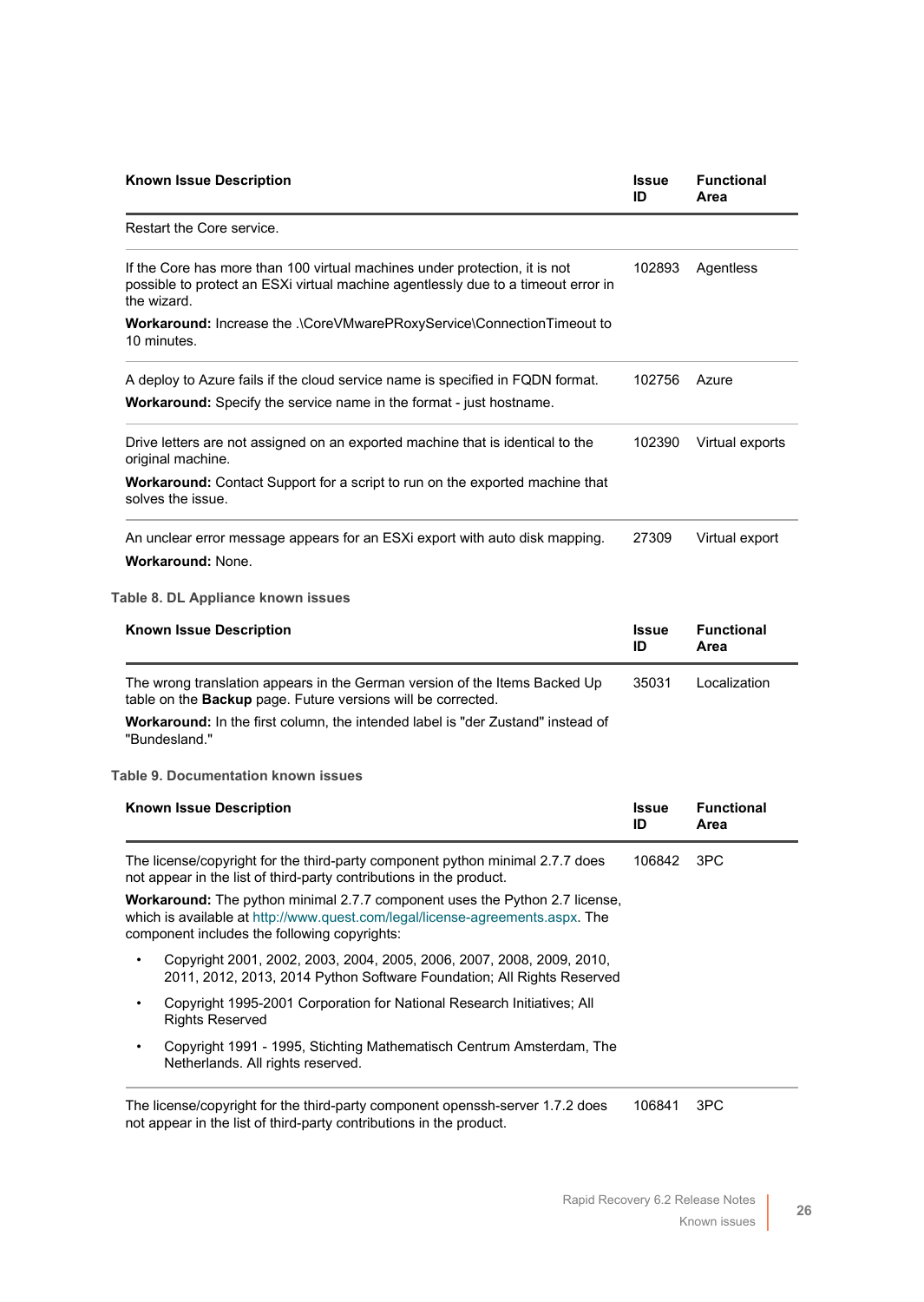| <b>Known Issue Description</b>                                                                                                                                                                               | Issue<br>ID | <b>Functional</b><br>Area |
|--------------------------------------------------------------------------------------------------------------------------------------------------------------------------------------------------------------|-------------|---------------------------|
| Restart the Core service.                                                                                                                                                                                    |             |                           |
| If the Core has more than 100 virtual machines under protection, it is not<br>possible to protect an ESXi virtual machine agentlessly due to a timeout error in<br>the wizard.                               | 102893      | Agentless                 |
| Workaround: Increase the .\CoreVMwarePRoxyService\ConnectionTimeout to<br>10 minutes.                                                                                                                        |             |                           |
| A deploy to Azure fails if the cloud service name is specified in FQDN format.                                                                                                                               | 102756      | Azure                     |
| Workaround: Specify the service name in the format - just hostname.                                                                                                                                          |             |                           |
| Drive letters are not assigned on an exported machine that is identical to the<br>original machine.                                                                                                          | 102390      | Virtual exports           |
| Workaround: Contact Support for a script to run on the exported machine that<br>solves the issue.                                                                                                            |             |                           |
| An unclear error message appears for an ESXi export with auto disk mapping.<br><b>Workaround: None.</b>                                                                                                      | 27309       | Virtual export            |
| Table 8. DL Appliance known issues                                                                                                                                                                           |             |                           |
| <b>Known Issue Description</b>                                                                                                                                                                               | Issue       | <b>Functional</b>         |
|                                                                                                                                                                                                              | ID          | Area                      |
| The wrong translation appears in the German version of the Items Backed Up<br>table on the Backup page. Future versions will be corrected.                                                                   | 35031       | Localization              |
| <b>Workaround:</b> In the first column, the intended label is "der Zustand" instead of<br>"Bundesland."                                                                                                      |             |                           |
| <b>Table 9. Documentation known issues</b>                                                                                                                                                                   |             |                           |
| <b>Known Issue Description</b>                                                                                                                                                                               | Issue<br>ID | <b>Functional</b><br>Area |
| The license/copyright for the third-party component python minimal 2.7.7 does<br>not appear in the list of third-party contributions in the product.                                                         | 106842 3PC  |                           |
| Workaround: The python minimal 2.7.7 component uses the Python 2.7 license,<br>which is available at http://www.quest.com/legal/license-agreements.aspx. The<br>component includes the following copyrights: |             |                           |
| Copyright 2001, 2002, 2003, 2004, 2005, 2006, 2007, 2008, 2009, 2010,<br>2011, 2012, 2013, 2014 Python Software Foundation; All Rights Reserved                                                              |             |                           |
| Copyright 1995-2001 Corporation for National Research Initiatives; All<br>$\bullet$<br><b>Rights Reserved</b>                                                                                                |             |                           |
| Copyright 1991 - 1995, Stichting Mathematisch Centrum Amsterdam, The<br>$\bullet$<br>Netherlands. All rights reserved.                                                                                       |             |                           |
|                                                                                                                                                                                                              |             |                           |

The license/copyright for the third-party component openssh-server 1.7.2 does not appear in the list of third-party contributions in the product. 106841 3PC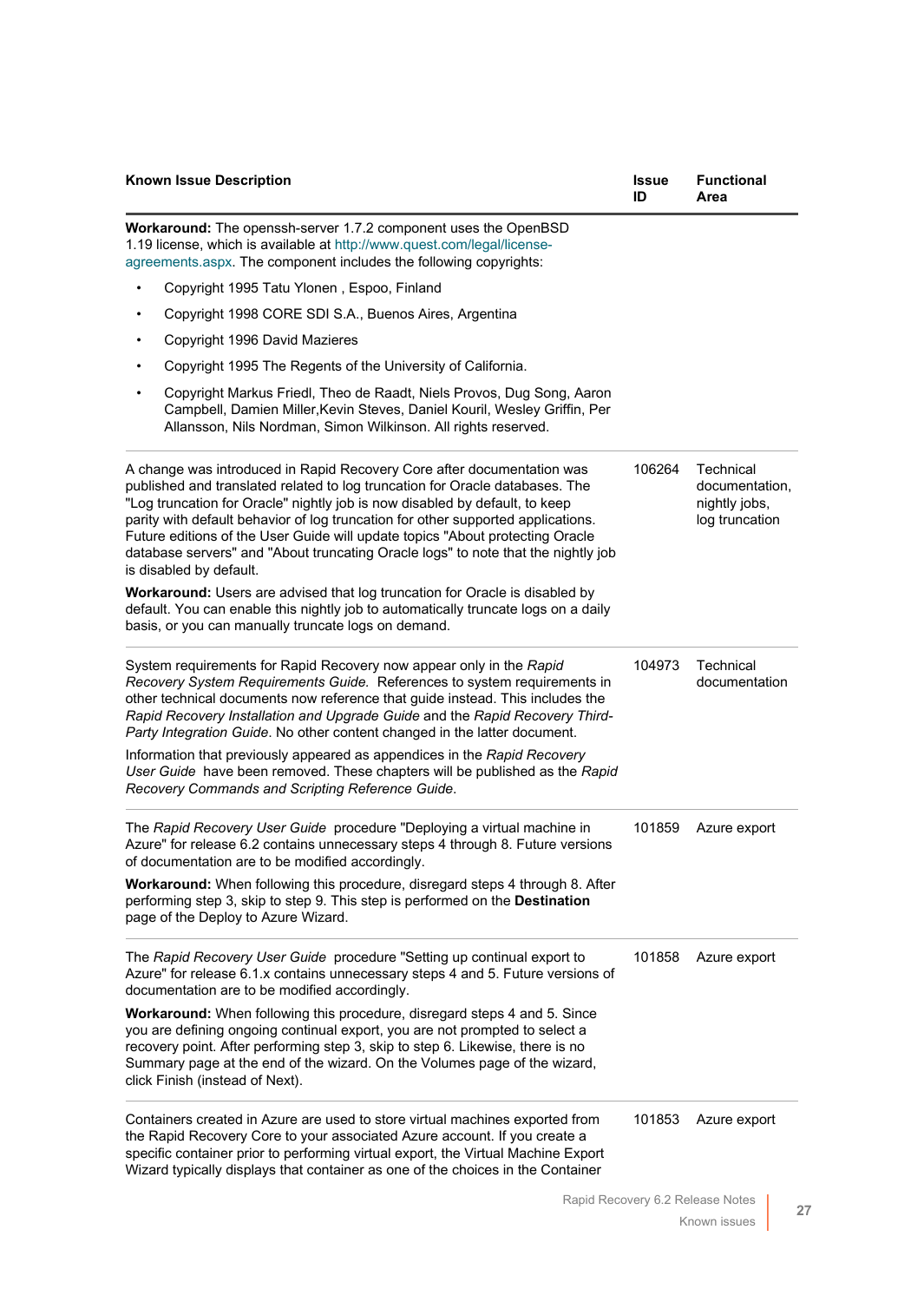|           | <b>Known Issue Description</b>                                                                                                                                                                                                                                                                                                                                                                                                                                                                                             | <b>Issue</b><br>ID | <b>Functional</b><br>Area                                      |
|-----------|----------------------------------------------------------------------------------------------------------------------------------------------------------------------------------------------------------------------------------------------------------------------------------------------------------------------------------------------------------------------------------------------------------------------------------------------------------------------------------------------------------------------------|--------------------|----------------------------------------------------------------|
|           | Workaround: The openssh-server 1.7.2 component uses the OpenBSD<br>1.19 license, which is available at http://www.quest.com/legal/license-<br>agreements.aspx. The component includes the following copyrights:                                                                                                                                                                                                                                                                                                            |                    |                                                                |
|           | Copyright 1995 Tatu Ylonen, Espoo, Finland                                                                                                                                                                                                                                                                                                                                                                                                                                                                                 |                    |                                                                |
|           | Copyright 1998 CORE SDI S.A., Buenos Aires, Argentina                                                                                                                                                                                                                                                                                                                                                                                                                                                                      |                    |                                                                |
|           | Copyright 1996 David Mazieres                                                                                                                                                                                                                                                                                                                                                                                                                                                                                              |                    |                                                                |
|           | Copyright 1995 The Regents of the University of California.                                                                                                                                                                                                                                                                                                                                                                                                                                                                |                    |                                                                |
| $\bullet$ | Copyright Markus Friedl, Theo de Raadt, Niels Provos, Dug Song, Aaron<br>Campbell, Damien Miller, Kevin Steves, Daniel Kouril, Wesley Griffin, Per<br>Allansson, Nils Nordman, Simon Wilkinson. All rights reserved.                                                                                                                                                                                                                                                                                                       |                    |                                                                |
|           | A change was introduced in Rapid Recovery Core after documentation was<br>published and translated related to log truncation for Oracle databases. The<br>"Log truncation for Oracle" nightly job is now disabled by default, to keep<br>parity with default behavior of log truncation for other supported applications.<br>Future editions of the User Guide will update topics "About protecting Oracle<br>database servers" and "About truncating Oracle logs" to note that the nightly job<br>is disabled by default. | 106264             | Technical<br>documentation.<br>nightly jobs,<br>log truncation |
|           | Workaround: Users are advised that log truncation for Oracle is disabled by<br>default. You can enable this nightly job to automatically truncate logs on a daily<br>basis, or you can manually truncate logs on demand.                                                                                                                                                                                                                                                                                                   |                    |                                                                |
|           | System requirements for Rapid Recovery now appear only in the Rapid<br>Recovery System Requirements Guide. References to system requirements in<br>other technical documents now reference that guide instead. This includes the<br>Rapid Recovery Installation and Upgrade Guide and the Rapid Recovery Third-<br>Party Integration Guide. No other content changed in the latter document.                                                                                                                               | 104973             | Technical<br>documentation                                     |
|           | Information that previously appeared as appendices in the Rapid Recovery<br>User Guide have been removed. These chapters will be published as the Rapid<br>Recovery Commands and Scripting Reference Guide.                                                                                                                                                                                                                                                                                                                |                    |                                                                |
|           | The Rapid Recovery User Guide procedure "Deploying a virtual machine in<br>Azure" for release 6.2 contains unnecessary steps 4 through 8. Future versions<br>of documentation are to be modified accordingly.                                                                                                                                                                                                                                                                                                              | 101859             | Azure export                                                   |
|           | Workaround: When following this procedure, disregard steps 4 through 8. After<br>performing step 3, skip to step 9. This step is performed on the Destination<br>page of the Deploy to Azure Wizard.                                                                                                                                                                                                                                                                                                                       |                    |                                                                |
|           | The Rapid Recovery User Guide procedure "Setting up continual export to<br>Azure" for release 6.1.x contains unnecessary steps 4 and 5. Future versions of<br>documentation are to be modified accordingly.                                                                                                                                                                                                                                                                                                                | 101858             | Azure export                                                   |
|           | Workaround: When following this procedure, disregard steps 4 and 5. Since<br>you are defining ongoing continual export, you are not prompted to select a<br>recovery point. After performing step 3, skip to step 6. Likewise, there is no<br>Summary page at the end of the wizard. On the Volumes page of the wizard,<br>click Finish (instead of Next).                                                                                                                                                                 |                    |                                                                |
|           | Containers created in Azure are used to store virtual machines exported from<br>the Rapid Recovery Core to your associated Azure account. If you create a<br>specific container prior to performing virtual export, the Virtual Machine Export<br>Wizard typically displays that container as one of the choices in the Container                                                                                                                                                                                          | 101853             | Azure export                                                   |
|           |                                                                                                                                                                                                                                                                                                                                                                                                                                                                                                                            |                    | Rapid Recovery 6.2 Release Notes                               |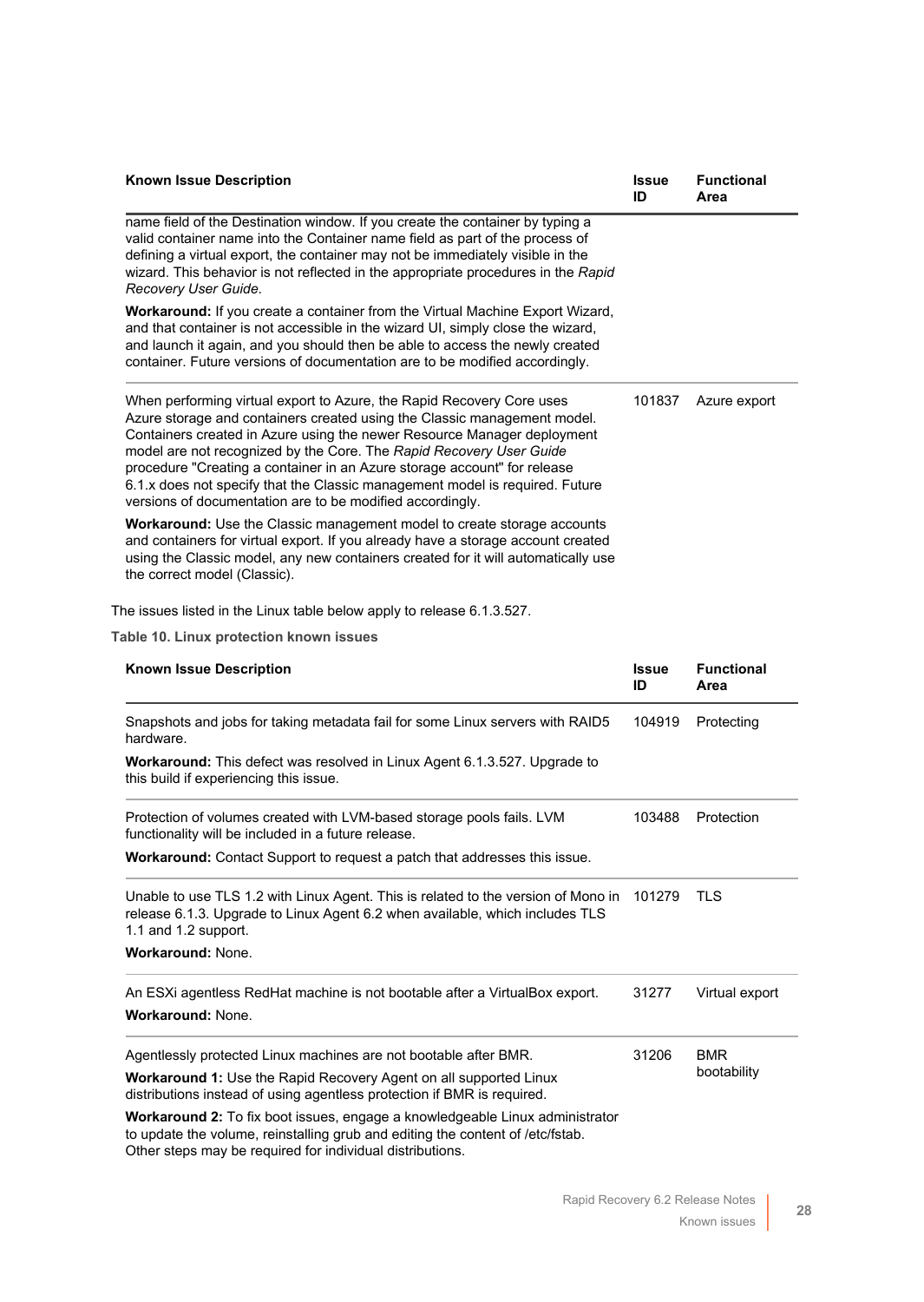| <b>Known Issue Description</b>                                                                                                                                                                                                                                                                                                                                                                                                                                                                                               | <b>Issue</b><br>ID | <b>Functional</b><br>Area |
|------------------------------------------------------------------------------------------------------------------------------------------------------------------------------------------------------------------------------------------------------------------------------------------------------------------------------------------------------------------------------------------------------------------------------------------------------------------------------------------------------------------------------|--------------------|---------------------------|
| name field of the Destination window. If you create the container by typing a<br>valid container name into the Container name field as part of the process of<br>defining a virtual export, the container may not be immediately visible in the<br>wizard. This behavior is not reflected in the appropriate procedures in the Rapid<br>Recovery User Guide.                                                                                                                                                                 |                    |                           |
| Workaround: If you create a container from the Virtual Machine Export Wizard,<br>and that container is not accessible in the wizard UI, simply close the wizard,<br>and launch it again, and you should then be able to access the newly created<br>container. Future versions of documentation are to be modified accordingly.                                                                                                                                                                                              |                    |                           |
| When performing virtual export to Azure, the Rapid Recovery Core uses<br>Azure storage and containers created using the Classic management model.<br>Containers created in Azure using the newer Resource Manager deployment<br>model are not recognized by the Core. The Rapid Recovery User Guide<br>procedure "Creating a container in an Azure storage account" for release<br>6.1.x does not specify that the Classic management model is required. Future<br>versions of documentation are to be modified accordingly. | 101837             | Azure export              |
| Workaround: Use the Classic management model to create storage accounts<br>and containers for virtual export. If you already have a storage account created<br>using the Classic model, any new containers created for it will automatically use<br>the correct model (Classic).                                                                                                                                                                                                                                             |                    |                           |
| The issues listed in the Linux table below apply to release 6.1.3.527.                                                                                                                                                                                                                                                                                                                                                                                                                                                       |                    |                           |
| Table 10. Linux protection known issues                                                                                                                                                                                                                                                                                                                                                                                                                                                                                      |                    |                           |
| <b>Known Issue Description</b>                                                                                                                                                                                                                                                                                                                                                                                                                                                                                               | <b>Issue</b><br>ID | <b>Functional</b><br>Area |
| Snapshots and jobs for taking metadata fail for some Linux servers with RAID5<br>hardware.                                                                                                                                                                                                                                                                                                                                                                                                                                   | 104919             | Protecting                |
| Workaround: This defect was resolved in Linux Agent 6.1.3.527. Upgrade to<br>this build if experiencing this issue.                                                                                                                                                                                                                                                                                                                                                                                                          |                    |                           |
| Protection of volumes created with LVM-based storage pools fails. LVM<br>functionality will be included in a future release.                                                                                                                                                                                                                                                                                                                                                                                                 | 103488             | Protection                |
| Workaround: Contact Support to request a patch that addresses this issue.                                                                                                                                                                                                                                                                                                                                                                                                                                                    |                    |                           |
| Unable to use TLS 1.2 with Linux Agent. This is related to the version of Mono in<br>release 6.1.3. Upgrade to Linux Agent 6.2 when available, which includes TLS<br>1.1 and 1.2 support.                                                                                                                                                                                                                                                                                                                                    | 101279             | TLS.                      |
| Workaround: None.                                                                                                                                                                                                                                                                                                                                                                                                                                                                                                            |                    |                           |
| An ESXi agentless RedHat machine is not bootable after a VirtualBox export.                                                                                                                                                                                                                                                                                                                                                                                                                                                  | 31277              | Virtual export            |
| <b>Workaround: None.</b>                                                                                                                                                                                                                                                                                                                                                                                                                                                                                                     |                    |                           |
| Agentlessly protected Linux machines are not bootable after BMR.                                                                                                                                                                                                                                                                                                                                                                                                                                                             | 31206              | <b>BMR</b>                |
| <b>Workaround 1:</b> Use the Rapid Recovery Agent on all supported Linux                                                                                                                                                                                                                                                                                                                                                                                                                                                     |                    |                           |
| distributions instead of using agentless protection if BMR is required.                                                                                                                                                                                                                                                                                                                                                                                                                                                      |                    | bootability               |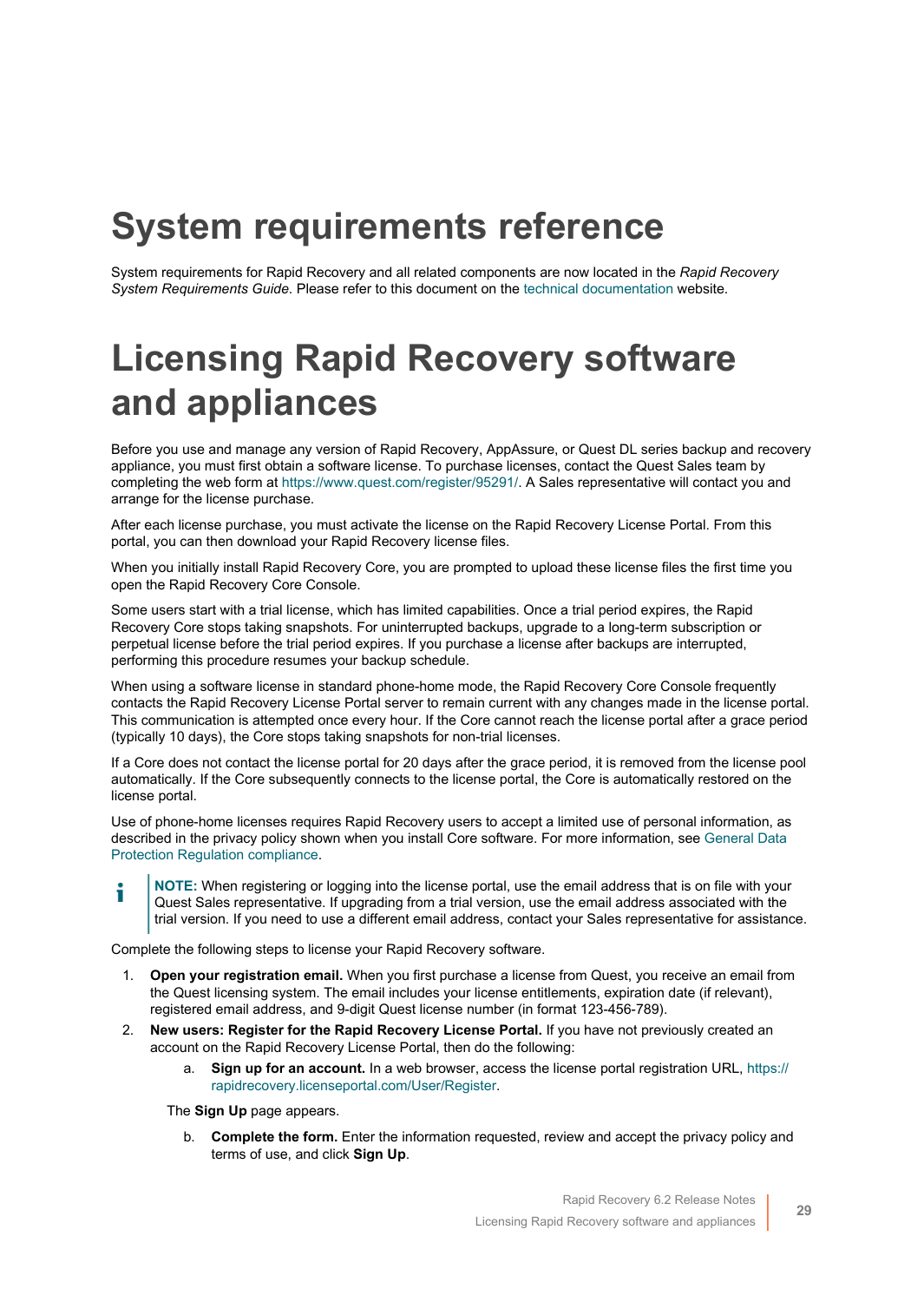# <span id="page-28-0"></span>**System requirements reference**

System requirements for Rapid Recovery and all related components are now located in the *Rapid Recovery System Requirements Guide*. Please refer to this document on the [technical documentation](https://support.quest.com/rapid-recovery/technical-documents) website.

# <span id="page-28-1"></span>**Licensing Rapid Recovery software and appliances**

Before you use and manage any version of Rapid Recovery, AppAssure, or Quest DL series backup and recovery appliance, you must first obtain a software license. To purchase licenses, contact the Quest Sales team by completing the web form at<https://www.quest.com/register/95291/>. A Sales representative will contact you and arrange for the license purchase.

After each license purchase, you must activate the license on the Rapid Recovery License Portal. From this portal, you can then download your Rapid Recovery license files.

When you initially install Rapid Recovery Core, you are prompted to upload these license files the first time you open the Rapid Recovery Core Console.

Some users start with a trial license, which has limited capabilities. Once a trial period expires, the Rapid Recovery Core stops taking snapshots. For uninterrupted backups, upgrade to a long-term subscription or perpetual license before the trial period expires. If you purchase a license after backups are interrupted, performing this procedure resumes your backup schedule.

When using a software license in standard phone-home mode, the Rapid Recovery Core Console frequently contacts the Rapid Recovery License Portal server to remain current with any changes made in the license portal. This communication is attempted once every hour. If the Core cannot reach the license portal after a grace period (typically 10 days), the Core stops taking snapshots for non-trial licenses.

If a Core does not contact the license portal for 20 days after the grace period, it is removed from the license pool automatically. If the Core subsequently connects to the license portal, the Core is automatically restored on the license portal.

Use of phone-home licenses requires Rapid Recovery users to accept a limited use of personal information, as described in the privacy policy shown when you install Core software. For more information, see [General Data](#page-4-1) [Protection Regulation compliance](#page-4-1).

**NOTE:** When registering or logging into the license portal, use the email address that is on file with your i Quest Sales representative. If upgrading from a trial version, use the email address associated with the trial version. If you need to use a different email address, contact your Sales representative for assistance.

Complete the following steps to license your Rapid Recovery software.

- 1. **Open your registration email.** When you first purchase a license from Quest, you receive an email from the Quest licensing system. The email includes your license entitlements, expiration date (if relevant), registered email address, and 9-digit Quest license number (in format 123-456-789).
- 2. **New users: Register for the Rapid Recovery License Portal.** If you have not previously created an account on the Rapid Recovery License Portal, then do the following:
	- a. **Sign up for an account.** In a web browser, access the license portal registration URL, [https://](https://rapidrecovery.licenseportal.com/User/Register) [rapidrecovery.licenseportal.com/User/Register](https://rapidrecovery.licenseportal.com/User/Register).

The **Sign Up** page appears.

b. **Complete the form.** Enter the information requested, review and accept the privacy policy and terms of use, and click **Sign Up**.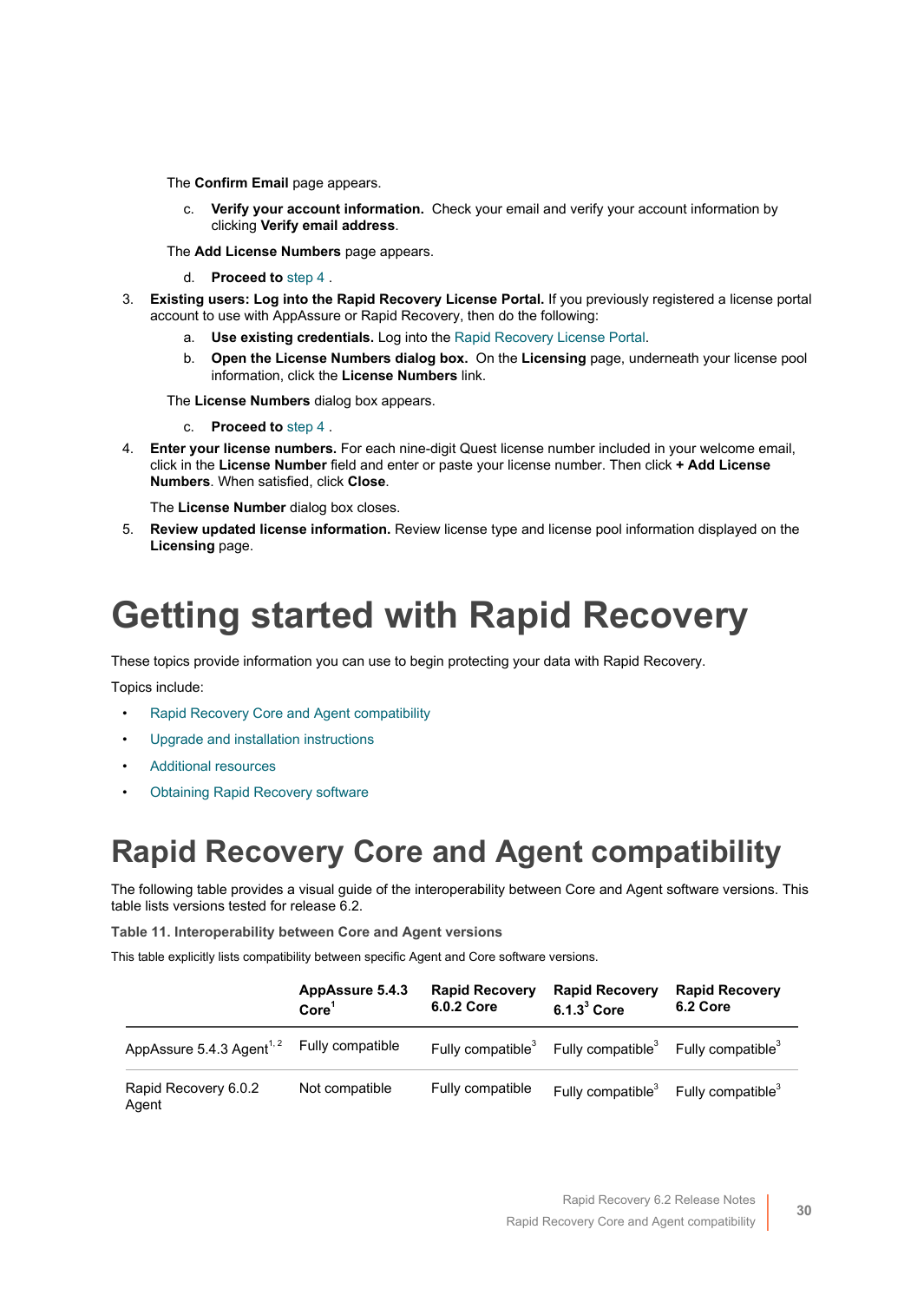The **Confirm Email** page appears.

c. **Verify your account information.** Check your email and verify your account information by clicking **Verify email address**.

The **Add License Numbers** page appears.

- d. **Proceed to** [step 4](#page-29-1) .
- 3. **Existing users: Log into the Rapid Recovery License Portal.** If you previously registered a license portal account to use with AppAssure or Rapid Recovery, then do the following:
	- a. **Use existing credentials.** Log into the [Rapid Recovery License Portal.](https://licenseportal.com/)
	- b. **Open the License Numbers dialog box.** On the **Licensing** page, underneath your license pool information, click the **License Numbers** link.

The **License Numbers** dialog box appears.

- c. **Proceed to** [step 4](#page-29-1) .
- <span id="page-29-1"></span>4. **Enter your license numbers.** For each nine-digit Quest license number included in your welcome email, click in the **License Number** field and enter or paste your license number. Then click **+ Add License Numbers**. When satisfied, click **Close**.

The **License Number** dialog box closes.

5. **Review updated license information.** Review license type and license pool information displayed on the **Licensing** page.

# <span id="page-29-0"></span>**Getting started with Rapid Recovery**

These topics provide information you can use to begin protecting your data with Rapid Recovery.

Topics include:

- [Rapid Recovery Core and Agent compatibility](#page-29-2)
- [Upgrade and installation instructions](#page-30-0)
- [Additional resources](#page-32-0)
- **[Obtaining Rapid Recovery software](#page-31-0)**

### <span id="page-29-2"></span>**Rapid Recovery Core and Agent compatibility**

The following table provides a visual guide of the interoperability between Core and Agent software versions. This table lists versions tested for release 6.2.

**Table 11. Interoperability between Core and Agent versions**

This table explicitly lists compatibility between specific Agent and Core software versions.

|                                       | AppAssure 5.4.3<br>Core <sup>1</sup> | <b>Rapid Recovery</b><br>6.0.2 Core | <b>Rapid Recovery</b><br>$6.1.33$ Core | <b>Rapid Recovery</b><br>6.2 Core |
|---------------------------------------|--------------------------------------|-------------------------------------|----------------------------------------|-----------------------------------|
| AppAssure 5.4.3 Agent <sup>1, 2</sup> | Fully compatible                     | Fully compatible <sup>3</sup>       | Fully compatible <sup>3</sup>          | Fully compatible <sup>3</sup>     |
| Rapid Recovery 6.0.2<br>Agent         | Not compatible                       | Fully compatible                    | Fully compatible $3$                   | Fully compatible <sup>3</sup>     |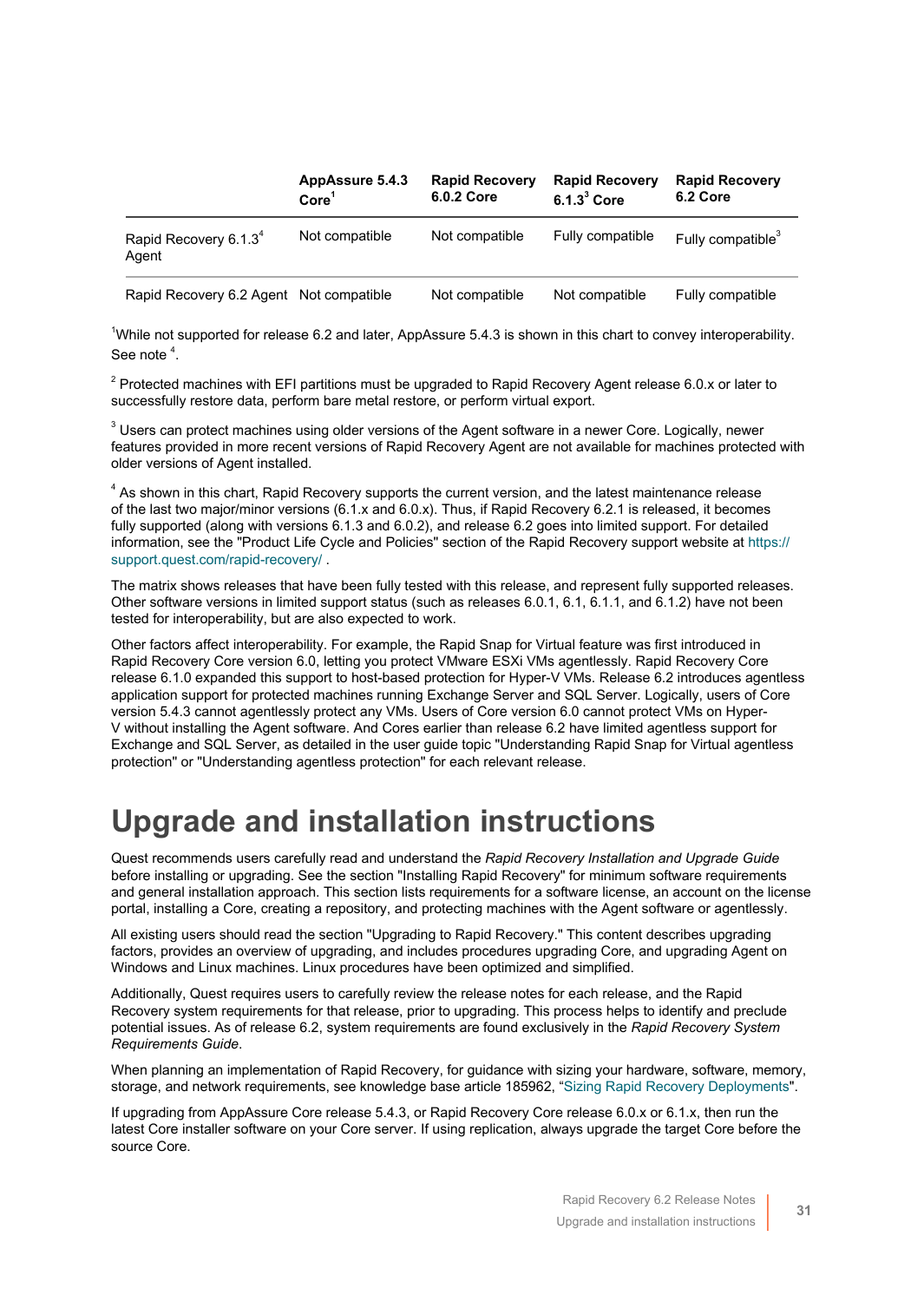|                                            | AppAssure 5.4.3<br>Core <sup>1</sup> | <b>Rapid Recovery</b><br><b>6.0.2 Core</b> | <b>Rapid Recovery</b><br>$6.1.33$ Core | <b>Rapid Recovery</b><br>6.2 Core |
|--------------------------------------------|--------------------------------------|--------------------------------------------|----------------------------------------|-----------------------------------|
| Rapid Recovery 6.1.3 <sup>4</sup><br>Agent | Not compatible                       | Not compatible                             | Fully compatible                       | Fully compatible <sup>3</sup>     |
| Rapid Recovery 6.2 Agent Not compatible    |                                      | Not compatible                             | Not compatible                         | Fully compatible                  |

<sup>1</sup>While not supported for release 6.2 and later, AppAssure 5.4.3 is shown in this chart to convey interoperability. See note  $4$ .

 $2$  Protected machines with EFI partitions must be upgraded to Rapid Recovery Agent release 6.0.x or later to successfully restore data, perform bare metal restore, or perform virtual export.

 $^3$  Users can protect machines using older versions of the Agent software in a newer Core. Logically, newer features provided in more recent versions of Rapid Recovery Agent are not available for machines protected with older versions of Agent installed.

 $^{4}$  As shown in this chart, Rapid Recovery supports the current version, and the latest maintenance release of the last two major/minor versions (6.1.x and 6.0.x). Thus, if Rapid Recovery 6.2.1 is released, it becomes fully supported (along with versions 6.1.3 and 6.0.2), and release 6.2 goes into limited support. For detailed information, see the "Product Life Cycle and Policies" section of the Rapid Recovery support website at [https://](https://support.quest.com/rapid-recovery/) [support.quest.com/rapid-recovery/](https://support.quest.com/rapid-recovery/) .

The matrix shows releases that have been fully tested with this release, and represent fully supported releases. Other software versions in limited support status (such as releases 6.0.1, 6.1, 6.1.1, and 6.1.2) have not been tested for interoperability, but are also expected to work.

Other factors affect interoperability. For example, the Rapid Snap for Virtual feature was first introduced in Rapid Recovery Core version 6.0, letting you protect VMware ESXi VMs agentlessly. Rapid Recovery Core release 6.1.0 expanded this support to host-based protection for Hyper-V VMs. Release 6.2 introduces agentless application support for protected machines running Exchange Server and SQL Server. Logically, users of Core version 5.4.3 cannot agentlessly protect any VMs. Users of Core version 6.0 cannot protect VMs on Hyper-V without installing the Agent software. And Cores earlier than release 6.2 have limited agentless support for Exchange and SQL Server, as detailed in the user guide topic "Understanding Rapid Snap for Virtual agentless protection" or "Understanding agentless protection" for each relevant release.

### <span id="page-30-0"></span>**Upgrade and installation instructions**

Quest recommends users carefully read and understand the *Rapid Recovery Installation and Upgrade Guide* before installing or upgrading. See the section "Installing Rapid Recovery" for minimum software requirements and general installation approach. This section lists requirements for a software license, an account on the license portal, installing a Core, creating a repository, and protecting machines with the Agent software or agentlessly.

All existing users should read the section "Upgrading to Rapid Recovery." This content describes upgrading factors, provides an overview of upgrading, and includes procedures upgrading Core, and upgrading Agent on Windows and Linux machines. Linux procedures have been optimized and simplified.

Additionally, Quest requires users to carefully review the release notes for each release, and the Rapid Recovery system requirements for that release, prior to upgrading. This process helps to identify and preclude potential issues. As of release 6.2, system requirements are found exclusively in the *Rapid Recovery System Requirements Guide*.

When planning an implementation of Rapid Recovery, for guidance with sizing your hardware, software, memory, storage, and network requirements, see knowledge base article 185962, "[Sizing Rapid Recovery Deployments](https://support.quest.com/rapid-recovery/kb/185962)".

If upgrading from AppAssure Core release 5.4.3, or Rapid Recovery Core release 6.0.x or 6.1.x, then run the latest Core installer software on your Core server. If using replication, always upgrade the target Core before the source Core.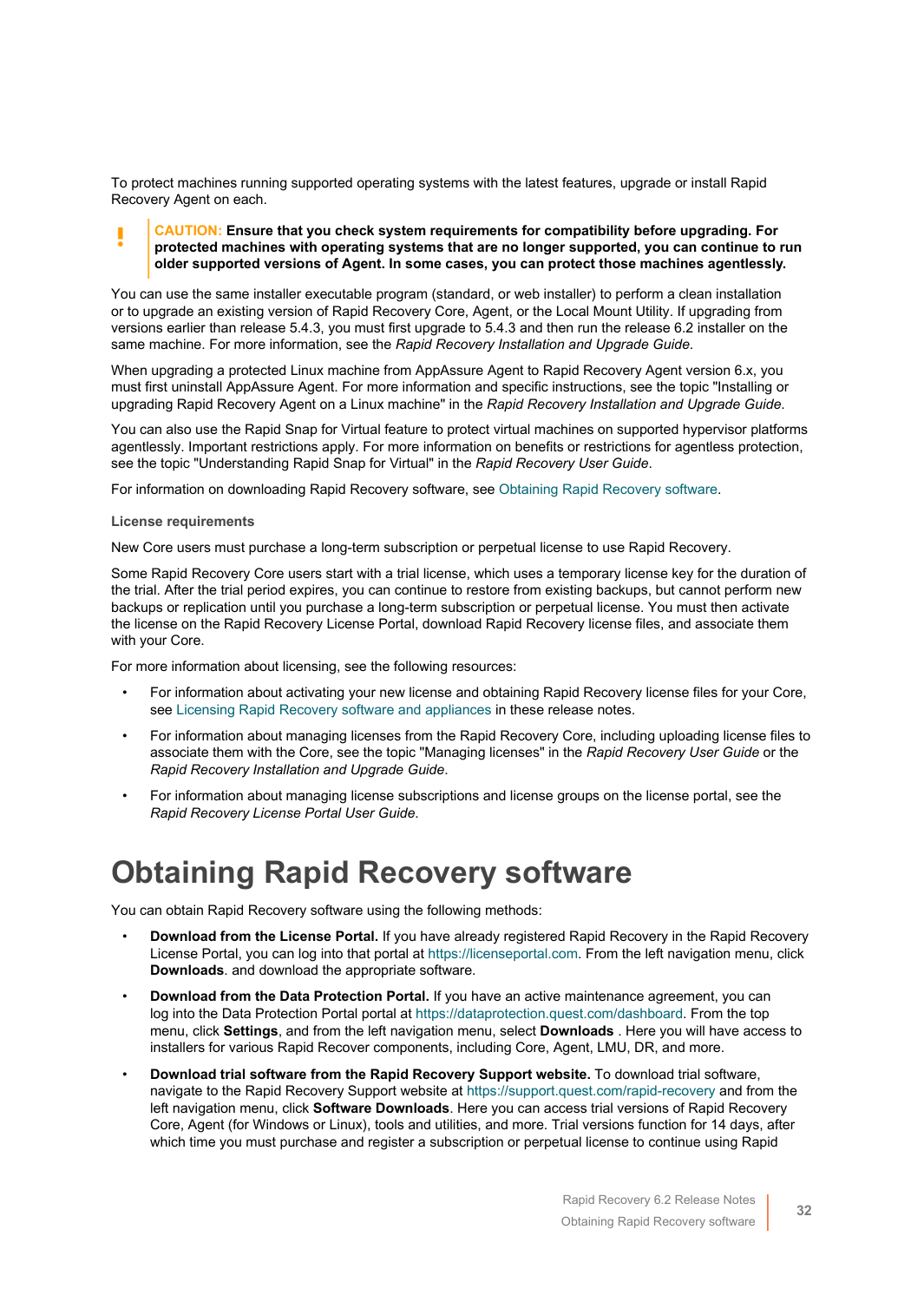To protect machines running supported operating systems with the latest features, upgrade or install Rapid Recovery Agent on each.

#### **CAUTION: Ensure that you check system requirements for compatibility before upgrading. For protected machines with operating systems that are no longer supported, you can continue to run older supported versions of Agent. In some cases, you can protect those machines agentlessly.**

You can use the same installer executable program (standard, or web installer) to perform a clean installation or to upgrade an existing version of Rapid Recovery Core, Agent, or the Local Mount Utility. If upgrading from versions earlier than release 5.4.3, you must first upgrade to 5.4.3 and then run the release 6.2 installer on the same machine. For more information, see the *Rapid Recovery Installation and Upgrade Guide*.

When upgrading a protected Linux machine from AppAssure Agent to Rapid Recovery Agent version 6.x, you must first uninstall AppAssure Agent. For more information and specific instructions, see the topic "Installing or upgrading Rapid Recovery Agent on a Linux machine" in the *Rapid Recovery Installation and Upgrade Guide*.

You can also use the Rapid Snap for Virtual feature to protect virtual machines on supported hypervisor platforms agentlessly. Important restrictions apply. For more information on benefits or restrictions for agentless protection, see the topic "Understanding Rapid Snap for Virtual" in the *Rapid Recovery User Guide*.

For information on downloading Rapid Recovery software, see [Obtaining Rapid Recovery software](#page-31-0).

#### **License requirements**

New Core users must purchase a long-term subscription or perpetual license to use Rapid Recovery.

Some Rapid Recovery Core users start with a trial license, which uses a temporary license key for the duration of the trial. After the trial period expires, you can continue to restore from existing backups, but cannot perform new backups or replication until you purchase a long-term subscription or perpetual license. You must then activate the license on the Rapid Recovery License Portal, download Rapid Recovery license files, and associate them with your Core.

For more information about licensing, see the following resources:

- For information about activating your new license and obtaining Rapid Recovery license files for your Core, see [Licensing Rapid Recovery software and appliances](#page-28-1) in these release notes.
- For information about managing licenses from the Rapid Recovery Core, including uploading license files to associate them with the Core, see the topic "Managing licenses" in the *Rapid Recovery User Guide* or the *Rapid Recovery Installation and Upgrade Guide*.
- For information about managing license subscriptions and license groups on the license portal, see the *Rapid Recovery License Portal User Guide*.

### <span id="page-31-0"></span>**Obtaining Rapid Recovery software**

You can obtain Rapid Recovery software using the following methods:

- **Download from the License Portal.** If you have already registered Rapid Recovery in the Rapid Recovery License Portal, you can log into that portal at<https://licenseportal.com>. From the left navigation menu, click **Downloads**. and download the appropriate software.
- **Download from the Data Protection Portal.** If you have an active maintenance agreement, you can log into the Data Protection Portal portal at<https://dataprotection.quest.com/dashboard>. From the top menu, click **Settings**, and from the left navigation menu, select **Downloads** . Here you will have access to installers for various Rapid Recover components, including Core, Agent, LMU, DR, and more.
- **Download trial software from the Rapid Recovery Support website.** To download trial software, navigate to the Rapid Recovery Support website at<https://support.quest.com/rapid-recovery> and from the left navigation menu, click **Software Downloads**. Here you can access trial versions of Rapid Recovery Core, Agent (for Windows or Linux), tools and utilities, and more. Trial versions function for 14 days, after which time you must purchase and register a subscription or perpetual license to continue using Rapid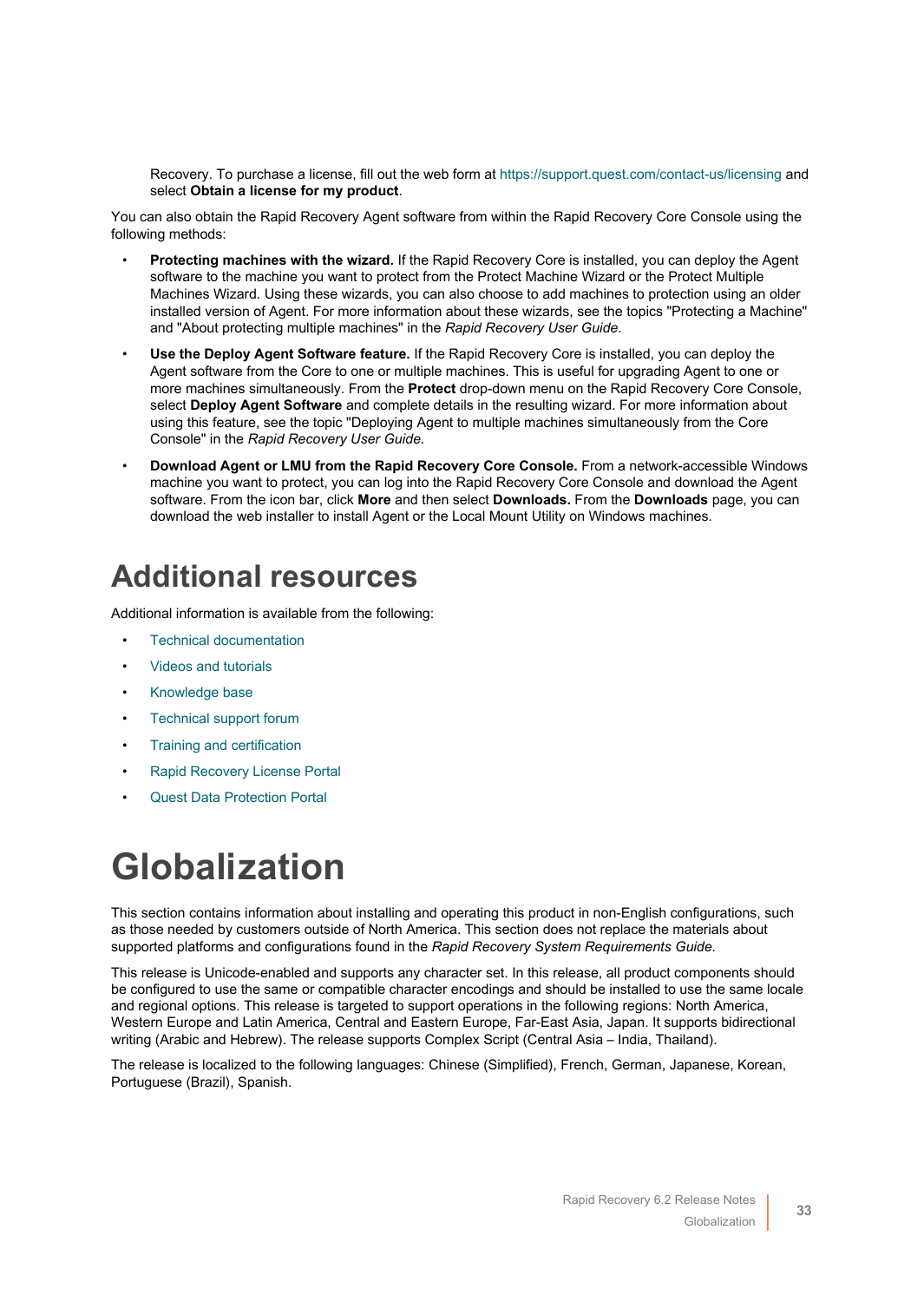Recovery. To purchase a license, fill out the web form at <https://support.quest.com/contact-us/licensing> and select **Obtain a license for my product**.

You can also obtain the Rapid Recovery Agent software from within the Rapid Recovery Core Console using the following methods:

- **Protecting machines with the wizard.** If the Rapid Recovery Core is installed, you can deploy the Agent software to the machine you want to protect from the Protect Machine Wizard or the Protect Multiple Machines Wizard. Using these wizards, you can also choose to add machines to protection using an older installed version of Agent. For more information about these wizards, see the topics "Protecting a Machine" and "About protecting multiple machines" in the *Rapid Recovery User Guide*.
- **Use the Deploy Agent Software feature.** If the Rapid Recovery Core is installed, you can deploy the Agent software from the Core to one or multiple machines. This is useful for upgrading Agent to one or more machines simultaneously. From the **Protect** drop-down menu on the Rapid Recovery Core Console, select **Deploy Agent Software** and complete details in the resulting wizard. For more information about using this feature, see the topic "Deploying Agent to multiple machines simultaneously from the Core Console" in the *Rapid Recovery User Guide*.
- **Download Agent or LMU from the Rapid Recovery Core Console.** From a network-accessible Windows machine you want to protect, you can log into the Rapid Recovery Core Console and download the Agent software. From the icon bar, click **More** and then select **Downloads.** From the **Downloads** page, you can download the web installer to install Agent or the Local Mount Utility on Windows machines.

### <span id="page-32-0"></span>**Additional resources**

Additional information is available from the following:

- [Technical documentation](https://support.quest.com/rapid-recovery/technical-documents)
- [Videos and tutorials](https://support.quest.com/rapid-recovery/videos)
- [Knowledge base](https://support.quest.com/rapid-recovery/kb)
- [Technical support forum](https://www.quest.com/community/products/rapid-recovery/f/forum)
- [Training and certification](https://support.quest.com/rapid-recovery/training)
- [Rapid Recovery License Portal](https://licenseportal.com/)
- **[Quest Data Protection Portal](https://dataprotection.quest.com/dashboard)**

# <span id="page-32-1"></span>**Globalization**

This section contains information about installing and operating this product in non-English configurations, such as those needed by customers outside of North America. This section does not replace the materials about supported platforms and configurations found in the *Rapid Recovery System Requirements Guide.*

This release is Unicode-enabled and supports any character set. In this release, all product components should be configured to use the same or compatible character encodings and should be installed to use the same locale and regional options. This release is targeted to support operations in the following regions: North America, Western Europe and Latin America, Central and Eastern Europe, Far-East Asia, Japan. It supports bidirectional writing (Arabic and Hebrew). The release supports Complex Script (Central Asia – India, Thailand).

The release is localized to the following languages: Chinese (Simplified), French, German, Japanese, Korean, Portuguese (Brazil), Spanish.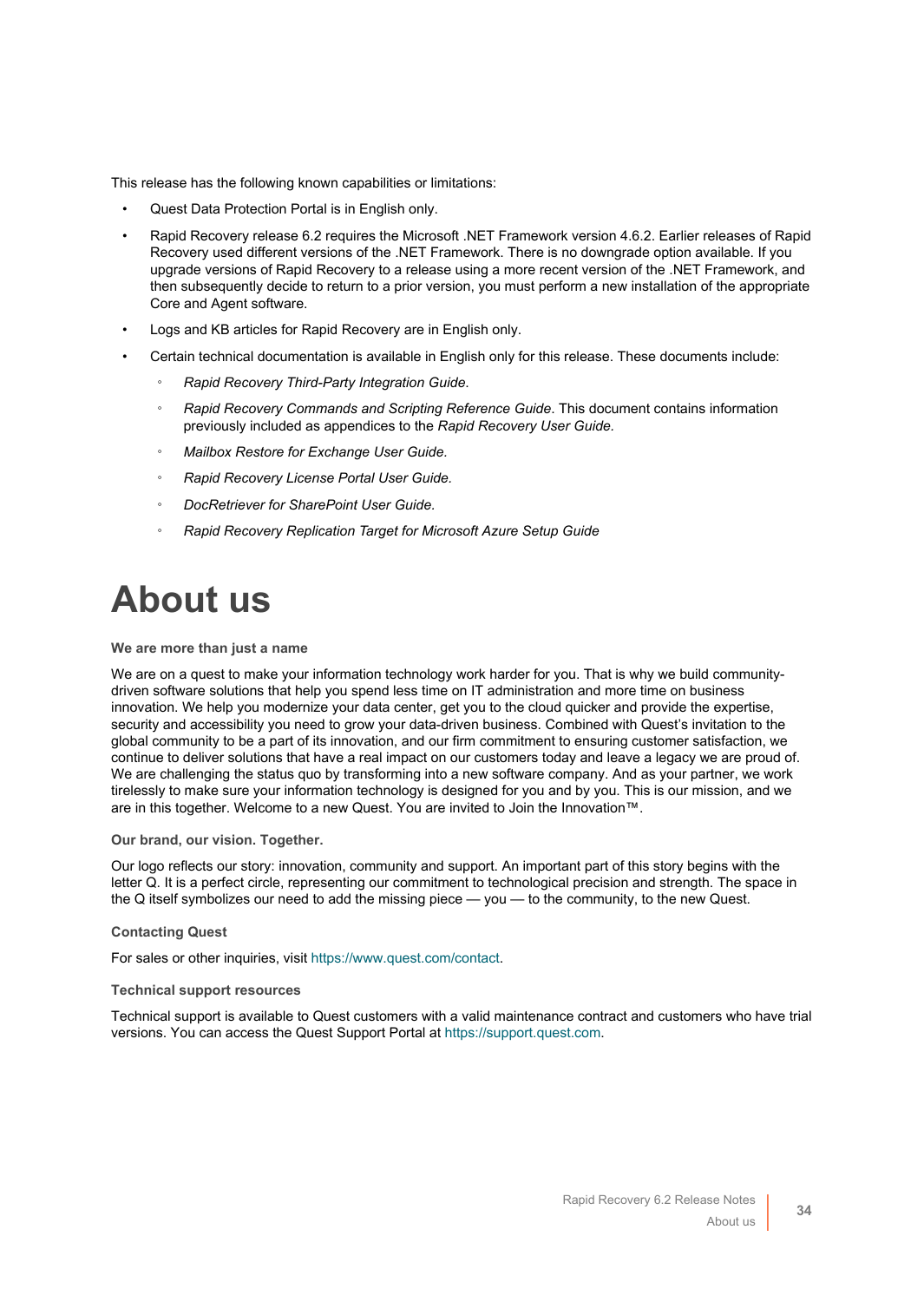This release has the following known capabilities or limitations:

- Quest Data Protection Portal is in English only.
- Rapid Recovery release 6.2 requires the Microsoft .NET Framework version 4.6.2. Earlier releases of Rapid Recovery used different versions of the .NET Framework. There is no downgrade option available. If you upgrade versions of Rapid Recovery to a release using a more recent version of the .NET Framework, and then subsequently decide to return to a prior version, you must perform a new installation of the appropriate Core and Agent software.
- Logs and KB articles for Rapid Recovery are in English only.
- Certain technical documentation is available in English only for this release. These documents include:
	- *Rapid Recovery Third-Party Integration Guide*.
	- *Rapid Recovery Commands and Scripting Reference Guide*. This document contains information previously included as appendices to the *Rapid Recovery User Guide.*
	- *Mailbox Restore for Exchange User Guide.*
	- *Rapid Recovery License Portal User Guide.*
	- *DocRetriever for SharePoint User Guide.*
	- *Rapid Recovery Replication Target for Microsoft Azure Setup Guide*

# <span id="page-33-0"></span>**About us**

#### **We are more than just a name**

We are on a quest to make your information technology work harder for you. That is why we build communitydriven software solutions that help you spend less time on IT administration and more time on business innovation. We help you modernize your data center, get you to the cloud quicker and provide the expertise, security and accessibility you need to grow your data-driven business. Combined with Quest's invitation to the global community to be a part of its innovation, and our firm commitment to ensuring customer satisfaction, we continue to deliver solutions that have a real impact on our customers today and leave a legacy we are proud of. We are challenging the status quo by transforming into a new software company. And as your partner, we work tirelessly to make sure your information technology is designed for you and by you. This is our mission, and we are in this together. Welcome to a new Quest. You are invited to Join the Innovation™.

#### **Our brand, our vision. Together.**

Our logo reflects our story: innovation, community and support. An important part of this story begins with the letter Q. It is a perfect circle, representing our commitment to technological precision and strength. The space in the Q itself symbolizes our need to add the missing piece — you — to the community, to the new Quest.

#### **Contacting Quest**

For sales or other inquiries, visit<https://www.quest.com/contact>.

#### **Technical support resources**

Technical support is available to Quest customers with a valid maintenance contract and customers who have trial versions. You can access the Quest Support Portal at [https://support.quest.com.](https://support.quest.com)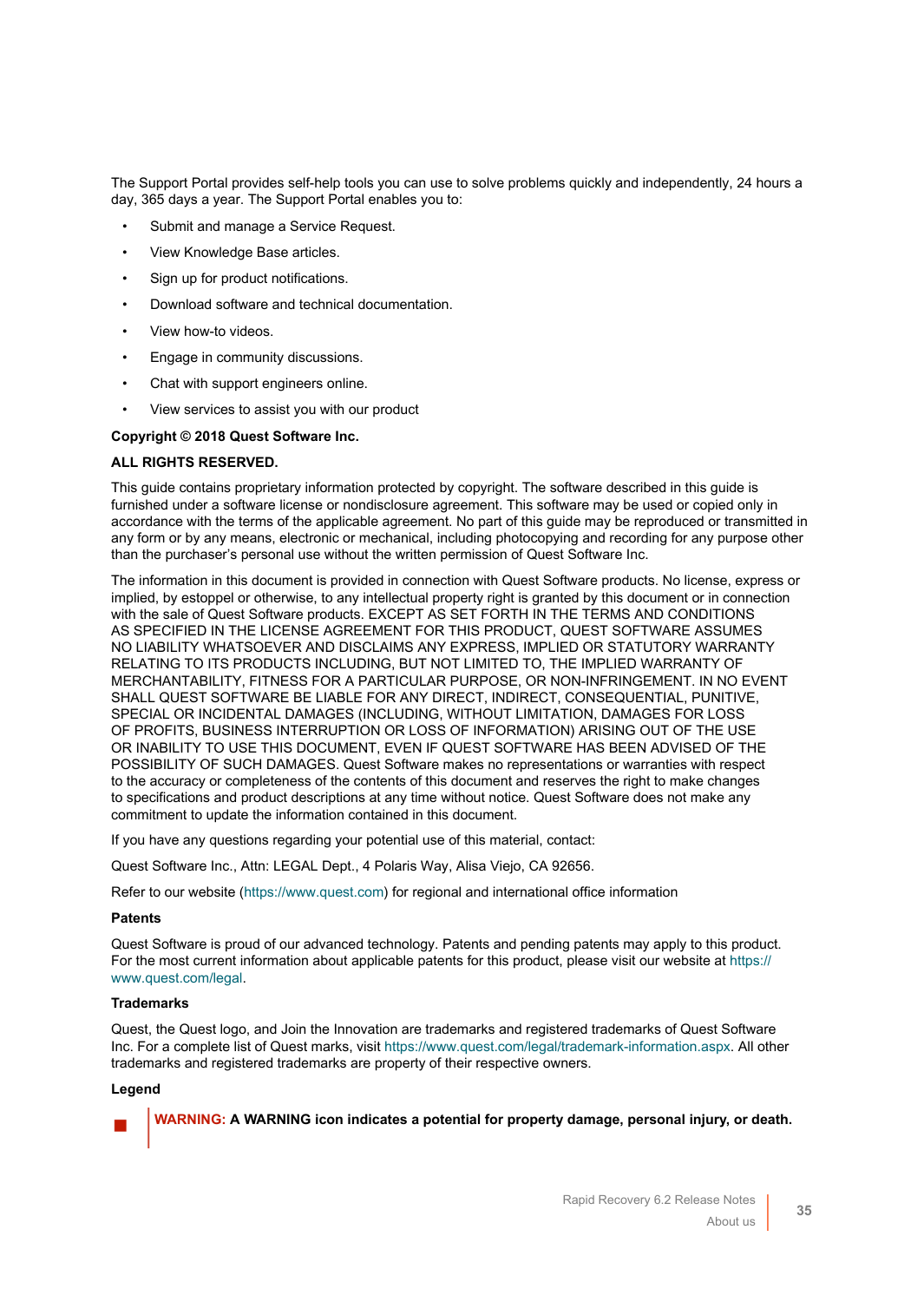The Support Portal provides self-help tools you can use to solve problems quickly and independently, 24 hours a day, 365 days a year. The Support Portal enables you to:

- Submit and manage a Service Request.
- View Knowledge Base articles.
- Sign up for product notifications.
- Download software and technical documentation.
- View how-to videos.
- Engage in community discussions.
- Chat with support engineers online.
- View services to assist you with our product

#### **Copyright © 2018 Quest Software Inc.**

#### **ALL RIGHTS RESERVED.**

This guide contains proprietary information protected by copyright. The software described in this guide is furnished under a software license or nondisclosure agreement. This software may be used or copied only in accordance with the terms of the applicable agreement. No part of this guide may be reproduced or transmitted in any form or by any means, electronic or mechanical, including photocopying and recording for any purpose other than the purchaser's personal use without the written permission of Quest Software Inc.

The information in this document is provided in connection with Quest Software products. No license, express or implied, by estoppel or otherwise, to any intellectual property right is granted by this document or in connection with the sale of Quest Software products. EXCEPT AS SET FORTH IN THE TERMS AND CONDITIONS AS SPECIFIED IN THE LICENSE AGREEMENT FOR THIS PRODUCT, QUEST SOFTWARE ASSUMES NO LIABILITY WHATSOEVER AND DISCLAIMS ANY EXPRESS, IMPLIED OR STATUTORY WARRANTY RELATING TO ITS PRODUCTS INCLUDING, BUT NOT LIMITED TO, THE IMPLIED WARRANTY OF MERCHANTABILITY, FITNESS FOR A PARTICULAR PURPOSE, OR NON-INFRINGEMENT. IN NO EVENT SHALL QUEST SOFTWARE BE LIABLE FOR ANY DIRECT, INDIRECT, CONSEQUENTIAL, PUNITIVE, SPECIAL OR INCIDENTAL DAMAGES (INCLUDING, WITHOUT LIMITATION, DAMAGES FOR LOSS OF PROFITS, BUSINESS INTERRUPTION OR LOSS OF INFORMATION) ARISING OUT OF THE USE OR INABILITY TO USE THIS DOCUMENT, EVEN IF QUEST SOFTWARE HAS BEEN ADVISED OF THE POSSIBILITY OF SUCH DAMAGES. Quest Software makes no representations or warranties with respect to the accuracy or completeness of the contents of this document and reserves the right to make changes to specifications and product descriptions at any time without notice. Quest Software does not make any commitment to update the information contained in this document.

If you have any questions regarding your potential use of this material, contact:

Quest Software Inc., Attn: LEGAL Dept., 4 Polaris Way, Alisa Viejo, CA 92656.

Refer to our website (<https://www.quest.com>) for regional and international office information

#### **Patents**

Quest Software is proud of our advanced technology. Patents and pending patents may apply to this product. For the most current information about applicable patents for this product, please visit our website at [https://](https://www.quest.com/legal) [www.quest.com/legal.](https://www.quest.com/legal)

#### **Trademarks**

Quest, the Quest logo, and Join the Innovation are trademarks and registered trademarks of Quest Software Inc. For a complete list of Quest marks, visit [https://www.quest.com/legal/trademark-information.aspx.](https://www.quest.com/legal/trademark-information.aspx) All other trademarks and registered trademarks are property of their respective owners.

#### **Legend**



**WARNING: A WARNING icon indicates a potential for property damage, personal injury, or death.**

**35**